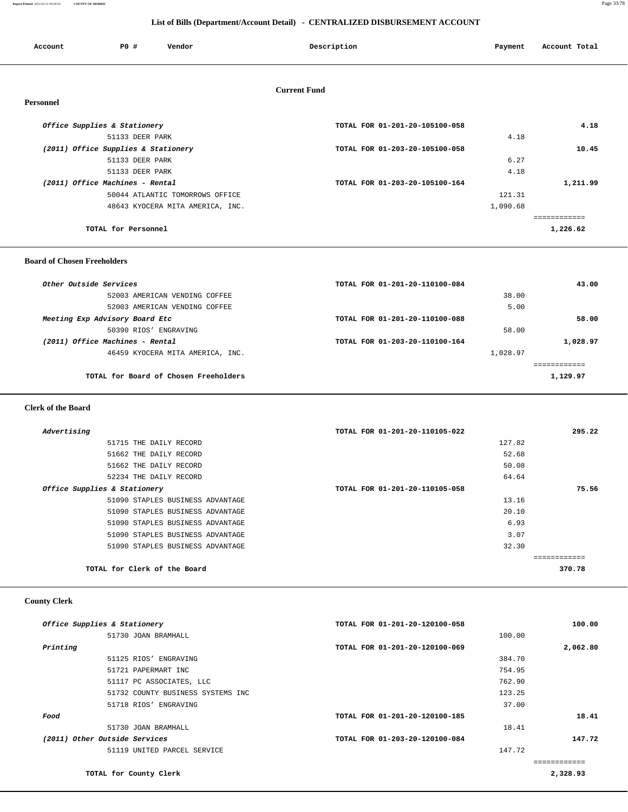#### **Report Printed** *2012-02-21 09:40:03* **COUNTY OF MORRIS** Page 33/78

 **List of Bills (Department/Account Detail) - CENTRALIZED DISBURSEMENT ACCOUNT**

| Account          | PO#                                 | Vendor                           | Description         |                                | Account Total<br>Payment |          |
|------------------|-------------------------------------|----------------------------------|---------------------|--------------------------------|--------------------------|----------|
|                  |                                     |                                  |                     |                                |                          |          |
|                  |                                     |                                  | <b>Current Fund</b> |                                |                          |          |
| <b>Personnel</b> |                                     |                                  |                     |                                |                          |          |
|                  | Office Supplies & Stationery        |                                  |                     | TOTAL FOR 01-201-20-105100-058 |                          | 4.18     |
|                  | 51133 DEER PARK                     |                                  |                     |                                | 4.18                     |          |
|                  | (2011) Office Supplies & Stationery |                                  |                     | TOTAL FOR 01-203-20-105100-058 |                          | 10.45    |
|                  | 51133 DEER PARK                     |                                  |                     |                                | 6.27                     |          |
|                  | 51133 DEER PARK                     |                                  |                     |                                | 4.18                     |          |
|                  | (2011) Office Machines - Rental     |                                  |                     | TOTAL FOR 01-203-20-105100-164 |                          | 1,211.99 |
|                  |                                     | 50044 ATLANTIC TOMORROWS OFFICE  |                     |                                | 121.31                   |          |
|                  |                                     | 48643 KYOCERA MITA AMERICA, INC. |                     |                                | 1,090.68                 |          |
|                  |                                     |                                  |                     |                                | ============             |          |
|                  | TOTAL for Personnel                 |                                  |                     |                                | 1,226.62                 |          |
|                  |                                     |                                  |                     |                                |                          |          |

#### **Board of Chosen Freeholders**

| Other Outside Services                | TOTAL FOR 01-201-20-110100-084 |          | 43.00    |
|---------------------------------------|--------------------------------|----------|----------|
| 52003 AMERICAN VENDING COFFEE         |                                | 38.00    |          |
| 52003 AMERICAN VENDING COFFEE         |                                | 5.00     |          |
| Meeting Exp Advisory Board Etc        | TOTAL FOR 01-201-20-110100-088 |          | 58.00    |
| 50390 RIOS' ENGRAVING                 |                                | 58.00    |          |
| (2011) Office Machines - Rental       | TOTAL FOR 01-203-20-110100-164 |          | 1,028.97 |
| 46459 KYOCERA MITA AMERICA, INC.      |                                | 1,028.97 |          |
|                                       |                                |          |          |
| TOTAL for Board of Chosen Freeholders |                                |          | 1,129.97 |
|                                       |                                |          |          |

#### **Clerk of the Board**

| Advertising                      | TOTAL FOR 01-201-20-110105-022 | 295.22 |
|----------------------------------|--------------------------------|--------|
| 51715 THE DAILY RECORD           | 127.82                         |        |
| 51662 THE DAILY RECORD           | 52.68                          |        |
| 51662 THE DAILY RECORD           | 50.08                          |        |
| 52234 THE DAILY RECORD           | 64.64                          |        |
| Office Supplies & Stationery     | TOTAL FOR 01-201-20-110105-058 | 75.56  |
| 51090 STAPLES BUSINESS ADVANTAGE | 13.16                          |        |
| 51090 STAPLES BUSINESS ADVANTAGE | 20.10                          |        |
| 51090 STAPLES BUSINESS ADVANTAGE | 6.93                           |        |
| 51090 STAPLES BUSINESS ADVANTAGE | 3.07                           |        |
| 51090 STAPLES BUSINESS ADVANTAGE | 32.30                          |        |
|                                  |                                |        |
| TOTAL for Clerk of the Board     |                                | 370.78 |
|                                  |                                |        |

#### **County Clerk**

|          | Office Supplies & Stationery      | TOTAL FOR 01-201-20-120100-058 |        | 100.00   |
|----------|-----------------------------------|--------------------------------|--------|----------|
|          | 51730 JOAN BRAMHALL               |                                | 100.00 |          |
| Printing |                                   | TOTAL FOR 01-201-20-120100-069 |        | 2,062.80 |
|          | 51125 RIOS' ENGRAVING             |                                | 384.70 |          |
|          | 51721 PAPERMART INC               |                                | 754.95 |          |
|          | 51117 PC ASSOCIATES, LLC          |                                | 762.90 |          |
|          | 51732 COUNTY BUSINESS SYSTEMS INC |                                | 123.25 |          |
|          | 51718 RIOS' ENGRAVING             |                                | 37.00  |          |
| Food     |                                   | TOTAL FOR 01-201-20-120100-185 |        | 18.41    |
|          | 51730 JOAN BRAMHALL               |                                | 18.41  |          |
|          | (2011) Other Outside Services     | TOTAL FOR 01-203-20-120100-084 |        | 147.72   |
|          | 51119 UNITED PARCEL SERVICE       |                                | 147.72 |          |
|          |                                   |                                |        |          |
|          | TOTAL for County Clerk            |                                |        | 2,328.93 |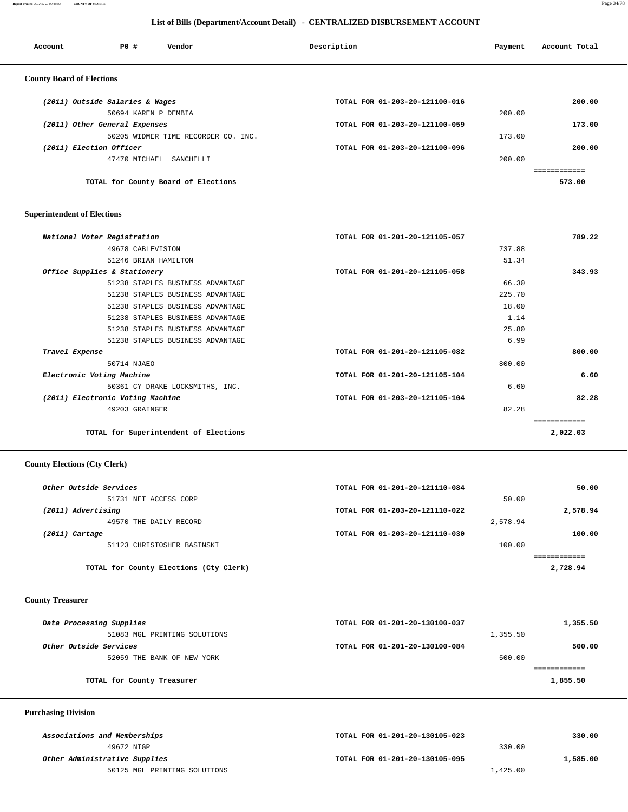**Report Printed** *2012-02-21 09:40:03* **COUNTY OF MORRIS** Page 34/78

#### **List of Bills (Department/Account Detail) - CENTRALIZED DISBURSEMENT ACCOUNT**

| Account                          | PO#                             | Vendor                              | Description |                                | Payment | Account Total |
|----------------------------------|---------------------------------|-------------------------------------|-------------|--------------------------------|---------|---------------|
| <b>County Board of Elections</b> |                                 |                                     |             |                                |         |               |
|                                  | (2011) Outside Salaries & Wages |                                     |             | TOTAL FOR 01-203-20-121100-016 |         | 200.00        |
|                                  | 50694 KAREN P DEMBIA            |                                     |             |                                | 200.00  |               |
|                                  | (2011) Other General Expenses   |                                     |             | TOTAL FOR 01-203-20-121100-059 |         | 173.00        |
|                                  |                                 | 50205 WIDMER TIME RECORDER CO. INC. |             |                                | 173.00  |               |
| (2011) Election Officer          |                                 |                                     |             | TOTAL FOR 01-203-20-121100-096 |         | 200.00        |
|                                  | 47470 MICHAEL                   | SANCHELLI                           |             |                                | 200.00  |               |
|                                  |                                 |                                     |             |                                |         |               |
|                                  |                                 | TOTAL for County Board of Elections |             |                                |         | 573.00        |
|                                  |                                 |                                     |             |                                |         |               |

# **Superintendent of Elections**

| National Voter Registration           | TOTAL FOR 01-201-20-121105-057 | 789.22      |
|---------------------------------------|--------------------------------|-------------|
| 49678 CABLEVISION                     |                                | 737.88      |
| 51246 BRIAN HAMILTON                  |                                | 51.34       |
| Office Supplies & Stationery          | TOTAL FOR 01-201-20-121105-058 | 343.93      |
| 51238 STAPLES BUSINESS ADVANTAGE      |                                | 66.30       |
| 51238 STAPLES BUSINESS ADVANTAGE      |                                | 225.70      |
| 51238 STAPLES BUSINESS ADVANTAGE      |                                | 18.00       |
| 51238 STAPLES BUSINESS ADVANTAGE      |                                | 1.14        |
| 51238 STAPLES BUSINESS ADVANTAGE      |                                | 25.80       |
| 51238 STAPLES BUSINESS ADVANTAGE      |                                | 6.99        |
| Travel Expense                        | TOTAL FOR 01-201-20-121105-082 | 800.00      |
| 50714 NJAEO                           |                                | 800.00      |
| Electronic Voting Machine             | TOTAL FOR 01-201-20-121105-104 | 6.60        |
| 50361 CY DRAKE LOCKSMITHS, INC.       |                                | 6.60        |
| (2011) Electronic Voting Machine      | TOTAL FOR 01-203-20-121105-104 | 82.28       |
| 49203 GRAINGER                        |                                | 82.28       |
|                                       |                                | =========== |
| TOTAL for Superintendent of Elections |                                | 2,022.03    |

#### **County Elections (Cty Clerk)**

| Other Outside Services                 | TOTAL FOR 01-201-20-121110-084 |          | 50.00    |
|----------------------------------------|--------------------------------|----------|----------|
| 51731 NET ACCESS CORP                  |                                | 50.00    |          |
| (2011) Advertising                     | TOTAL FOR 01-203-20-121110-022 |          | 2,578.94 |
| 49570 THE DAILY RECORD                 |                                | 2,578.94 |          |
| (2011) Cartage                         | TOTAL FOR 01-203-20-121110-030 |          | 100.00   |
| 51123 CHRISTOSHER BASINSKI             |                                | 100.00   |          |
|                                        |                                |          |          |
| TOTAL for County Elections (Cty Clerk) |                                |          | 2,728.94 |
|                                        |                                |          |          |

#### **County Treasurer**

| Data Processing Supplies     | TOTAL FOR 01-201-20-130100-037 |          | 1,355.50 |
|------------------------------|--------------------------------|----------|----------|
| 51083 MGL PRINTING SOLUTIONS |                                | 1,355.50 |          |
| Other Outside Services       | TOTAL FOR 01-201-20-130100-084 |          | 500.00   |
| 52059 THE BANK OF NEW YORK   |                                | 500.00   |          |
|                              |                                |          |          |
| TOTAL for County Treasurer   |                                |          | 1,855.50 |
|                              |                                |          |          |

# **Purchasing Division**

| Associations and Memberships  | TOTAL FOR 01-201-20-130105-023 | 330.00   |
|-------------------------------|--------------------------------|----------|
| 49672 NIGP                    | 330.00                         |          |
| Other Administrative Supplies | TOTAL FOR 01-201-20-130105-095 | 1,585.00 |
| 50125 MGL PRINTING SOLUTIONS  | 1,425.00                       |          |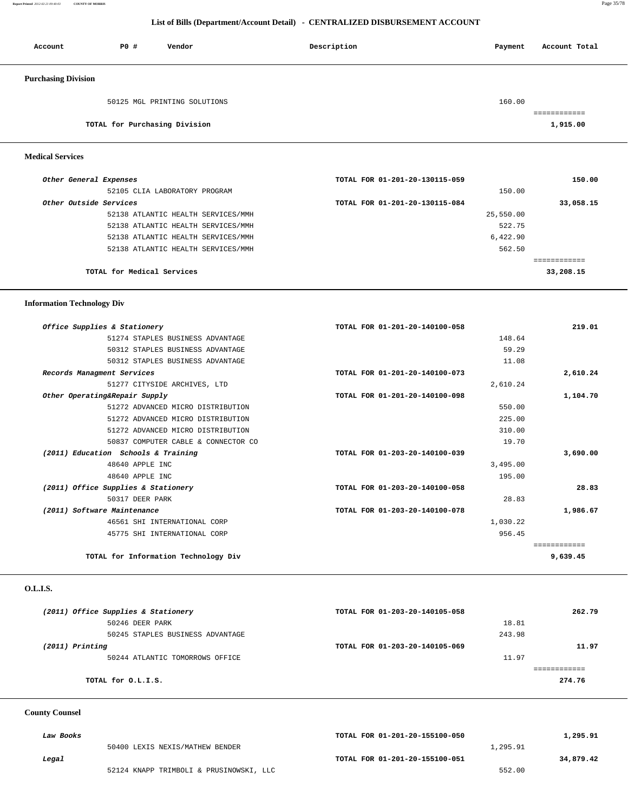#### **Report Printed** *2012-02-21 09:40:03* **COUNTY OF MORRIS** Page 35/78

 **List of Bills (Department/Account Detail) - CENTRALIZED DISBURSEMENT ACCOUNT**

| Account                    | P0 #                          | Vendor                       | Description | Account Total<br>Payment |
|----------------------------|-------------------------------|------------------------------|-------------|--------------------------|
| <b>Purchasing Division</b> |                               |                              |             |                          |
|                            |                               | 50125 MGL PRINTING SOLUTIONS |             | 160.00<br>============   |
|                            | TOTAL for Purchasing Division |                              |             | 1,915.00                 |

#### **Medical Services**

| Other General Expenses             | TOTAL FOR 01-201-20-130115-059 | 150.00    |
|------------------------------------|--------------------------------|-----------|
| 52105 CLIA LABORATORY PROGRAM      | 150.00                         |           |
| Other Outside Services             | TOTAL FOR 01-201-20-130115-084 | 33,058.15 |
| 52138 ATLANTIC HEALTH SERVICES/MMH | 25,550.00                      |           |
| 52138 ATLANTIC HEALTH SERVICES/MMH | 522.75                         |           |
| 52138 ATLANTIC HEALTH SERVICES/MMH | 6,422.90                       |           |
| 52138 ATLANTIC HEALTH SERVICES/MMH | 562.50                         |           |
|                                    |                                |           |
| TOTAL for Medical Services         |                                | 33,208.15 |

#### **Information Technology Div**

| 219.01       | TOTAL FOR 01-201-20-140100-058 | Office Supplies & Stationery         |
|--------------|--------------------------------|--------------------------------------|
|              | 148.64                         | 51274 STAPLES BUSINESS ADVANTAGE     |
|              | 59.29                          | 50312 STAPLES BUSINESS ADVANTAGE     |
|              | 11.08                          | 50312 STAPLES BUSINESS ADVANTAGE     |
| 2,610.24     | TOTAL FOR 01-201-20-140100-073 | Records Managment Services           |
|              | 2,610.24                       | 51277 CITYSIDE ARCHIVES, LTD         |
| 1,104.70     | TOTAL FOR 01-201-20-140100-098 | Other Operating&Repair Supply        |
|              | 550.00                         | 51272 ADVANCED MICRO DISTRIBUTION    |
|              | 225.00                         | 51272 ADVANCED MICRO DISTRIBUTION    |
|              | 310.00                         | 51272 ADVANCED MICRO DISTRIBUTION    |
|              | 19.70                          | 50837 COMPUTER CABLE & CONNECTOR CO  |
| 3,690.00     | TOTAL FOR 01-203-20-140100-039 | (2011) Education Schools & Training  |
|              | 3,495.00                       | 48640 APPLE INC                      |
|              | 195.00                         | 48640 APPLE INC                      |
| 28.83        | TOTAL FOR 01-203-20-140100-058 | (2011) Office Supplies & Stationery  |
|              | 28.83                          | 50317 DEER PARK                      |
| 1,986.67     | TOTAL FOR 01-203-20-140100-078 | (2011) Software Maintenance          |
|              | 1,030.22                       | 46561 SHI INTERNATIONAL CORP         |
|              | 956.45                         | 45775 SHI INTERNATIONAL CORP         |
| ------------ |                                |                                      |
| 9,639.45     |                                | TOTAL for Information Technology Div |

#### **O.L.I.S.**

| (2011) Office Supplies & Stationery | TOTAL FOR 01-203-20-140105-058 | 262.79 |
|-------------------------------------|--------------------------------|--------|
| 50246 DEER PARK                     | 18.81                          |        |
| 50245 STAPLES BUSINESS ADVANTAGE    | 243.98                         |        |
| $(2011)$ Printing                   | TOTAL FOR 01-203-20-140105-069 | 11.97  |
| 50244 ATLANTIC TOMORROWS OFFICE     | 11.97                          |        |
|                                     |                                |        |
| TOTAL for O.L.I.S.                  |                                | 274.76 |
|                                     |                                |        |

# **County Counsel**

| Law Books |                                         | TOTAL FOR 01-201-20-155100-050 | 1,295.91  |
|-----------|-----------------------------------------|--------------------------------|-----------|
|           | 50400 LEXIS NEXIS/MATHEW BENDER         |                                | 1,295.91  |
| Legal     |                                         | TOTAL FOR 01-201-20-155100-051 | 34,879.42 |
|           | 52124 KNAPP TRIMBOLI & PRUSINOWSKI, LLC |                                | 552.00    |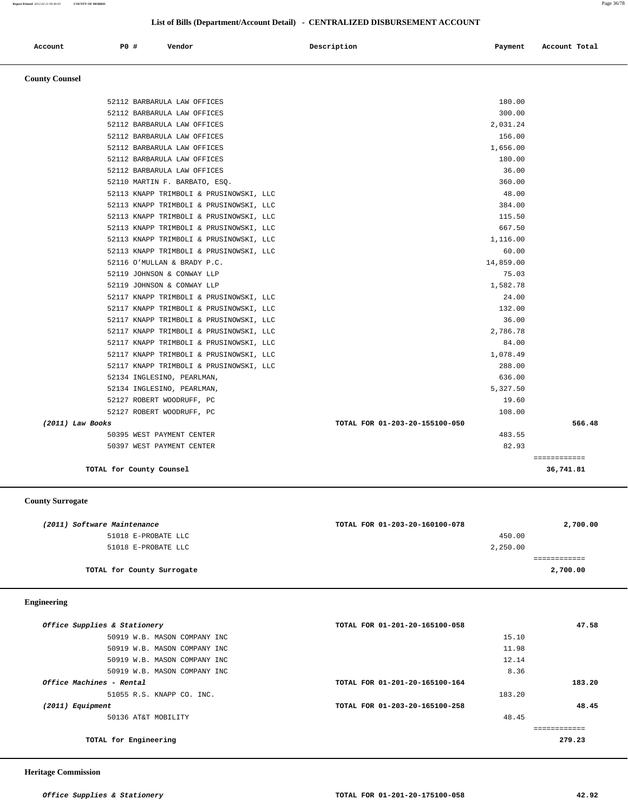**Report Printed** *2012-02-21 09:40:03* **COUNTY OF MORRIS** Page 36/78

#### **List of Bills (Department/Account Detail) - CENTRALIZED DISBURSEMENT ACCOUNT**

| Account | P0 # | Vendor<br>. | Description | Payment | Account Total |
|---------|------|-------------|-------------|---------|---------------|
|         |      |             |             |         |               |

# **County Counsel**

| TOTAL for County Counsel                                |                                | 36,741.81    |
|---------------------------------------------------------|--------------------------------|--------------|
|                                                         |                                | ============ |
| 50397 WEST PAYMENT CENTER                               | 82.93                          |              |
| 50395 WEST PAYMENT CENTER                               | 483.55                         |              |
| (2011) Law Books                                        | TOTAL FOR 01-203-20-155100-050 | 566.48       |
| 52127 ROBERT WOODRUFF, PC                               | 108.00                         |              |
| 52134 INGLESINO, PEARLMAN,<br>52127 ROBERT WOODRUFF, PC | 19.60                          |              |
| 52134 INGLESINO, PEARLMAN,                              | 5,327.50                       |              |
| 52117 KNAPP TRIMBOLI & PRUSINOWSKI, LLC                 | 288.00<br>636.00               |              |
| 52117 KNAPP TRIMBOLI & PRUSINOWSKI, LLC                 | 1,078.49                       |              |
| 52117 KNAPP TRIMBOLI & PRUSINOWSKI, LLC                 | 84.00                          |              |
| 52117 KNAPP TRIMBOLI & PRUSINOWSKI, LLC                 | 2,786.78                       |              |
| 52117 KNAPP TRIMBOLI & PRUSINOWSKI, LLC                 | 36.00                          |              |
| 52117 KNAPP TRIMBOLI & PRUSINOWSKI, LLC                 | 132.00                         |              |
| 52117 KNAPP TRIMBOLI & PRUSINOWSKI, LLC                 | 24.00                          |              |
| 52119 JOHNSON & CONWAY LLP                              | 1,582.78                       |              |
| 52119 JOHNSON & CONWAY LLP                              | 75.03                          |              |
| 52116 O'MULLAN & BRADY P.C.                             | 14,859.00                      |              |
| 52113 KNAPP TRIMBOLI & PRUSINOWSKI, LLC                 | 60.00                          |              |
| 52113 KNAPP TRIMBOLI & PRUSINOWSKI, LLC                 | 1,116.00                       |              |
| 52113 KNAPP TRIMBOLI & PRUSINOWSKI, LLC                 | 667.50                         |              |
| 52113 KNAPP TRIMBOLI & PRUSINOWSKI, LLC                 | 115.50                         |              |
| 52113 KNAPP TRIMBOLI & PRUSINOWSKI, LLC                 | 384.00                         |              |
| 52113 KNAPP TRIMBOLI & PRUSINOWSKI, LLC                 | 48.00                          |              |
| 52110 MARTIN F. BARBATO, ESQ.                           | 360.00                         |              |
| 52112 BARBARULA LAW OFFICES                             | 36.00                          |              |
| 52112 BARBARULA LAW OFFICES                             | 180.00                         |              |
| 52112 BARBARULA LAW OFFICES                             | 1,656.00                       |              |
| 52112 BARBARULA LAW OFFICES                             | 156.00                         |              |
| 52112 BARBARULA LAW OFFICES                             | 2,031.24                       |              |
| 52112 BARBARULA LAW OFFICES                             | 300.00                         |              |
| 52112 BARBARULA LAW OFFICES                             | 180.00                         |              |
|                                                         |                                |              |

#### **County Surrogate**

| (2011) Software Maintenance | TOTAL FOR 01-203-20-160100-078 | 2,700.00 |
|-----------------------------|--------------------------------|----------|
| 51018 E-PROBATE LLC         | 450.00                         |          |
| 51018 E-PROBATE LLC         | 2,250.00                       |          |
|                             |                                |          |
| TOTAL for County Surrogate  |                                | 2,700.00 |
|                             |                                |          |

#### **Engineering**

| Office Supplies & Stationery | TOTAL FOR 01-201-20-165100-058 | 47.58  |
|------------------------------|--------------------------------|--------|
| 50919 W.B. MASON COMPANY INC | 15.10                          |        |
| 50919 W.B. MASON COMPANY INC | 11.98                          |        |
| 50919 W.B. MASON COMPANY INC | 12.14                          |        |
| 50919 W.B. MASON COMPANY INC | 8.36                           |        |
| Office Machines - Rental     | TOTAL FOR 01-201-20-165100-164 | 183.20 |
| 51055 R.S. KNAPP CO. INC.    | 183.20                         |        |
| (2011) Equipment             | TOTAL FOR 01-203-20-165100-258 | 48.45  |
| 50136 AT&T MOBILITY          | 48.45                          |        |
|                              |                                |        |
| TOTAL for Engineering        |                                | 279.23 |
|                              |                                |        |

 **Heritage Commission**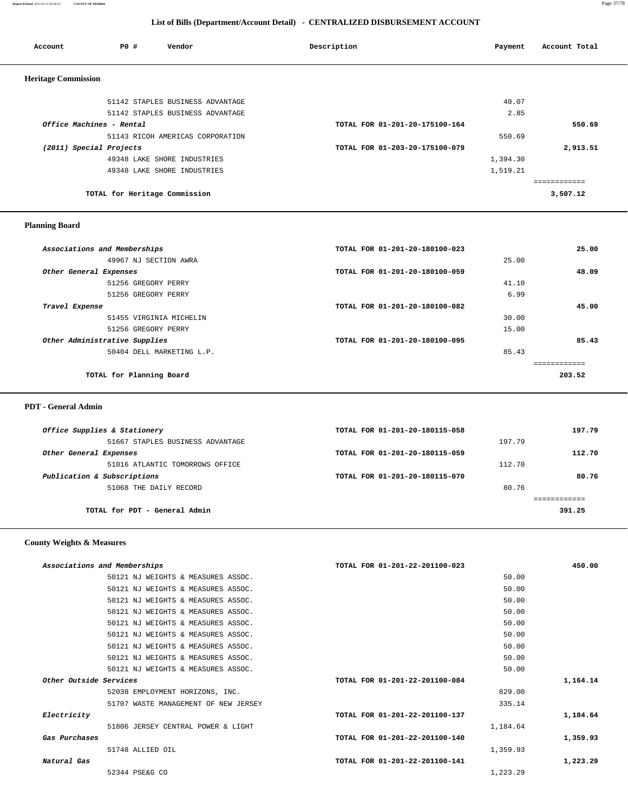#### **Report Printed** *2012-02-21 09:40:03* **COUNTY OF MORRIS** Page 37/78

 **List of Bills (Department/Account Detail) - CENTRALIZED DISBURSEMENT ACCOUNT**

| Account                    | PO#                           | Vendor                           | Description                    | Payment  | Account Total |
|----------------------------|-------------------------------|----------------------------------|--------------------------------|----------|---------------|
| <b>Heritage Commission</b> |                               |                                  |                                |          |               |
|                            |                               | 51142 STAPLES BUSINESS ADVANTAGE |                                | 40.07    |               |
|                            |                               | 51142 STAPLES BUSINESS ADVANTAGE |                                | 2.85     |               |
|                            | Office Machines - Rental      |                                  | TOTAL FOR 01-201-20-175100-164 |          | 550.69        |
|                            |                               | 51143 RICOH AMERICAS CORPORATION |                                | 550.69   |               |
| (2011) Special Projects    |                               |                                  | TOTAL FOR 01-203-20-175100-079 |          | 2,913.51      |
|                            |                               | 49348 LAKE SHORE INDUSTRIES      |                                | 1,394.30 |               |
|                            |                               | 49348 LAKE SHORE INDUSTRIES      |                                | 1,519.21 |               |
|                            |                               |                                  |                                |          |               |
|                            | TOTAL for Heritage Commission |                                  |                                |          | 3,507.12      |

#### **Planning Board**

| Associations and Memberships  | TOTAL FOR 01-201-20-180100-023 | 25.00  |
|-------------------------------|--------------------------------|--------|
| 49967 NJ SECTION AWRA         | 25.00                          |        |
| Other General Expenses        | TOTAL FOR 01-201-20-180100-059 | 48.09  |
| 51256 GREGORY PERRY           | 41.10                          |        |
| 51256 GREGORY PERRY           | 6.99                           |        |
| Travel Expense                | TOTAL FOR 01-201-20-180100-082 | 45.00  |
| 51455 VIRGINIA MICHELIN       | 30.00                          |        |
| 51256 GREGORY PERRY           | 15.00                          |        |
| Other Administrative Supplies | TOTAL FOR 01-201-20-180100-095 | 85.43  |
| 50404 DELL MARKETING L.P.     | 85.43                          |        |
|                               |                                |        |
| TOTAL for Planning Board      |                                | 203.52 |
|                               |                                |        |

 **PDT - General Admin** 

| Office Supplies & Stationery     | TOTAL FOR 01-201-20-180115-058 |        | 197.79 |
|----------------------------------|--------------------------------|--------|--------|
| 51667 STAPLES BUSINESS ADVANTAGE |                                | 197.79 |        |
| Other General Expenses           | TOTAL FOR 01-201-20-180115-059 |        | 112.70 |
| 51016 ATLANTIC TOMORROWS OFFICE  |                                | 112.70 |        |
| Publication & Subscriptions      | TOTAL FOR 01-201-20-180115-070 |        | 80.76  |
| 51068 THE DAILY RECORD           |                                | 80.76  |        |
|                                  |                                |        |        |
| TOTAL for PDT - General Admin    |                                |        | 391.25 |
|                                  |                                |        |        |

#### **County Weights & Measures**

| Associations and Memberships         | TOTAL FOR 01-201-22-201100-023 | 450.00   |
|--------------------------------------|--------------------------------|----------|
| 50121 NJ WEIGHTS & MEASURES ASSOC.   | 50.00                          |          |
| 50121 NJ WEIGHTS & MEASURES ASSOC.   | 50.00                          |          |
| 50121 NJ WEIGHTS & MEASURES ASSOC.   | 50.00                          |          |
| 50121 NJ WEIGHTS & MEASURES ASSOC.   | 50.00                          |          |
| 50121 NJ WEIGHTS & MEASURES ASSOC.   | 50.00                          |          |
| 50121 NJ WEIGHTS & MEASURES ASSOC.   | 50.00                          |          |
| 50121 NJ WEIGHTS & MEASURES ASSOC.   | 50.00                          |          |
| 50121 NJ WEIGHTS & MEASURES ASSOC.   | 50.00                          |          |
| 50121 NJ WEIGHTS & MEASURES ASSOC.   | 50.00                          |          |
| Other Outside Services               | TOTAL FOR 01-201-22-201100-084 | 1,164.14 |
| 52038 EMPLOYMENT HORIZONS, INC.      | 829.00                         |          |
| 51707 WASTE MANAGEMENT OF NEW JERSEY | 335.14                         |          |
| Electricity                          | TOTAL FOR 01-201-22-201100-137 | 1,184.64 |
| 51806 JERSEY CENTRAL POWER & LIGHT   | 1,184.64                       |          |
| Gas Purchases                        | TOTAL FOR 01-201-22-201100-140 | 1,359.93 |
| 51748 ALLIED OIL                     | 1,359.93                       |          |
| Natural Gas                          | TOTAL FOR 01-201-22-201100-141 | 1,223.29 |
| 52344 PSE&G CO                       | 1,223.29                       |          |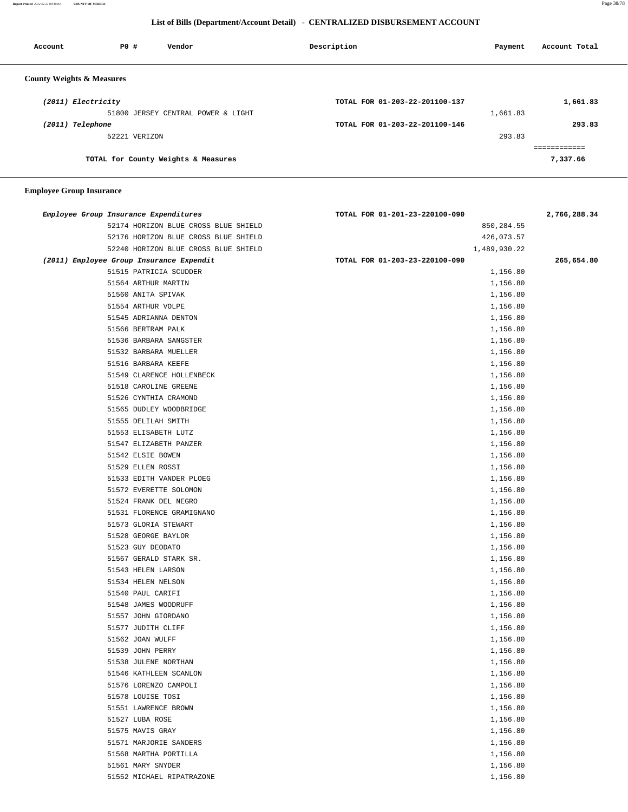**Report Printed** *2012-02-21 09:40:03* **COUNTY OF MORRIS** Page 38/78

#### **List of Bills (Department/Account Detail) - CENTRALIZED DISBURSEMENT ACCOUNT**

| Account                              | PO#           | Vendor                              | Description                    | Payment  | Account Total |
|--------------------------------------|---------------|-------------------------------------|--------------------------------|----------|---------------|
| <b>County Weights &amp; Measures</b> |               |                                     |                                |          |               |
| (2011) Electricity                   |               |                                     | TOTAL FOR 01-203-22-201100-137 |          | 1,661.83      |
|                                      |               | 51800 JERSEY CENTRAL POWER & LIGHT  |                                | 1,661.83 |               |
| (2011) Telephone                     |               |                                     | TOTAL FOR 01-203-22-201100-146 |          | 293.83        |
|                                      | 52221 VERIZON |                                     |                                | 293.83   |               |
|                                      |               |                                     |                                |          |               |
|                                      |               | TOTAL for County Weights & Measures |                                |          | 7,337.66      |

| Employee Group Insurance Expenditures    | TOTAL FOR 01-201-23-220100-090 | 2,766,288.34 |
|------------------------------------------|--------------------------------|--------------|
| 52174 HORIZON BLUE CROSS BLUE SHIELD     | 850,284.55                     |              |
| 52176 HORIZON BLUE CROSS BLUE SHIELD     | 426,073.57                     |              |
| 52240 HORIZON BLUE CROSS BLUE SHIELD     | 1,489,930.22                   |              |
| (2011) Employee Group Insurance Expendit | TOTAL FOR 01-203-23-220100-090 | 265,654.80   |
| 51515 PATRICIA SCUDDER                   | 1,156.80                       |              |
| 51564 ARTHUR MARTIN                      | 1,156.80                       |              |
| 51560 ANITA SPIVAK                       | 1,156.80                       |              |
| 51554 ARTHUR VOLPE                       | 1,156.80                       |              |
| 51545 ADRIANNA DENTON                    | 1,156.80                       |              |
| 51566 BERTRAM PALK                       | 1,156.80                       |              |
| 51536 BARBARA SANGSTER                   | 1,156.80                       |              |
| 51532 BARBARA MUELLER                    | 1,156.80                       |              |
| 51516 BARBARA KEEFE                      | 1,156.80                       |              |
| 51549 CLARENCE HOLLENBECK                | 1,156.80                       |              |
| 51518 CAROLINE GREENE                    | 1,156.80                       |              |
| 51526 CYNTHIA CRAMOND                    | 1,156.80                       |              |
| 51565 DUDLEY WOODBRIDGE                  | 1,156.80                       |              |
| 51555 DELILAH SMITH                      | 1,156.80                       |              |
| 51553 ELISABETH LUTZ                     | 1,156.80                       |              |
| 51547 ELIZABETH PANZER                   | 1,156.80                       |              |
| 51542 ELSIE BOWEN                        | 1,156.80                       |              |
| 51529 ELLEN ROSSI                        | 1,156.80                       |              |
| 51533 EDITH VANDER PLOEG                 | 1,156.80                       |              |
| 51572 EVERETTE SOLOMON                   | 1,156.80                       |              |
| 51524 FRANK DEL NEGRO                    | 1,156.80                       |              |
| 51531 FLORENCE GRAMIGNANO                | 1,156.80                       |              |
| 51573 GLORIA STEWART                     | 1,156.80                       |              |
| 51528 GEORGE BAYLOR                      | 1,156.80                       |              |
| 51523 GUY DEODATO                        | 1,156.80                       |              |
| 51567 GERALD STARK SR.                   | 1,156.80                       |              |
| 51543 HELEN LARSON                       | 1,156.80                       |              |
| 51534 HELEN NELSON                       | 1,156.80                       |              |
| 51540 PAUL CARIFI                        | 1,156.80                       |              |
| 51548 JAMES WOODRUFF                     | 1,156.80                       |              |
| 51557 JOHN GIORDANO                      | 1,156.80                       |              |
| 51577 JUDITH CLIFF                       | 1,156.80                       |              |
| 51562 JOAN WULFF                         | 1,156.80                       |              |
| 51539 JOHN PERRY                         | 1,156.80                       |              |
| 51538 JULENE NORTHAN                     | 1,156.80                       |              |
| 51546 KATHLEEN SCANLON                   | 1,156.80                       |              |
| 51576 LORENZO CAMPOLI                    | 1,156.80                       |              |
| 51578 LOUISE TOSI                        | 1,156.80                       |              |
| 51551 LAWRENCE BROWN                     | 1,156.80                       |              |
| 51527 LUBA ROSE                          | 1,156.80                       |              |
| 51575 MAVIS GRAY                         | 1,156.80                       |              |
| 51571 MARJORIE SANDERS                   | 1,156.80                       |              |
| 51568 MARTHA PORTILLA                    | 1,156.80                       |              |
| 51561 MARY SNYDER                        | 1,156.80                       |              |
| 51552 MICHAEL RIPATRAZONE                | 1,156.80                       |              |
|                                          |                                |              |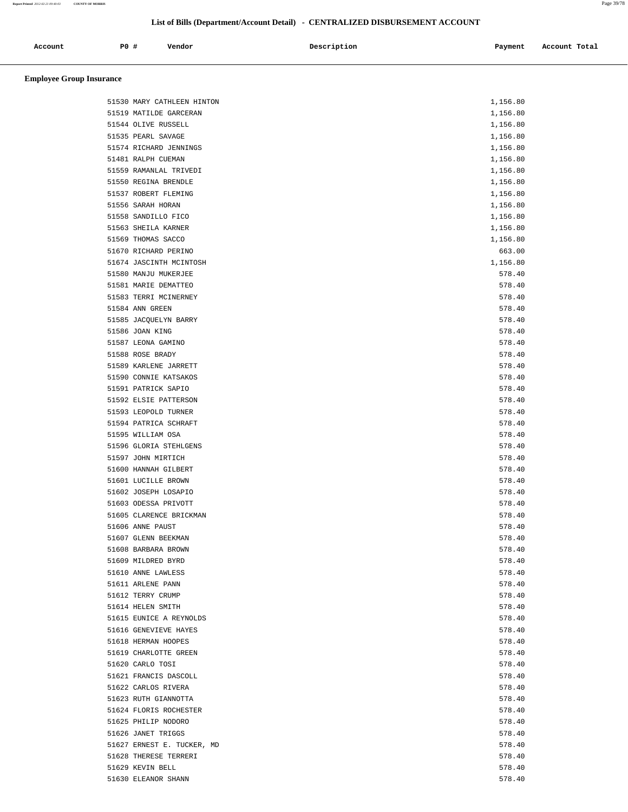# **List of Bills (Department/Account Detail) - CENTRALIZED DISBURSEMENT ACCOUNT**

| Account | PO# | Vendor | Description | Payment | Account Total |
|---------|-----|--------|-------------|---------|---------------|
|         |     |        |             |         |               |

| 51530 MARY CATHLEEN HINTON | 1,156.80 |
|----------------------------|----------|
| 51519 MATILDE GARCERAN     | 1,156.80 |
| 51544 OLIVE RUSSELL        | 1,156.80 |
| 51535 PEARL SAVAGE         | 1,156.80 |
| 51574 RICHARD JENNINGS     | 1,156.80 |
| 51481 RALPH CUEMAN         | 1,156.80 |
| 51559 RAMANLAL TRIVEDI     | 1,156.80 |
| 51550 REGINA BRENDLE       | 1,156.80 |
| 51537 ROBERT FLEMING       | 1,156.80 |
| 51556 SARAH HORAN          | 1,156.80 |
| 51558 SANDILLO FICO        | 1,156.80 |
| 51563 SHEILA KARNER        | 1,156.80 |
| 51569 THOMAS SACCO         | 1,156.80 |
| 51670 RICHARD PERINO       | 663.00   |
| 51674 JASCINTH MCINTOSH    | 1,156.80 |
|                            |          |
| 51580 MANJU MUKERJEE       | 578.40   |
| 51581 MARIE DEMATTEO       | 578.40   |
| 51583 TERRI MCINERNEY      | 578.40   |
| 51584 ANN GREEN            | 578.40   |
| 51585 JACQUELYN BARRY      | 578.40   |
| 51586 JOAN KING            | 578.40   |
| 51587 LEONA GAMINO         | 578.40   |
| 51588 ROSE BRADY           | 578.40   |
| 51589 KARLENE JARRETT      | 578.40   |
| 51590 CONNIE KATSAKOS      | 578.40   |
| 51591 PATRICK SAPIO        | 578.40   |
| 51592 ELSIE PATTERSON      | 578.40   |
| 51593 LEOPOLD TURNER       | 578.40   |
| 51594 PATRICA SCHRAFT      | 578.40   |
| 51595 WILLIAM OSA          | 578.40   |
| 51596 GLORIA STEHLGENS     | 578.40   |
| 51597 JOHN MIRTICH         | 578.40   |
| 51600 HANNAH GILBERT       | 578.40   |
| 51601 LUCILLE BROWN        | 578.40   |
| 51602 JOSEPH LOSAPIO       | 578.40   |
| 51603 ODESSA PRIVOTT       | 578.40   |
| 51605 CLARENCE BRICKMAN    | 578.40   |
| 51606 ANNE PAUST           | 578.40   |
| 51607 GLENN BEEKMAN        | 578.40   |
| 51608 BARBARA BROWN        | 578.40   |
|                            |          |
| 51609 MILDRED BYRD         | 578.40   |
| 51610 ANNE LAWLESS         | 578.40   |
| 51611 ARLENE PANN          | 578.40   |
| 51612 TERRY CRUMP          | 578.40   |
| 51614 HELEN SMITH          | 578.40   |
| 51615 EUNICE A REYNOLDS    | 578.40   |
| 51616 GENEVIEVE HAYES      | 578.40   |
| 51618 HERMAN HOOPES        | 578.40   |
| 51619 CHARLOTTE GREEN      | 578.40   |
| 51620 CARLO TOSI           | 578.40   |
| 51621 FRANCIS DASCOLL      | 578.40   |
| 51622 CARLOS RIVERA        | 578.40   |
| 51623 RUTH GIANNOTTA       | 578.40   |
| 51624 FLORIS ROCHESTER     | 578.40   |
| 51625 PHILIP NODORO        | 578.40   |
| 51626 JANET TRIGGS         | 578.40   |
| 51627 ERNEST E. TUCKER, MD | 578.40   |
| 51628 THERESE TERRERI      | 578.40   |
| 51629 KEVIN BELL           | 578.40   |
| 51630 ELEANOR SHANN        | 578.40   |
|                            |          |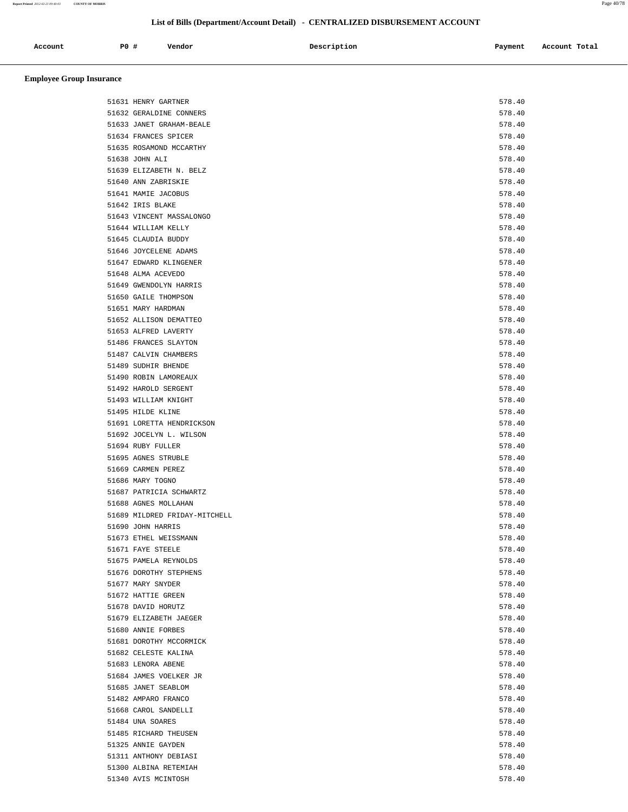**Report Printed** *2012-02-21 09:40:03* **COUNTY OF MORRIS** Page 40/78

| Account | PO# | Vendor | Description | Payment | Account Total |
|---------|-----|--------|-------------|---------|---------------|
|         |     |        |             |         |               |
|         |     |        |             |         |               |

| 51631 HENRY GARTNER           | 578.40 |
|-------------------------------|--------|
| 51632 GERALDINE CONNERS       | 578.40 |
| 51633 JANET GRAHAM-BEALE      | 578.40 |
| 51634 FRANCES SPICER          | 578.40 |
| 51635 ROSAMOND MCCARTHY       | 578.40 |
| 51638 JOHN ALI                | 578.40 |
| 51639 ELIZABETH N. BELZ       | 578.40 |
| 51640 ANN ZABRISKIE           | 578.40 |
| 51641 MAMIE JACOBUS           | 578.40 |
| 51642 IRIS BLAKE              | 578.40 |
| 51643 VINCENT MASSALONGO      | 578.40 |
| 51644 WILLIAM KELLY           | 578.40 |
| 51645 CLAUDIA BUDDY           | 578.40 |
| 51646 JOYCELENE ADAMS         | 578.40 |
| 51647 EDWARD KLINGENER        | 578.40 |
| 51648 ALMA ACEVEDO            | 578.40 |
| 51649 GWENDOLYN HARRIS        | 578.40 |
| 51650 GAILE THOMPSON          | 578.40 |
| 51651 MARY HARDMAN            | 578.40 |
| 51652 ALLISON DEMATTEO        | 578.40 |
|                               | 578.40 |
| 51653 ALFRED LAVERTY          |        |
| 51486 FRANCES SLAYTON         | 578.40 |
| 51487 CALVIN CHAMBERS         | 578.40 |
| 51489 SUDHIR BHENDE           | 578.40 |
| 51490 ROBIN LAMOREAUX         | 578.40 |
| 51492 HAROLD SERGENT          | 578.40 |
| 51493 WILLIAM KNIGHT          | 578.40 |
| 51495 HILDE KLINE             | 578.40 |
| 51691 LORETTA HENDRICKSON     | 578.40 |
| 51692 JOCELYN L. WILSON       | 578.40 |
| 51694 RUBY FULLER             | 578.40 |
| 51695 AGNES STRUBLE           | 578.40 |
| 51669 CARMEN PEREZ            | 578.40 |
| 51686 MARY TOGNO              | 578.40 |
| 51687 PATRICIA SCHWARTZ       | 578.40 |
| 51688 AGNES MOLLAHAN          | 578.40 |
| 51689 MILDRED FRIDAY-MITCHELL | 578.40 |
| 51690 JOHN HARRIS             | 578.40 |
| 51673 ETHEL WEISSMANN         | 578.40 |
| 51671 FAYE STEELE             | 578.40 |
|                               |        |
| 51675 PAMELA REYNOLDS         | 578.40 |
| 51676 DOROTHY STEPHENS        | 578.40 |
| 51677 MARY SNYDER             | 578.40 |
| 51672 HATTIE GREEN            | 578.40 |
| 51678 DAVID HORUTZ            | 578.40 |
| 51679 ELIZABETH JAEGER        | 578.40 |
| 51680 ANNIE FORBES            | 578.40 |
| 51681 DOROTHY MCCORMICK       | 578.40 |
| 51682 CELESTE KALINA          | 578.40 |
| 51683 LENORA ABENE            | 578.40 |
| 51684 JAMES VOELKER JR        | 578.40 |
| 51685 JANET SEABLOM           | 578.40 |
| 51482 AMPARO FRANCO           | 578.40 |
| 51668 CAROL SANDELLI          | 578.40 |
| 51484 UNA SOARES              | 578.40 |
| 51485 RICHARD THEUSEN         | 578.40 |
| 51325 ANNIE GAYDEN            | 578.40 |
| 51311 ANTHONY DEBIASI         | 578.40 |
| 51300 ALBINA RETEMIAH         | 578.40 |
|                               | 578.40 |
| 51340 AVIS MCINTOSH           |        |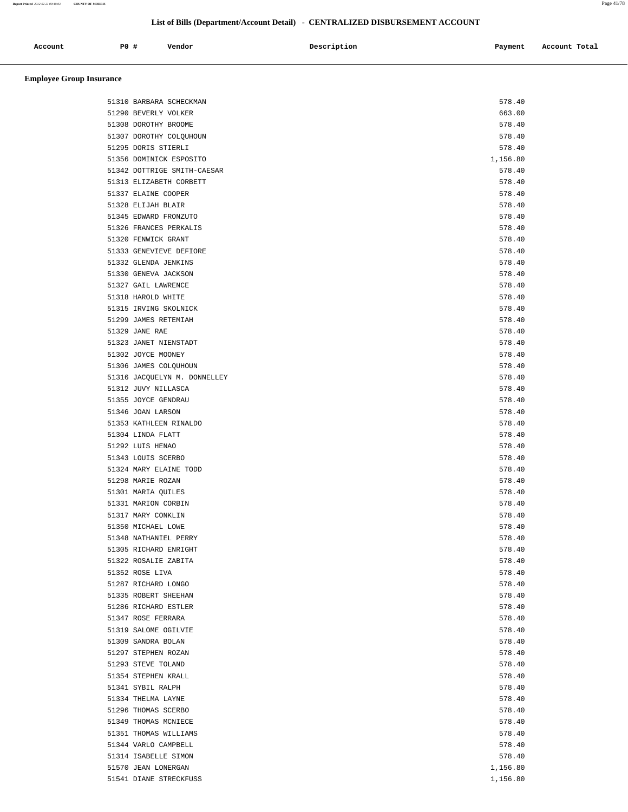# **List of Bills (Department/Account Detail) - CENTRALIZED DISBURSEMENT ACCOUNT**

| Account<br>. | PO# | Vendor | Description | Payment | Account Total |
|--------------|-----|--------|-------------|---------|---------------|
|              |     |        |             |         |               |

| 51310 BARBARA SCHECKMAN      | 578.40   |
|------------------------------|----------|
| 51290 BEVERLY VOLKER         | 663.00   |
| 51308 DOROTHY BROOME         | 578.40   |
| 51307 DOROTHY COLQUHOUN      | 578.40   |
| 51295 DORIS STIERLI          | 578.40   |
| 51356 DOMINICK ESPOSITO      | 1,156.80 |
| 51342 DOTTRIGE SMITH-CAESAR  | 578.40   |
| 51313 ELIZABETH CORBETT      | 578.40   |
| 51337 ELAINE COOPER          | 578.40   |
| 51328 ELIJAH BLAIR           | 578.40   |
| 51345 EDWARD FRONZUTO        | 578.40   |
| 51326 FRANCES PERKALIS       | 578.40   |
| 51320 FENWICK GRANT          | 578.40   |
| 51333 GENEVIEVE DEFIORE      | 578.40   |
| 51332 GLENDA JENKINS         | 578.40   |
| 51330 GENEVA JACKSON         | 578.40   |
| 51327 GAIL LAWRENCE          | 578.40   |
| 51318 HAROLD WHITE           | 578.40   |
| 51315 IRVING SKOLNICK        | 578.40   |
| 51299 JAMES RETEMIAH         | 578.40   |
| 51329 JANE RAE               | 578.40   |
| 51323 JANET NIENSTADT        | 578.40   |
| 51302 JOYCE MOONEY           | 578.40   |
| 51306 JAMES COLQUHOUN        | 578.40   |
| 51316 JACQUELYN M. DONNELLEY | 578.40   |
| 51312 JUVY NILLASCA          | 578.40   |
| 51355 JOYCE GENDRAU          | 578.40   |
| 51346 JOAN LARSON            | 578.40   |
| 51353 KATHLEEN RINALDO       | 578.40   |
| 51304 LINDA FLATT            | 578.40   |
| 51292 LUIS HENAO             | 578.40   |
| 51343 LOUIS SCERBO           | 578.40   |
| 51324 MARY ELAINE TODD       | 578.40   |
|                              |          |
| 51298 MARIE ROZAN            | 578.40   |
| 51301 MARIA QUILES           | 578.40   |
| 51331 MARION CORBIN          | 578.40   |
| 51317 MARY CONKLIN           | 578.40   |
| 51350 MICHAEL LOWE           | 578.40   |
| 51348 NATHANIEL PERRY        | 578.40   |
| 51305 RICHARD ENRIGHT        | 578.40   |
| 51322 ROSALIE ZABITA         | 578.40   |
| 51352 ROSE LIVA              | 578.40   |
| 51287 RICHARD LONGO          | 578.40   |
| 51335 ROBERT SHEEHAN         | 578.40   |
| 51286 RICHARD ESTLER         | 578.40   |
| 51347 ROSE FERRARA           | 578.40   |
| 51319 SALOME OGILVIE         | 578.40   |
| 51309 SANDRA BOLAN           | 578.40   |
| 51297 STEPHEN ROZAN          | 578.40   |
| 51293 STEVE TOLAND           | 578.40   |
| 51354 STEPHEN KRALL          | 578.40   |
| 51341 SYBIL RALPH            | 578.40   |
| 51334 THELMA LAYNE           | 578.40   |
| 51296 THOMAS SCERBO          | 578.40   |
| 51349 THOMAS MCNIECE         | 578.40   |
| 51351 THOMAS WILLIAMS        | 578.40   |
| 51344 VARLO CAMPBELL         | 578.40   |
| 51314 ISABELLE SIMON         | 578.40   |
| 51570 JEAN LONERGAN          | 1,156.80 |
| 51541 DIANE STRECKFUSS       | 1,156.80 |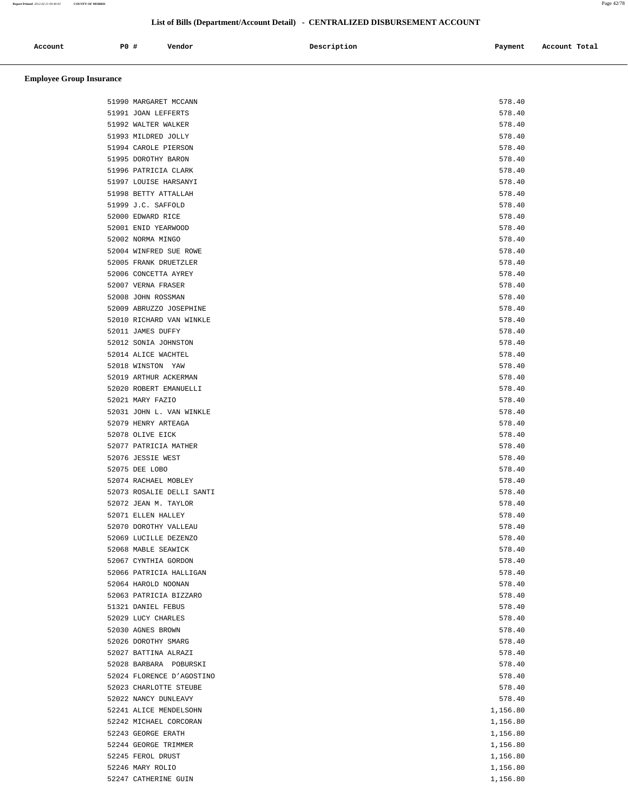**Report Printed** *2012-02-21 09:40:03* **COUNTY OF MORRIS** Page 42/78

# **List of Bills (Department/Account Detail) - CENTRALIZED DISBURSEMENT ACCOUNT**

| Account | $P0$ ; | Vendor | Description | Payment | Account Total |
|---------|--------|--------|-------------|---------|---------------|
|         |        |        |             |         |               |

| 51990 MARGARET MCCANN     | 578.40   |
|---------------------------|----------|
| 51991 JOAN LEFFERTS       | 578.40   |
| 51992 WALTER WALKER       | 578.40   |
| 51993 MILDRED JOLLY       | 578.40   |
| 51994 CAROLE PIERSON      | 578.40   |
| 51995 DOROTHY BARON       | 578.40   |
| 51996 PATRICIA CLARK      | 578.40   |
| 51997 LOUISE HARSANYI     | 578.40   |
| 51998 BETTY ATTALLAH      | 578.40   |
| 51999 J.C. SAFFOLD        | 578.40   |
| 52000 EDWARD RICE         | 578.40   |
| 52001 ENID YEARWOOD       | 578.40   |
| 52002 NORMA MINGO         | 578.40   |
| 52004 WINFRED SUE ROWE    | 578.40   |
| 52005 FRANK DRUETZLER     | 578.40   |
| 52006 CONCETTA AYREY      | 578.40   |
| 52007 VERNA FRASER        | 578.40   |
| 52008 JOHN ROSSMAN        | 578.40   |
| 52009 ABRUZZO JOSEPHINE   | 578.40   |
| 52010 RICHARD VAN WINKLE  | 578.40   |
| 52011 JAMES DUFFY         | 578.40   |
| 52012 SONIA JOHNSTON      | 578.40   |
| 52014 ALICE WACHTEL       | 578.40   |
| 52018 WINSTON YAW         | 578.40   |
| 52019 ARTHUR ACKERMAN     | 578.40   |
| 52020 ROBERT EMANUELLI    | 578.40   |
| 52021 MARY FAZIO          | 578.40   |
| 52031 JOHN L. VAN WINKLE  | 578.40   |
| 52079 HENRY ARTEAGA       | 578.40   |
| 52078 OLIVE EICK          | 578.40   |
| 52077 PATRICIA MATHER     | 578.40   |
| 52076 JESSIE WEST         | 578.40   |
| 52075 DEE LOBO            | 578.40   |
| 52074 RACHAEL MOBLEY      | 578.40   |
| 52073 ROSALIE DELLI SANTI | 578.40   |
| 52072 JEAN M. TAYLOR      | 578.40   |
| 52071 ELLEN HALLEY        | 578.40   |
| 52070 DOROTHY VALLEAU     | 578.40   |
| 52069 LUCILLE DEZENZO     | 578.40   |
| 52068 MABLE SEAWICK       | 578.40   |
| 52067 CYNTHIA GORDON      | 578.40   |
| 52066 PATRICIA HALLIGAN   | 578.40   |
| 52064 HAROLD NOONAN       | 578.40   |
| 52063 PATRICIA BIZZARO    | 578.40   |
| 51321 DANIEL FEBUS        | 578.40   |
| 52029 LUCY CHARLES        | 578.40   |
| 52030 AGNES BROWN         | 578.40   |
| 52026 DOROTHY SMARG       | 578.40   |
| 52027 BATTINA ALRAZI      | 578.40   |
| 52028 BARBARA POBURSKI    | 578.40   |
| 52024 FLORENCE D'AGOSTINO | 578.40   |
| 52023 CHARLOTTE STEUBE    | 578.40   |
| 52022 NANCY DUNLEAVY      | 578.40   |
| 52241 ALICE MENDELSOHN    | 1,156.80 |
| 52242 MICHAEL CORCORAN    | 1,156.80 |
| 52243 GEORGE ERATH        | 1,156.80 |
| 52244 GEORGE TRIMMER      | 1,156.80 |
| 52245 FEROL DRUST         | 1,156.80 |
| 52246 MARY ROLIO          | 1,156.80 |
| 52247 CATHERINE GUIN      | 1,156.80 |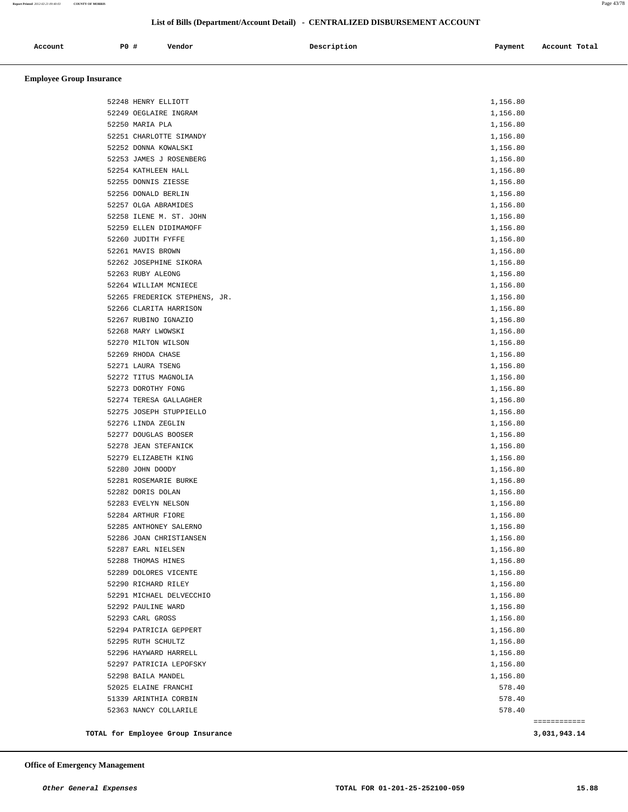**Report Printed** *2012-02-21 09:40:03* **COUNTY OF MORRIS** Page 43/78

#### **List of Bills (Department/Account Detail) - CENTRALIZED DISBURSEMENT ACCOUNT**

| Account | PO# | Vendor | Description | Payment | Account Total |
|---------|-----|--------|-------------|---------|---------------|
|         |     |        |             |         |               |

| TOTAL for Employee Group Insurance           |                      | 3,031,943.14 |
|----------------------------------------------|----------------------|--------------|
|                                              |                      | ============ |
| 52363 NANCY COLLARILE                        | 578.40               |              |
| 51339 ARINTHIA CORBIN                        | 578.40               |              |
| 52025 ELAINE FRANCHI                         | 578.40               |              |
| 52298 BAILA MANDEL                           | 1,156.80             |              |
| 52297 PATRICIA LEPOFSKY                      | 1,156.80             |              |
| 52296 HAYWARD HARRELL                        | 1,156.80             |              |
| 52294 PATRICIA GEPPERT<br>52295 RUTH SCHULTZ | 1,156.80<br>1,156.80 |              |
| 52293 CARL GROSS                             | 1,156.80             |              |
| 52292 PAULINE WARD                           | 1,156.80             |              |
| 52291 MICHAEL DELVECCHIO                     | 1,156.80             |              |
| 52290 RICHARD RILEY                          | 1,156.80             |              |
| 52289 DOLORES VICENTE                        | 1,156.80             |              |
| 52288 THOMAS HINES                           | 1,156.80             |              |
| 52287 EARL NIELSEN                           | 1,156.80             |              |
| 52286 JOAN CHRISTIANSEN                      | 1,156.80             |              |
| 52285 ANTHONEY SALERNO                       | 1,156.80             |              |
| 52284 ARTHUR FIORE                           | 1,156.80             |              |
| 52283 EVELYN NELSON                          | 1,156.80             |              |
| 52282 DORIS DOLAN                            | 1,156.80             |              |
| 52281 ROSEMARIE BURKE                        | 1,156.80             |              |
| 52280 JOHN DOODY                             | 1,156.80             |              |
| 52279 ELIZABETH KING                         | 1,156.80             |              |
| 52278 JEAN STEFANICK                         | 1,156.80             |              |
| 52277 DOUGLAS BOOSER                         | 1,156.80             |              |
| 52276 LINDA ZEGLIN                           | 1,156.80             |              |
| 52275 JOSEPH STUPPIELLO                      | 1,156.80             |              |
| 52274 TERESA GALLAGHER                       | 1,156.80             |              |
| 52273 DOROTHY FONG                           | 1,156.80             |              |
| 52272 TITUS MAGNOLIA                         | 1,156.80             |              |
| 52271 LAURA TSENG                            | 1,156.80             |              |
| 52269 RHODA CHASE                            | 1,156.80             |              |
| 52270 MILTON WILSON                          | 1,156.80             |              |
| 52268 MARY LWOWSKI                           | 1,156.80             |              |
| 52267 RUBINO IGNAZIO                         | 1,156.80             |              |
| 52266 CLARITA HARRISON                       | 1,156.80             |              |
| 52265 FREDERICK STEPHENS, JR.                | 1,156.80             |              |
| 52264 WILLIAM MCNIECE                        | 1,156.80             |              |
| 52263 RUBY ALEONG                            | 1,156.80             |              |
| 52262 JOSEPHINE SIKORA                       | 1,156.80             |              |
| 52261 MAVIS BROWN                            | 1,156.80             |              |
| 52260 JUDITH FYFFE                           | 1,156.80             |              |
| 52259 ELLEN DIDIMAMOFF                       | 1,156.80             |              |
| 52258 ILENE M. ST. JOHN                      | 1,156.80             |              |
| 52257 OLGA ABRAMIDES                         | 1,156.80             |              |
| 52256 DONALD BERLIN                          | 1,156.80             |              |
| 52255 DONNIS ZIESSE                          | 1,156.80             |              |
| 52254 KATHLEEN HALL                          | 1,156.80             |              |
| 52253 JAMES J ROSENBERG                      | 1,156.80             |              |
| 52252 DONNA KOWALSKI                         | 1,156.80             |              |
| 52251 CHARLOTTE SIMANDY                      | 1,156.80<br>1,156.80 |              |
| 52249 OEGLAIRE INGRAM<br>52250 MARIA PLA     | 1,156.80             |              |
| 52248 HENRY ELLIOTT                          | 1,156.80             |              |
|                                              |                      |              |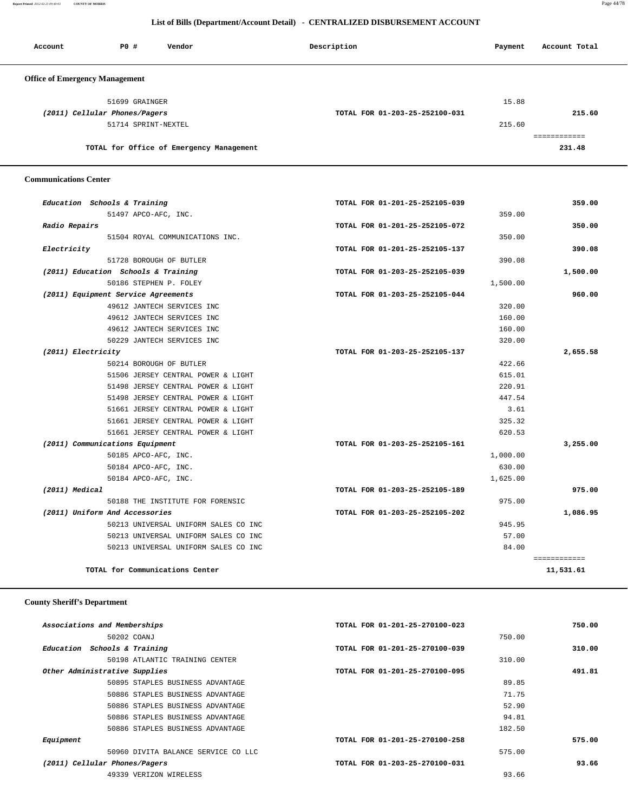**Report Printed** *2012-02-21 09:40:03* **COUNTY OF MORRIS** Page 44/78

#### **List of Bills (Department/Account Detail) - CENTRALIZED DISBURSEMENT ACCOUNT**

| Account                               | PO#                           | Vendor                                   | Description                    | Payment | Account Total |
|---------------------------------------|-------------------------------|------------------------------------------|--------------------------------|---------|---------------|
| <b>Office of Emergency Management</b> |                               |                                          |                                |         |               |
|                                       | 51699 GRAINGER                |                                          |                                | 15.88   |               |
|                                       | (2011) Cellular Phones/Pagers |                                          | TOTAL FOR 01-203-25-252100-031 |         | 215.60        |
|                                       | 51714 SPRINT-NEXTEL           |                                          |                                | 215.60  |               |
|                                       |                               |                                          |                                |         |               |
|                                       |                               | TOTAL for Office of Emergency Management |                                |         | 231.48        |

#### **Communications Center**

| Education Schools & Training         | TOTAL FOR 01-201-25-252105-039 | 359.00       |
|--------------------------------------|--------------------------------|--------------|
| 51497 APCO-AFC, INC.                 | 359.00                         |              |
| Radio Repairs                        | TOTAL FOR 01-201-25-252105-072 | 350.00       |
| 51504 ROYAL COMMUNICATIONS INC.      | 350.00                         |              |
| Electricity                          | TOTAL FOR 01-201-25-252105-137 | 390.08       |
| 51728 BOROUGH OF BUTLER              | 390.08                         |              |
| (2011) Education Schools & Training  | TOTAL FOR 01-203-25-252105-039 | 1,500.00     |
| 50186 STEPHEN P. FOLEY               | 1,500.00                       |              |
| (2011) Equipment Service Agreements  | TOTAL FOR 01-203-25-252105-044 | 960.00       |
| 49612 JANTECH SERVICES INC           | 320.00                         |              |
| 49612 JANTECH SERVICES INC           | 160.00                         |              |
| 49612 JANTECH SERVICES INC           | 160.00                         |              |
| 50229 JANTECH SERVICES INC           | 320.00                         |              |
| (2011) Electricity                   | TOTAL FOR 01-203-25-252105-137 | 2,655.58     |
| 50214 BOROUGH OF BUTLER              | 422.66                         |              |
| 51506 JERSEY CENTRAL POWER & LIGHT   | 615.01                         |              |
| 51498 JERSEY CENTRAL POWER & LIGHT   | 220.91                         |              |
| 51498 JERSEY CENTRAL POWER & LIGHT   | 447.54                         |              |
| 51661 JERSEY CENTRAL POWER & LIGHT   | 3.61                           |              |
| 51661 JERSEY CENTRAL POWER & LIGHT   | 325.32                         |              |
| 51661 JERSEY CENTRAL POWER & LIGHT   | 620.53                         |              |
| (2011) Communications Equipment      | TOTAL FOR 01-203-25-252105-161 | 3,255.00     |
| 50185 APCO-AFC, INC.                 | 1,000.00                       |              |
| 50184 APCO-AFC, INC.                 | 630.00                         |              |
| 50184 APCO-AFC, INC.                 | 1,625.00                       |              |
| (2011) Medical                       | TOTAL FOR 01-203-25-252105-189 | 975.00       |
| 50188 THE INSTITUTE FOR FORENSIC     | 975.00                         |              |
| (2011) Uniform And Accessories       | TOTAL FOR 01-203-25-252105-202 | 1,086.95     |
| 50213 UNIVERSAL UNIFORM SALES CO INC | 945.95                         |              |
| 50213 UNIVERSAL UNIFORM SALES CO INC | 57.00                          |              |
| 50213 UNIVERSAL UNIFORM SALES CO INC | 84.00                          |              |
|                                      |                                | ============ |
| TOTAL for Communications Center      |                                | 11,531.61    |

# **County Sheriff's Department**

| Associations and Memberships        | TOTAL FOR 01-201-25-270100-023 | 750.00 |
|-------------------------------------|--------------------------------|--------|
| 50202 COANJ                         | 750.00                         |        |
| Education Schools & Training        | TOTAL FOR 01-201-25-270100-039 | 310.00 |
| 50198 ATLANTIC TRAINING CENTER      | 310.00                         |        |
| Other Administrative Supplies       | TOTAL FOR 01-201-25-270100-095 | 491.81 |
| 50895 STAPLES BUSINESS ADVANTAGE    | 89.85                          |        |
| 50886 STAPLES BUSINESS ADVANTAGE    | 71.75                          |        |
| 50886 STAPLES BUSINESS ADVANTAGE    | 52.90                          |        |
| 50886 STAPLES BUSINESS ADVANTAGE    | 94.81                          |        |
| 50886 STAPLES BUSINESS ADVANTAGE    | 182.50                         |        |
| Equipment                           | TOTAL FOR 01-201-25-270100-258 | 575.00 |
| 50960 DIVITA BALANCE SERVICE CO LLC | 575.00                         |        |
| (2011) Cellular Phones/Pagers       | TOTAL FOR 01-203-25-270100-031 | 93.66  |
| 49339 VERIZON WIRELESS              | 93.66                          |        |
|                                     |                                |        |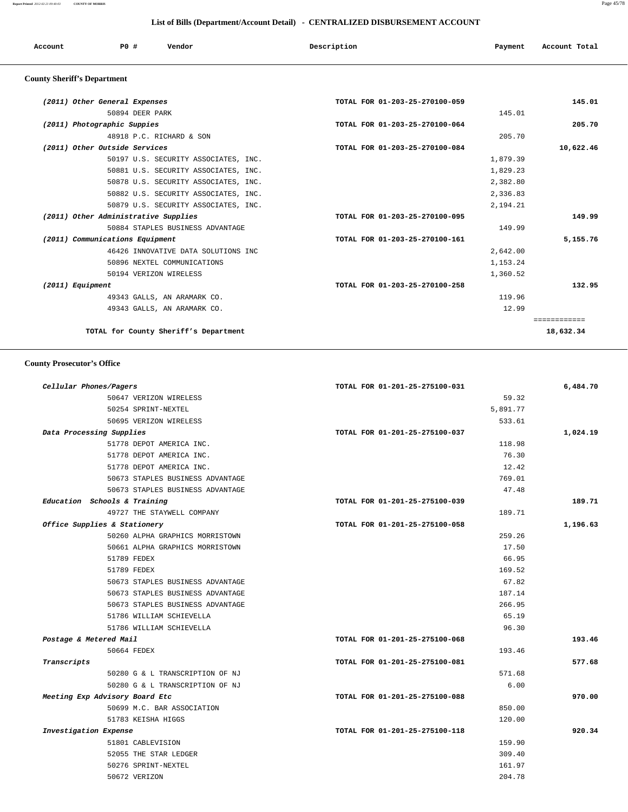#### **List of Bills (Department/Account Detail) - CENTRALIZED DISBURSEMENT ACCOUNT**

| Account                            | P0 # | Vendor | Description | Payment | Account Total |
|------------------------------------|------|--------|-------------|---------|---------------|
| <b>County Sheriff's Department</b> |      |        |             |         |               |

| (2011) Other General Expenses        |                                       | TOTAL FOR 01-203-25-270100-059 | 145.01    |
|--------------------------------------|---------------------------------------|--------------------------------|-----------|
|                                      | 50894 DEER PARK                       | 145.01                         |           |
| (2011) Photographic Suppies          |                                       | TOTAL FOR 01-203-25-270100-064 | 205.70    |
|                                      | 48918 P.C. RICHARD & SON              | 205.70                         |           |
| (2011) Other Outside Services        |                                       | TOTAL FOR 01-203-25-270100-084 | 10,622.46 |
|                                      | 50197 U.S. SECURITY ASSOCIATES, INC.  | 1,879.39                       |           |
|                                      | 50881 U.S. SECURITY ASSOCIATES, INC.  | 1,829.23                       |           |
|                                      | 50878 U.S. SECURITY ASSOCIATES, INC.  | 2,382.80                       |           |
|                                      | 50882 U.S. SECURITY ASSOCIATES, INC.  | 2,336.83                       |           |
|                                      | 50879 U.S. SECURITY ASSOCIATES, INC.  | 2,194.21                       |           |
| (2011) Other Administrative Supplies |                                       | TOTAL FOR 01-203-25-270100-095 | 149.99    |
|                                      | 50884 STAPLES BUSINESS ADVANTAGE      | 149.99                         |           |
| (2011) Communications Equipment      |                                       | TOTAL FOR 01-203-25-270100-161 | 5,155.76  |
|                                      | 46426 INNOVATIVE DATA SOLUTIONS INC   | 2,642.00                       |           |
|                                      | 50896 NEXTEL COMMUNICATIONS           | 1,153.24                       |           |
|                                      | 50194 VERIZON WIRELESS                | 1,360.52                       |           |
| (2011) Equipment                     |                                       | TOTAL FOR 01-203-25-270100-258 | 132.95    |
|                                      | 49343 GALLS, AN ARAMARK CO.           | 119.96                         |           |
|                                      | 49343 GALLS, AN ARAMARK CO.           | 12.99                          |           |
|                                      |                                       |                                |           |
|                                      | TOTAL for County Sheriff's Department |                                | 18,632.34 |
|                                      |                                       |                                |           |

#### **County Prosecutor's Office**

| Cellular Phones/Pagers           | TOTAL FOR 01-201-25-275100-031 | 6,484.70 |
|----------------------------------|--------------------------------|----------|
| 50647 VERIZON WIRELESS           | 59.32                          |          |
| 50254 SPRINT-NEXTEL              | 5,891.77                       |          |
| 50695 VERIZON WIRELESS           | 533.61                         |          |
| Data Processing Supplies         | TOTAL FOR 01-201-25-275100-037 | 1,024.19 |
| 51778 DEPOT AMERICA INC.         | 118.98                         |          |
| 51778 DEPOT AMERICA INC.         | 76.30                          |          |
| 51778 DEPOT AMERICA INC.         | 12.42                          |          |
| 50673 STAPLES BUSINESS ADVANTAGE | 769.01                         |          |
| 50673 STAPLES BUSINESS ADVANTAGE | 47.48                          |          |
| Education Schools & Training     | TOTAL FOR 01-201-25-275100-039 | 189.71   |
| 49727 THE STAYWELL COMPANY       | 189.71                         |          |
| Office Supplies & Stationery     | TOTAL FOR 01-201-25-275100-058 | 1,196.63 |
| 50260 ALPHA GRAPHICS MORRISTOWN  | 259.26                         |          |
| 50661 ALPHA GRAPHICS MORRISTOWN  | 17.50                          |          |
| 51789 FEDEX                      | 66.95                          |          |
| 51789 FEDEX                      | 169.52                         |          |
| 50673 STAPLES BUSINESS ADVANTAGE | 67.82                          |          |
| 50673 STAPLES BUSINESS ADVANTAGE | 187.14                         |          |
| 50673 STAPLES BUSINESS ADVANTAGE | 266.95                         |          |
| 51786 WILLIAM SCHIEVELLA         | 65.19                          |          |
| 51786 WILLIAM SCHIEVELLA         | 96.30                          |          |
| Postage & Metered Mail           | TOTAL FOR 01-201-25-275100-068 | 193.46   |
| 50664 FEDEX                      | 193.46                         |          |
| Transcripts                      | TOTAL FOR 01-201-25-275100-081 | 577.68   |
| 50280 G & L TRANSCRIPTION OF NJ  | 571.68                         |          |
| 50280 G & L TRANSCRIPTION OF NJ  | 6.00                           |          |
| Meeting Exp Advisory Board Etc   | TOTAL FOR 01-201-25-275100-088 | 970.00   |
| 50699 M.C. BAR ASSOCIATION       | 850.00                         |          |
| 51783 KEISHA HIGGS               | 120.00                         |          |
| Investigation Expense            | TOTAL FOR 01-201-25-275100-118 | 920.34   |
| 51801 CABLEVISION                | 159.90                         |          |
| 52055 THE STAR LEDGER            | 309.40                         |          |
| 50276 SPRINT-NEXTEL              | 161.97                         |          |
| 50672 VERIZON                    | 204.78                         |          |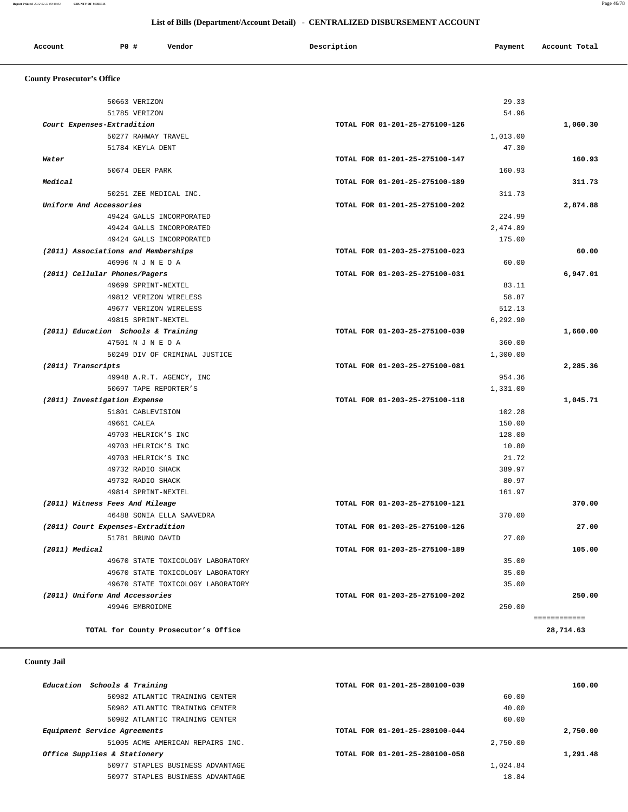#### **List of Bills (Department/Account Detail) - CENTRALIZED DISBURSEMENT ACCOUNT**

| Account<br>. | P0 # | Vendor | Description | Payment | Account Total |
|--------------|------|--------|-------------|---------|---------------|
|              |      |        |             |         |               |

# **County Prosecutor's Office**

| 50663 VERIZON                                     |                                   |                                | 29.33             |          |
|---------------------------------------------------|-----------------------------------|--------------------------------|-------------------|----------|
|                                                   |                                   |                                | 54.96             |          |
| 51785 VERIZON                                     |                                   |                                |                   |          |
| Court Expenses-Extradition                        |                                   | TOTAL FOR 01-201-25-275100-126 |                   | 1,060.30 |
| 51784 KEYLA DENT                                  | 50277 RAHWAY TRAVEL               |                                | 1,013.00<br>47.30 |          |
|                                                   |                                   |                                |                   | 160.93   |
| Water                                             |                                   | TOTAL FOR 01-201-25-275100-147 |                   |          |
| 50674 DEER PARK                                   |                                   |                                | 160.93            |          |
| Medical                                           |                                   | TOTAL FOR 01-201-25-275100-189 |                   | 311.73   |
|                                                   | 50251 ZEE MEDICAL INC.            |                                | 311.73            |          |
| Uniform And Accessories                           |                                   | TOTAL FOR 01-201-25-275100-202 |                   | 2,874.88 |
|                                                   | 49424 GALLS INCORPORATED          |                                | 224.99            |          |
|                                                   | 49424 GALLS INCORPORATED          |                                | 2,474.89          |          |
|                                                   | 49424 GALLS INCORPORATED          |                                | 175.00            |          |
| (2011) Associations and Memberships               |                                   | TOTAL FOR 01-203-25-275100-023 |                   | 60.00    |
| 46996 N J N E O A                                 |                                   |                                | 60.00             |          |
| (2011) Cellular Phones/Pagers                     |                                   | TOTAL FOR 01-203-25-275100-031 |                   | 6,947.01 |
|                                                   | 49699 SPRINT-NEXTEL               |                                | 83.11             |          |
|                                                   | 49812 VERIZON WIRELESS            |                                | 58.87             |          |
|                                                   | 49677 VERIZON WIRELESS            |                                | 512.13            |          |
|                                                   | 49815 SPRINT-NEXTEL               |                                | 6,292.90          |          |
| (2011) Education Schools & Training               |                                   | TOTAL FOR 01-203-25-275100-039 |                   | 1,660.00 |
| 47501 N J N E O A                                 |                                   |                                | 360.00            |          |
|                                                   | 50249 DIV OF CRIMINAL JUSTICE     |                                | 1,300.00          |          |
| (2011) Transcripts                                |                                   | TOTAL FOR 01-203-25-275100-081 |                   | 2,285.36 |
|                                                   | 49948 A.R.T. AGENCY, INC          |                                | 954.36            |          |
|                                                   | 50697 TAPE REPORTER'S             |                                | 1,331.00          |          |
| (2011) Investigation Expense                      |                                   | TOTAL FOR 01-203-25-275100-118 |                   | 1,045.71 |
| 51801 CABLEVISION                                 |                                   |                                | 102.28            |          |
| 49661 CALEA                                       |                                   |                                | 150.00            |          |
|                                                   | 49703 HELRICK'S INC               |                                | 128.00            |          |
|                                                   | 49703 HELRICK'S INC               |                                | 10.80             |          |
|                                                   | 49703 HELRICK'S INC               |                                | 21.72             |          |
| 49732 RADIO SHACK                                 |                                   |                                | 389.97            |          |
| 49732 RADIO SHACK                                 |                                   |                                | 80.97             |          |
|                                                   | 49814 SPRINT-NEXTEL               |                                | 161.97            |          |
| (2011) Witness Fees And Mileage                   |                                   | TOTAL FOR 01-203-25-275100-121 |                   | 370.00   |
|                                                   | 46488 SONIA ELLA SAAVEDRA         |                                | 370.00            |          |
| (2011) Court Expenses-Extradition                 |                                   | TOTAL FOR 01-203-25-275100-126 |                   | 27.00    |
| 51781 BRUNO DAVID                                 |                                   |                                | 27.00             |          |
| (2011) Medical                                    |                                   | TOTAL FOR 01-203-25-275100-189 |                   | 105.00   |
|                                                   | 49670 STATE TOXICOLOGY LABORATORY |                                | 35.00             |          |
|                                                   | 49670 STATE TOXICOLOGY LABORATORY |                                | 35.00             |          |
|                                                   |                                   |                                | 35.00             |          |
|                                                   |                                   |                                |                   |          |
|                                                   | 49670 STATE TOXICOLOGY LABORATORY |                                |                   |          |
| (2011) Uniform And Accessories<br>49946 EMBROIDME |                                   | TOTAL FOR 01-203-25-275100-202 | 250.00            | 250.00   |

#### **County Jail**

| Education Schools & Training     | TOTAL FOR 01-201-25-280100-039 | 160.00   |
|----------------------------------|--------------------------------|----------|
| 50982 ATLANTIC TRAINING CENTER   | 60.00                          |          |
| 50982 ATLANTIC TRAINING CENTER   | 40.00                          |          |
| 50982 ATLANTIC TRAINING CENTER   | 60.00                          |          |
| Equipment Service Agreements     | TOTAL FOR 01-201-25-280100-044 | 2,750.00 |
| 51005 ACME AMERICAN REPAIRS INC. | 2,750.00                       |          |
| Office Supplies & Stationery     | TOTAL FOR 01-201-25-280100-058 | 1,291.48 |
| 50977 STAPLES BUSINESS ADVANTAGE | 1,024.84                       |          |
| 50977 STAPLES BUSINESS ADVANTAGE | 18.84                          |          |
|                                  |                                |          |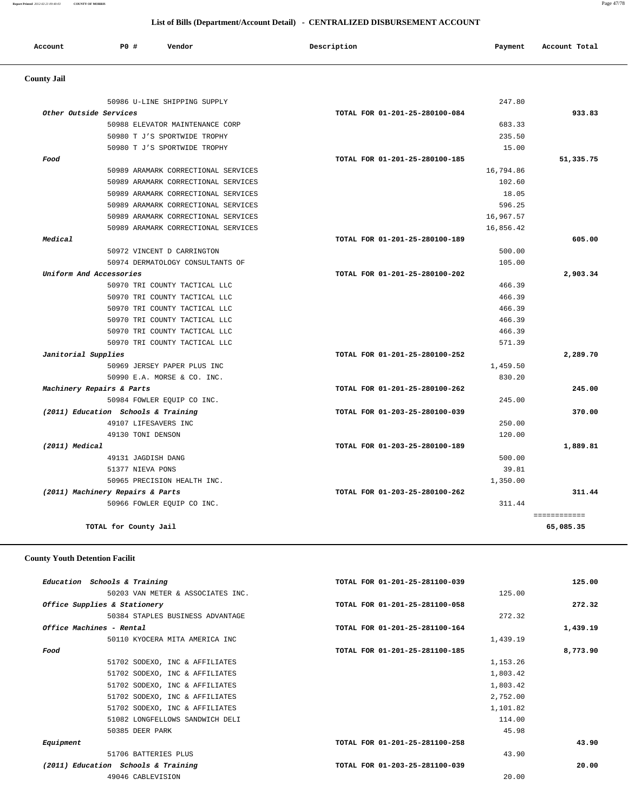**Report Printed** *2012-02-21 09:40:03* **COUNTY OF MORRIS** Page 47/78

#### **List of Bills (Department/Account Detail) - CENTRALIZED DISBURSEMENT ACCOUNT**

| <b>sccount</b><br>. | P0 # | Vendor<br>. | Description | Payment | Account Total<br>. |
|---------------------|------|-------------|-------------|---------|--------------------|
|                     |      |             |             |         |                    |

# **County Jail**

|                                     | 50986 U-LINE SHIPPING SUPPLY        |                                | 247.80    |              |
|-------------------------------------|-------------------------------------|--------------------------------|-----------|--------------|
| Other Outside Services              |                                     | TOTAL FOR 01-201-25-280100-084 |           | 933.83       |
|                                     | 50988 ELEVATOR MAINTENANCE CORP     |                                | 683.33    |              |
|                                     | 50980 T J'S SPORTWIDE TROPHY        |                                | 235.50    |              |
|                                     | 50980 T J'S SPORTWIDE TROPHY        |                                | 15.00     |              |
| Food                                |                                     | TOTAL FOR 01-201-25-280100-185 |           | 51,335.75    |
|                                     | 50989 ARAMARK CORRECTIONAL SERVICES |                                | 16,794.86 |              |
|                                     | 50989 ARAMARK CORRECTIONAL SERVICES |                                | 102.60    |              |
|                                     | 50989 ARAMARK CORRECTIONAL SERVICES |                                | 18.05     |              |
|                                     | 50989 ARAMARK CORRECTIONAL SERVICES |                                | 596.25    |              |
|                                     | 50989 ARAMARK CORRECTIONAL SERVICES |                                | 16,967.57 |              |
|                                     | 50989 ARAMARK CORRECTIONAL SERVICES |                                | 16,856.42 |              |
| Medical                             |                                     | TOTAL FOR 01-201-25-280100-189 |           | 605.00       |
| 50972 VINCENT D CARRINGTON          |                                     |                                | 500.00    |              |
|                                     | 50974 DERMATOLOGY CONSULTANTS OF    |                                | 105.00    |              |
| Uniform And Accessories             |                                     | TOTAL FOR 01-201-25-280100-202 |           | 2,903.34     |
|                                     | 50970 TRI COUNTY TACTICAL LLC       |                                | 466.39    |              |
|                                     | 50970 TRI COUNTY TACTICAL LLC       |                                | 466.39    |              |
|                                     | 50970 TRI COUNTY TACTICAL LLC       |                                | 466.39    |              |
|                                     | 50970 TRI COUNTY TACTICAL LLC       |                                | 466.39    |              |
|                                     | 50970 TRI COUNTY TACTICAL LLC       |                                | 466.39    |              |
|                                     | 50970 TRI COUNTY TACTICAL LLC       |                                | 571.39    |              |
| Janitorial Supplies                 |                                     | TOTAL FOR 01-201-25-280100-252 |           | 2,289.70     |
|                                     | 50969 JERSEY PAPER PLUS INC         |                                | 1,459.50  |              |
| 50990 E.A. MORSE & CO. INC.         |                                     |                                | 830.20    |              |
| Machinery Repairs & Parts           |                                     | TOTAL FOR 01-201-25-280100-262 |           | 245.00       |
| 50984 FOWLER EQUIP CO INC.          |                                     |                                | 245.00    |              |
| (2011) Education Schools & Training |                                     | TOTAL FOR 01-203-25-280100-039 |           | 370.00       |
| 49107 LIFESAVERS INC                |                                     |                                | 250.00    |              |
| 49130 TONI DENSON                   |                                     |                                | 120.00    |              |
| (2011) Medical                      |                                     | TOTAL FOR 01-203-25-280100-189 |           | 1,889.81     |
| 49131 JAGDISH DANG                  |                                     |                                | 500.00    |              |
| 51377 NIEVA PONS                    |                                     |                                | 39.81     |              |
| 50965 PRECISION HEALTH INC.         |                                     |                                | 1,350.00  |              |
| (2011) Machinery Repairs & Parts    |                                     | TOTAL FOR 01-203-25-280100-262 |           | 311.44       |
| 50966 FOWLER EQUIP CO INC.          |                                     |                                | 311.44    |              |
|                                     |                                     |                                |           | ============ |
| TOTAL for County Jail               |                                     |                                |           | 65,085.35    |

#### **County Youth Detention Facilit**

| Education Schools & Training        | TOTAL FOR 01-201-25-281100-039 | 125.00   |
|-------------------------------------|--------------------------------|----------|
| 50203 VAN METER & ASSOCIATES INC.   | 125.00                         |          |
| Office Supplies & Stationery        | TOTAL FOR 01-201-25-281100-058 | 272.32   |
| 50384 STAPLES BUSINESS ADVANTAGE    | 272.32                         |          |
| Office Machines - Rental            | TOTAL FOR 01-201-25-281100-164 | 1,439.19 |
| 50110 KYOCERA MITA AMERICA INC      | 1,439.19                       |          |
| Food                                | TOTAL FOR 01-201-25-281100-185 | 8,773.90 |
| 51702 SODEXO, INC & AFFILIATES      | 1,153.26                       |          |
| 51702 SODEXO, INC & AFFILIATES      | 1,803.42                       |          |
| 51702 SODEXO, INC & AFFILIATES      | 1,803.42                       |          |
| 51702 SODEXO, INC & AFFILIATES      | 2,752.00                       |          |
| 51702 SODEXO, INC & AFFILIATES      | 1,101.82                       |          |
| 51082 LONGFELLOWS SANDWICH DELI     | 114.00                         |          |
| 50385 DEER PARK                     | 45.98                          |          |
| Equipment                           | TOTAL FOR 01-201-25-281100-258 | 43.90    |
| 51706 BATTERIES PLUS                | 43.90                          |          |
| (2011) Education Schools & Training | TOTAL FOR 01-203-25-281100-039 | 20.00    |
| 49046 CABLEVISION                   | 20.00                          |          |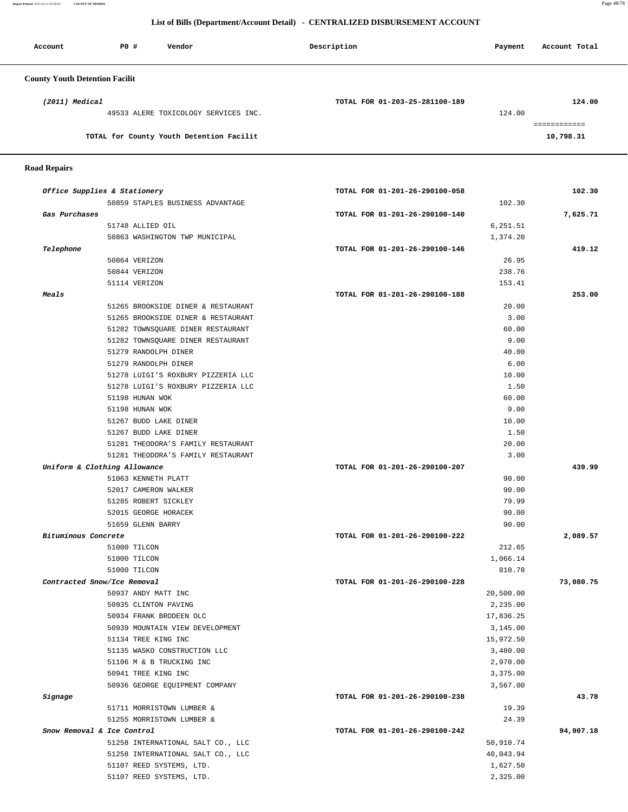**Report Printed** *2012-02-21 09:40:03* **COUNTY OF MORRIS** Page 48/78

#### **List of Bills (Department/Account Detail) - CENTRALIZED DISBURSEMENT ACCOUNT**

| Account                               | PO# | Vendor                                   | Description                    | Payment | Account Total |
|---------------------------------------|-----|------------------------------------------|--------------------------------|---------|---------------|
| <b>County Youth Detention Facilit</b> |     |                                          |                                |         |               |
| (2011) Medical                        |     |                                          | TOTAL FOR 01-203-25-281100-189 |         | 124.00        |
|                                       |     | 49533 ALERE TOXICOLOGY SERVICES INC.     |                                | 124.00  |               |
|                                       |     |                                          |                                |         | ============  |
|                                       |     | TOTAL for County Youth Detention Facilit |                                |         | 10,798.31     |

#### **Road Repairs**

|                     | Office Supplies & Stationery                                  | TOTAL FOR 01-201-26-290100-058 |           |
|---------------------|---------------------------------------------------------------|--------------------------------|-----------|
|                     | 50859 STAPLES BUSINESS ADVANTAGE                              | 102.30                         |           |
| Gas Purchases       |                                                               | TOTAL FOR 01-201-26-290100-140 | 7,625.71  |
|                     | 51748 ALLIED OIL                                              | 6,251.51                       |           |
|                     | 50863 WASHINGTON TWP MUNICIPAL                                | 1,374.20                       |           |
| Telephone           |                                                               | TOTAL FOR 01-201-26-290100-146 |           |
|                     | 50864 VERIZON                                                 | 26.95                          |           |
|                     | 50844 VERIZON                                                 | 238.76                         |           |
|                     | 51114 VERIZON                                                 | 153.41                         |           |
| Meals               |                                                               | TOTAL FOR 01-201-26-290100-188 | 253.00    |
|                     | 51265 BROOKSIDE DINER & RESTAURANT                            | 20.00                          |           |
|                     | 51265 BROOKSIDE DINER & RESTAURANT                            | 3.00                           |           |
|                     | 51282 TOWNSQUARE DINER RESTAURANT                             | 60.00                          |           |
|                     | 51282 TOWNSQUARE DINER RESTAURANT                             | 9.00                           |           |
|                     | 51279 RANDOLPH DINER                                          | 40.00                          |           |
|                     | 51279 RANDOLPH DINER                                          | 6.00                           |           |
|                     | 51278 LUIGI'S ROXBURY PIZZERIA LLC                            | 10.00                          |           |
|                     | 51278 LUIGI'S ROXBURY PIZZERIA LLC                            | 1.50                           |           |
|                     | 51198 HUNAN WOK                                               | 60.00                          |           |
|                     | 51198 HUNAN WOK                                               | 9.00                           |           |
|                     | 51267 BUDD LAKE DINER                                         | 10.00                          |           |
|                     | 51267 BUDD LAKE DINER                                         | 1.50                           |           |
|                     | 51281 THEODORA'S FAMILY RESTAURANT                            | 20.00                          |           |
|                     | 51281 THEODORA'S FAMILY RESTAURANT                            | 3.00                           |           |
|                     | Uniform & Clothing Allowance                                  | TOTAL FOR 01-201-26-290100-207 | 439.99    |
|                     | 51063 KENNETH PLATT                                           | 90.00                          |           |
|                     | 52017 CAMERON WALKER                                          | 90.00                          |           |
|                     | 51285 ROBERT SICKLEY                                          | 79.99                          |           |
|                     | 52015 GEORGE HORACEK                                          | 90.00                          |           |
|                     | 51659 GLENN BARRY                                             | 90.00                          |           |
| Bituminous Concrete |                                                               | TOTAL FOR 01-201-26-290100-222 | 2,089.57  |
|                     | 51000 TILCON                                                  | 212.65                         |           |
|                     | 51000 TILCON                                                  | 1,066.14                       |           |
|                     | 51000 TILCON                                                  | 810.78                         |           |
|                     | Contracted Snow/Ice Removal                                   | TOTAL FOR 01-201-26-290100-228 | 73,080.75 |
|                     | 50937 ANDY MATT INC                                           | 20,500.00                      |           |
|                     | 50935 CLINTON PAVING                                          | 2,235.00                       |           |
|                     | 50934 FRANK BRODEEN OLC                                       | 17,836.25                      |           |
|                     | 50939 MOUNTAIN VIEW DEVELOPMENT                               | 3,145.00                       |           |
|                     | 51134 TREE KING INC                                           | 15,972.50                      |           |
|                     | 51135 WASKO CONSTRUCTION LLC                                  | 3,480.00                       |           |
|                     | 51106 M & B TRUCKING INC                                      | 2,970.00                       |           |
|                     | 50941 TREE KING INC                                           | 3,375.00                       |           |
|                     | 50936 GEORGE EOUIPMENT COMPANY                                | 3,567.00                       |           |
| Signage             |                                                               | TOTAL FOR 01-201-26-290100-238 |           |
|                     | 51711 MORRISTOWN LUMBER &                                     | 19.39                          |           |
|                     |                                                               | 24.39                          |           |
|                     |                                                               |                                |           |
|                     | 51255 MORRISTOWN LUMBER &                                     |                                |           |
|                     | Snow Removal & Ice Control                                    | TOTAL FOR 01-201-26-290100-242 |           |
|                     | 51258 INTERNATIONAL SALT CO., LLC                             | 50,910.74                      | 94,907.18 |
|                     | 51258 INTERNATIONAL SALT CO., LLC<br>51107 REED SYSTEMS, LTD. | 40,043.94<br>1,627.50          |           |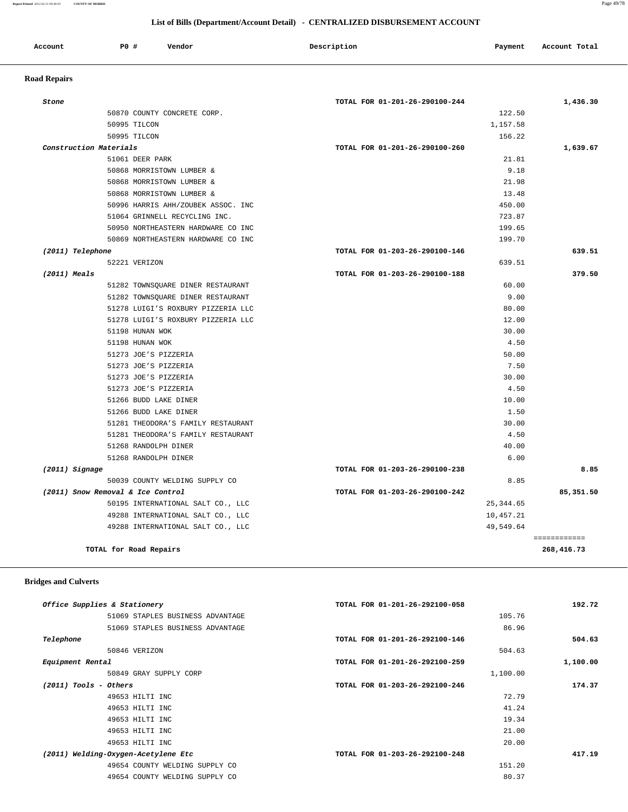**Report Printed** *2012-02-21 09:40:03* **COUNTY OF MORRIS** Page 49/78

#### **List of Bills (Department/Account Detail) - CENTRALIZED DISBURSEMENT ACCOUNT**

| Account | PO # | Vendor | Description | Payment | Account Total |
|---------|------|--------|-------------|---------|---------------|
|         |      |        |             |         |               |

# **Road Repairs**

| 50870 COUNTY CONCRETE CORP.<br>50995 TILCON<br>50995 TILCON<br>Construction Materials<br>51061 DEER PARK | 122.50<br>1,157.58<br>156.22<br>TOTAL FOR 01-201-26-290100-260<br>21.81<br>9.18 |                            |
|----------------------------------------------------------------------------------------------------------|---------------------------------------------------------------------------------|----------------------------|
|                                                                                                          |                                                                                 | 1,639.67                   |
|                                                                                                          |                                                                                 |                            |
|                                                                                                          |                                                                                 |                            |
|                                                                                                          |                                                                                 |                            |
|                                                                                                          |                                                                                 |                            |
| 50868 MORRISTOWN LUMBER &                                                                                |                                                                                 |                            |
| 50868 MORRISTOWN LUMBER &                                                                                | 21.98                                                                           |                            |
| 50868 MORRISTOWN LUMBER &                                                                                | 13.48                                                                           |                            |
| 50996 HARRIS AHH/ZOUBEK ASSOC. INC                                                                       | 450.00                                                                          |                            |
| 51064 GRINNELL RECYCLING INC.                                                                            | 723.87                                                                          |                            |
| 50950 NORTHEASTERN HARDWARE CO INC                                                                       | 199.65                                                                          |                            |
| 50869 NORTHEASTERN HARDWARE CO INC                                                                       | 199.70                                                                          |                            |
| (2011) Telephone                                                                                         | TOTAL FOR 01-203-26-290100-146                                                  | 639.51                     |
| 52221 VERIZON                                                                                            | 639.51                                                                          |                            |
| $(2011)$ Meals                                                                                           | TOTAL FOR 01-203-26-290100-188                                                  | 379.50                     |
| 51282 TOWNSOUARE DINER RESTAURANT                                                                        | 60.00                                                                           |                            |
| 51282 TOWNSQUARE DINER RESTAURANT                                                                        | 9.00                                                                            |                            |
| 51278 LUIGI'S ROXBURY PIZZERIA LLC                                                                       | 80.00                                                                           |                            |
| 51278 LUIGI'S ROXBURY PIZZERIA LLC                                                                       | 12.00                                                                           |                            |
| 51198 HUNAN WOK                                                                                          | 30.00                                                                           |                            |
| 51198 HUNAN WOK                                                                                          | 4.50                                                                            |                            |
| 51273 JOE'S PIZZERIA                                                                                     | 50.00                                                                           |                            |
| 51273 JOE'S PIZZERIA                                                                                     | 7.50                                                                            |                            |
| 51273 JOE'S PIZZERIA                                                                                     | 30.00                                                                           |                            |
| 51273 JOE'S PIZZERIA                                                                                     | 4.50                                                                            |                            |
| 51266 BUDD LAKE DINER                                                                                    | 10.00                                                                           |                            |
| 51266 BUDD LAKE DINER                                                                                    | 1.50                                                                            |                            |
| 51281 THEODORA'S FAMILY RESTAURANT                                                                       | 30.00                                                                           |                            |
| 51281 THEODORA'S FAMILY RESTAURANT                                                                       | 4.50                                                                            |                            |
| 51268 RANDOLPH DINER                                                                                     | 40.00                                                                           |                            |
| 51268 RANDOLPH DINER                                                                                     | 6.00                                                                            |                            |
| $(2011)$ Signage                                                                                         | TOTAL FOR 01-203-26-290100-238                                                  | 8.85                       |
| 50039 COUNTY WELDING SUPPLY CO                                                                           | 8.85                                                                            |                            |
| (2011) Snow Removal & Ice Control                                                                        | TOTAL FOR 01-203-26-290100-242                                                  | 85,351.50                  |
| 50195 INTERNATIONAL SALT CO., LLC                                                                        | 25, 344.65                                                                      |                            |
| 49288 INTERNATIONAL SALT CO., LLC                                                                        | 10,457.21                                                                       |                            |
| 49288 INTERNATIONAL SALT CO., LLC                                                                        | 49,549.64                                                                       |                            |
| TOTAL for Road Repairs                                                                                   |                                                                                 | ============<br>268,416.73 |

#### **Bridges and Culverts**

| 192.72   | TOTAL FOR 01-201-26-292100-058 | Office Supplies & Stationery        |
|----------|--------------------------------|-------------------------------------|
|          | 105.76                         | 51069 STAPLES BUSINESS ADVANTAGE    |
|          | 86.96                          | 51069 STAPLES BUSINESS ADVANTAGE    |
| 504.63   | TOTAL FOR 01-201-26-292100-146 | Telephone                           |
|          | 504.63                         | 50846 VERIZON                       |
| 1,100.00 | TOTAL FOR 01-201-26-292100-259 | Equipment Rental                    |
|          | 1,100.00                       | 50849 GRAY SUPPLY CORP              |
| 174.37   | TOTAL FOR 01-203-26-292100-246 | $(2011)$ Tools - Others             |
|          | 72.79                          | 49653 HILTI INC                     |
|          | 41.24                          | 49653 HILTI INC                     |
|          | 19.34                          | 49653 HILTI INC                     |
|          | 21.00                          | 49653 HILTI INC                     |
|          | 20.00                          | 49653 HILTI INC                     |
| 417.19   | TOTAL FOR 01-203-26-292100-248 | (2011) Welding-Oxygen-Acetylene Etc |
|          | 151.20                         | 49654 COUNTY WELDING SUPPLY CO      |
|          | 80.37                          | 49654 COUNTY WELDING SUPPLY CO      |
|          |                                |                                     |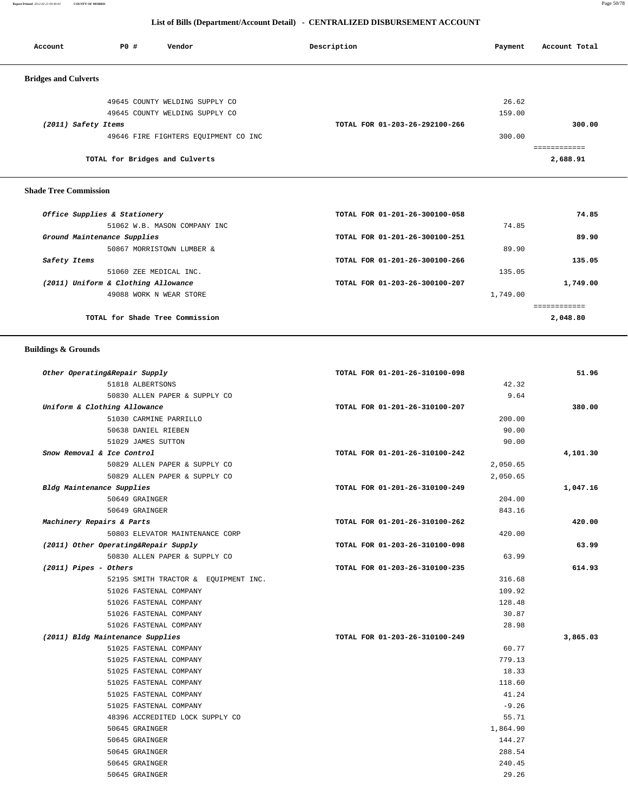**Report Printed** *2012-02-21 09:40:03* **COUNTY OF MORRIS** Page 50/78

#### **List of Bills (Department/Account Detail) - CENTRALIZED DISBURSEMENT ACCOUNT**

| Account                      | P0 #<br>Vendor                       | Description                    | Payment | Account Total |
|------------------------------|--------------------------------------|--------------------------------|---------|---------------|
| <b>Bridges and Culverts</b>  |                                      |                                |         |               |
|                              | 49645 COUNTY WELDING SUPPLY CO       |                                | 26.62   |               |
|                              | 49645 COUNTY WELDING SUPPLY CO       |                                | 159.00  |               |
| (2011) Safety Items          |                                      | TOTAL FOR 01-203-26-292100-266 |         | 300.00        |
|                              | 49646 FIRE FIGHTERS EQUIPMENT CO INC |                                | 300.00  |               |
|                              |                                      |                                |         |               |
|                              | TOTAL for Bridges and Culverts       |                                |         | 2,688.91      |
| <b>Shade Tree Commission</b> |                                      |                                |         |               |
|                              | Office Supplies & Stationery         | TOTAL FOR 01-201-26-300100-058 |         | 74.85         |
|                              | 51062 W.B. MASON COMPANY INC         |                                | 74.85   |               |
|                              |                                      | ______ ___ __ __ ___ __ __ ___ |         | -- --         |

| 89.90    |          | TOTAL FOR 01-201-26-300100-251 | Ground Maintenance Supplies         |              |
|----------|----------|--------------------------------|-------------------------------------|--------------|
|          | 89.90    |                                | 50867 MORRISTOWN LUMBER &           |              |
| 135.05   |          | TOTAL FOR 01-201-26-300100-266 |                                     | Safety Items |
|          | 135.05   |                                | 51060 ZEE MEDICAL INC.              |              |
| 1,749.00 |          | TOTAL FOR 01-203-26-300100-207 | (2011) Uniform & Clothing Allowance |              |
|          | 1,749.00 |                                | 49088 WORK N WEAR STORE             |              |
|          |          |                                |                                     |              |
| 2,048.80 |          |                                | TOTAL for Shade Tree Commission     |              |

# **Buildings & Grounds**

| Other Operating&Repair Supply<br>TOTAL FOR 01-201-26-310100-098        | 51.96    |
|------------------------------------------------------------------------|----------|
| 51818 ALBERTSONS                                                       | 42.32    |
| 50830 ALLEN PAPER & SUPPLY CO                                          | 9.64     |
| Uniform & Clothing Allowance<br>TOTAL FOR 01-201-26-310100-207         | 380.00   |
| 51030 CARMINE PARRILLO                                                 | 200.00   |
| 50638 DANIEL RIEBEN                                                    | 90.00    |
| 51029 JAMES SUTTON                                                     | 90.00    |
| Snow Removal & Ice Control<br>TOTAL FOR 01-201-26-310100-242           | 4,101.30 |
| 50829 ALLEN PAPER & SUPPLY CO                                          | 2,050.65 |
| 50829 ALLEN PAPER & SUPPLY CO                                          | 2,050.65 |
| Bldg Maintenance Supplies<br>TOTAL FOR 01-201-26-310100-249            | 1,047.16 |
| 50649 GRAINGER                                                         | 204.00   |
| 50649 GRAINGER                                                         | 843.16   |
| Machinery Repairs & Parts<br>TOTAL FOR 01-201-26-310100-262            | 420.00   |
| 50803 ELEVATOR MAINTENANCE CORP                                        | 420.00   |
| (2011) Other Operating&Repair Supply<br>TOTAL FOR 01-203-26-310100-098 | 63.99    |
| 50830 ALLEN PAPER & SUPPLY CO                                          | 63.99    |
| $(2011)$ Pipes - Others<br>TOTAL FOR 01-203-26-310100-235              | 614.93   |
| 52195 SMITH TRACTOR & EQUIPMENT INC.                                   | 316.68   |
| 51026 FASTENAL COMPANY                                                 | 109.92   |
| 51026 FASTENAL COMPANY                                                 | 128.48   |
| 51026 FASTENAL COMPANY                                                 | 30.87    |
| 51026 FASTENAL COMPANY                                                 | 28.98    |
| (2011) Bldg Maintenance Supplies<br>TOTAL FOR 01-203-26-310100-249     | 3,865.03 |
| 51025 FASTENAL COMPANY                                                 | 60.77    |
| 51025 FASTENAL COMPANY                                                 | 779.13   |
| 51025 FASTENAL COMPANY                                                 | 18.33    |
| 51025 FASTENAL COMPANY                                                 | 118.60   |
| 51025 FASTENAL COMPANY                                                 | 41.24    |
| 51025 FASTENAL COMPANY                                                 | $-9.26$  |
| 48396 ACCREDITED LOCK SUPPLY CO                                        | 55.71    |
| 50645 GRAINGER                                                         | 1,864.90 |
| 50645 GRAINGER                                                         | 144.27   |
| 50645 GRAINGER                                                         | 288.54   |
| 50645 GRAINGER                                                         | 240.45   |
| 50645 GRAINGER                                                         | 29.26    |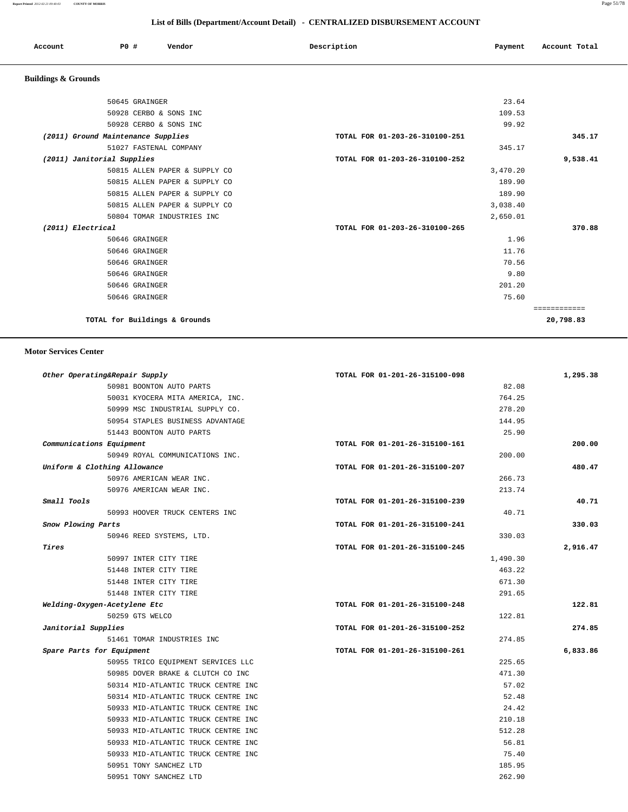#### **List of Bills (Department/Account Detail) - CENTRALIZED DISBURSEMENT ACCOUNT**

| Account | P0# | Vendor | Description | Payment | Account Total |
|---------|-----|--------|-------------|---------|---------------|
|         |     |        |             |         |               |

# **Buildings & Grounds**

| 50645 GRAINGER                     |                               | 23.64                          |             |
|------------------------------------|-------------------------------|--------------------------------|-------------|
|                                    | 50928 CERBO & SONS INC        | 109.53                         |             |
|                                    | 50928 CERBO & SONS INC        | 99.92                          |             |
| (2011) Ground Maintenance Supplies |                               | TOTAL FOR 01-203-26-310100-251 | 345.17      |
|                                    | 51027 FASTENAL COMPANY        | 345.17                         |             |
| (2011) Janitorial Supplies         |                               | TOTAL FOR 01-203-26-310100-252 | 9,538.41    |
|                                    | 50815 ALLEN PAPER & SUPPLY CO | 3,470.20                       |             |
|                                    | 50815 ALLEN PAPER & SUPPLY CO | 189.90                         |             |
|                                    | 50815 ALLEN PAPER & SUPPLY CO | 189.90                         |             |
|                                    | 50815 ALLEN PAPER & SUPPLY CO | 3,038.40                       |             |
|                                    | 50804 TOMAR INDUSTRIES INC    | 2,650.01                       |             |
| (2011) Electrical                  |                               | TOTAL FOR 01-203-26-310100-265 | 370.88      |
| 50646 GRAINGER                     |                               | 1.96                           |             |
| 50646 GRAINGER                     |                               | 11.76                          |             |
| 50646 GRAINGER                     |                               | 70.56                          |             |
| 50646 GRAINGER                     |                               | 9.80                           |             |
| 50646 GRAINGER                     |                               | 201.20                         |             |
| 50646 GRAINGER                     |                               | 75.60                          |             |
|                                    |                               |                                | =========== |
|                                    | TOTAL for Buildings & Grounds |                                | 20,798.83   |
|                                    |                               |                                |             |

#### **Motor Services Center**

| Other Operating&Repair Supply |                                     | TOTAL FOR 01-201-26-315100-098 |          | 1,295.38 |
|-------------------------------|-------------------------------------|--------------------------------|----------|----------|
|                               | 50981 BOONTON AUTO PARTS            |                                | 82.08    |          |
|                               | 50031 KYOCERA MITA AMERICA, INC.    |                                | 764.25   |          |
|                               | 50999 MSC INDUSTRIAL SUPPLY CO.     |                                | 278.20   |          |
|                               | 50954 STAPLES BUSINESS ADVANTAGE    |                                | 144.95   |          |
|                               | 51443 BOONTON AUTO PARTS            |                                | 25.90    |          |
| Communications Equipment      |                                     | TOTAL FOR 01-201-26-315100-161 |          | 200.00   |
|                               | 50949 ROYAL COMMUNICATIONS INC.     |                                | 200.00   |          |
| Uniform & Clothing Allowance  |                                     | TOTAL FOR 01-201-26-315100-207 |          | 480.47   |
|                               | 50976 AMERICAN WEAR INC.            |                                | 266.73   |          |
|                               | 50976 AMERICAN WEAR INC.            |                                | 213.74   |          |
| Small Tools                   |                                     | TOTAL FOR 01-201-26-315100-239 |          | 40.71    |
|                               | 50993 HOOVER TRUCK CENTERS INC      |                                | 40.71    |          |
| Snow Plowing Parts            |                                     | TOTAL FOR 01-201-26-315100-241 |          | 330.03   |
|                               | 50946 REED SYSTEMS, LTD.            |                                | 330.03   |          |
| Tires                         |                                     | TOTAL FOR 01-201-26-315100-245 |          | 2,916.47 |
|                               | 50997 INTER CITY TIRE               |                                | 1,490.30 |          |
|                               | 51448 INTER CITY TIRE               |                                | 463.22   |          |
|                               | 51448 INTER CITY TIRE               |                                | 671.30   |          |
|                               | 51448 INTER CITY TIRE               |                                | 291.65   |          |
| Welding-Oxygen-Acetylene Etc  |                                     | TOTAL FOR 01-201-26-315100-248 |          | 122.81   |
| 50259 GTS WELCO               |                                     |                                | 122.81   |          |
| Janitorial Supplies           |                                     | TOTAL FOR 01-201-26-315100-252 |          | 274.85   |
|                               | 51461 TOMAR INDUSTRIES INC          |                                | 274.85   |          |
| Spare Parts for Equipment     |                                     | TOTAL FOR 01-201-26-315100-261 |          | 6,833.86 |
|                               | 50955 TRICO EQUIPMENT SERVICES LLC  |                                | 225.65   |          |
|                               | 50985 DOVER BRAKE & CLUTCH CO INC   |                                | 471.30   |          |
|                               | 50314 MID-ATLANTIC TRUCK CENTRE INC |                                | 57.02    |          |
|                               | 50314 MID-ATLANTIC TRUCK CENTRE INC |                                | 52.48    |          |
|                               | 50933 MID-ATLANTIC TRUCK CENTRE INC |                                | 24.42    |          |
|                               | 50933 MID-ATLANTIC TRUCK CENTRE INC |                                | 210.18   |          |
|                               | 50933 MID-ATLANTIC TRUCK CENTRE INC |                                | 512.28   |          |
|                               | 50933 MID-ATLANTIC TRUCK CENTRE INC |                                | 56.81    |          |
|                               | 50933 MID-ATLANTIC TRUCK CENTRE INC |                                | 75.40    |          |
|                               | 50951 TONY SANCHEZ LTD              |                                | 185.95   |          |
|                               |                                     |                                |          |          |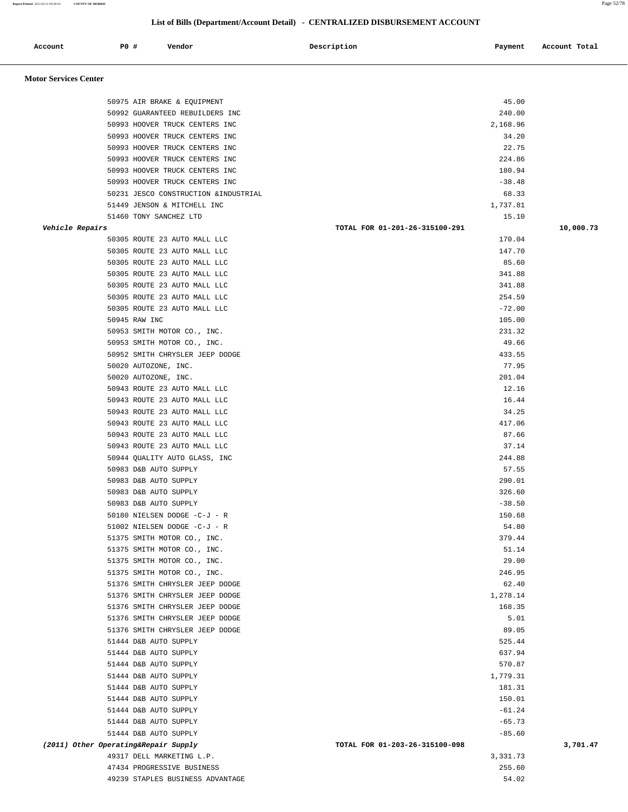**Report Printed** *2012-02-21 09:40:03* **COUNTY OF MORRIS** Page 52/78

|                              |                        |                                                                | List of Bills (Department/Account Detail) - CENTRALIZED DISBURSEMENT ACCOUNT |               |
|------------------------------|------------------------|----------------------------------------------------------------|------------------------------------------------------------------------------|---------------|
| Account                      | P0 #                   | Vendor                                                         | Description<br>Payment                                                       | Account Total |
| <b>Motor Services Center</b> |                        |                                                                |                                                                              |               |
|                              |                        |                                                                |                                                                              |               |
|                              |                        | 50975 AIR BRAKE & EQUIPMENT<br>50992 GUARANTEED REBUILDERS INC | 45.00                                                                        |               |
|                              |                        | 50993 HOOVER TRUCK CENTERS INC                                 | 240.00<br>2,168.96                                                           |               |
|                              |                        | 50993 HOOVER TRUCK CENTERS INC                                 | 34.20                                                                        |               |
|                              |                        | 50993 HOOVER TRUCK CENTERS INC                                 | 22.75                                                                        |               |
|                              |                        | 50993 HOOVER TRUCK CENTERS INC                                 | 224.86                                                                       |               |
|                              |                        | 50993 HOOVER TRUCK CENTERS INC                                 | 180.94                                                                       |               |
|                              |                        | 50993 HOOVER TRUCK CENTERS INC                                 | $-38.48$                                                                     |               |
|                              |                        | 50231 JESCO CONSTRUCTION & INDUSTRIAL                          | 68.33                                                                        |               |
|                              |                        | 51449 JENSON & MITCHELL INC                                    | 1,737.81                                                                     |               |
|                              | 51460 TONY SANCHEZ LTD |                                                                | 15.10                                                                        |               |
| Vehicle Repairs              |                        |                                                                | TOTAL FOR 01-201-26-315100-291                                               | 10,000.73     |
|                              |                        | 50305 ROUTE 23 AUTO MALL LLC                                   | 170.04                                                                       |               |
|                              |                        | 50305 ROUTE 23 AUTO MALL LLC                                   | 147.70                                                                       |               |
|                              |                        | 50305 ROUTE 23 AUTO MALL LLC                                   | 85.60                                                                        |               |
|                              |                        | 50305 ROUTE 23 AUTO MALL LLC                                   | 341.88                                                                       |               |
|                              |                        | 50305 ROUTE 23 AUTO MALL LLC                                   | 341.88                                                                       |               |
|                              |                        | 50305 ROUTE 23 AUTO MALL LLC                                   | 254.59                                                                       |               |
|                              |                        | 50305 ROUTE 23 AUTO MALL LLC                                   | $-72.00$                                                                     |               |
|                              | 50945 RAW INC          |                                                                | 105.00                                                                       |               |
|                              |                        | 50953 SMITH MOTOR CO., INC.                                    | 231.32                                                                       |               |
|                              |                        | 50953 SMITH MOTOR CO., INC.                                    | 49.66                                                                        |               |
|                              |                        | 50952 SMITH CHRYSLER JEEP DODGE                                | 433.55                                                                       |               |
|                              | 50020 AUTOZONE, INC.   |                                                                | 77.95                                                                        |               |
|                              | 50020 AUTOZONE, INC.   |                                                                | 201.04                                                                       |               |
|                              |                        | 50943 ROUTE 23 AUTO MALL LLC                                   | 12.16                                                                        |               |
|                              |                        | 50943 ROUTE 23 AUTO MALL LLC                                   | 16.44                                                                        |               |
|                              |                        | 50943 ROUTE 23 AUTO MALL LLC                                   | 34.25                                                                        |               |
|                              |                        | 50943 ROUTE 23 AUTO MALL LLC                                   | 417.06                                                                       |               |
|                              |                        | 50943 ROUTE 23 AUTO MALL LLC                                   | 87.66                                                                        |               |
|                              |                        | 50943 ROUTE 23 AUTO MALL LLC                                   | 37.14                                                                        |               |
|                              |                        | 50944 OUALITY AUTO GLASS, INC                                  | 244.88                                                                       |               |
|                              | 50983 D&B AUTO SUPPLY  |                                                                | 57.55                                                                        |               |
|                              | 50983 D&B AUTO SUPPLY  |                                                                | 290.01                                                                       |               |
|                              | 50983 D&B AUTO SUPPLY  |                                                                | 326.60                                                                       |               |
|                              | 50983 D&B AUTO SUPPLY  |                                                                | $-38.50$                                                                     |               |
|                              |                        | 50180 NIELSEN DODGE -C-J - R                                   | 150.68                                                                       |               |
|                              |                        | 51002 NIELSEN DODGE -C-J - R                                   | 54.80                                                                        |               |
|                              |                        | 51375 SMITH MOTOR CO., INC.                                    | 379.44                                                                       |               |
|                              |                        | 51375 SMITH MOTOR CO., INC.                                    | 51.14                                                                        |               |
|                              |                        | 51375 SMITH MOTOR CO., INC.                                    | 29.00                                                                        |               |
|                              |                        | 51375 SMITH MOTOR CO., INC.                                    | 246.95                                                                       |               |
|                              |                        | 51376 SMITH CHRYSLER JEEP DODGE                                | 62.40                                                                        |               |
|                              |                        | 51376 SMITH CHRYSLER JEEP DODGE                                | 1,278.14                                                                     |               |
|                              |                        | 51376 SMITH CHRYSLER JEEP DODGE                                | 168.35                                                                       |               |
|                              |                        | 51376 SMITH CHRYSLER JEEP DODGE                                | 5.01                                                                         |               |
|                              |                        | 51376 SMITH CHRYSLER JEEP DODGE                                | 89.05                                                                        |               |
|                              | 51444 D&B AUTO SUPPLY  |                                                                | 525.44                                                                       |               |
|                              | 51444 D&B AUTO SUPPLY  |                                                                | 637.94                                                                       |               |
|                              | 51444 D&B AUTO SUPPLY  |                                                                | 570.87                                                                       |               |

 51444 D&B AUTO SUPPLY -61.24 51444 D&B AUTO SUPPLY -65.73 51444 D&B AUTO SUPPLY  $-85.60$  **(2011) Other Operating&Repair Supply TOTAL FOR 01-203-26-315100-098 3,701.47** 49317 DELL MARKETING L.P. 3,331.73 47434 PROGRESSIVE BUSINESS 255.60 49239 STAPLES BUSINESS ADVANTAGE 64.02

 51444 D&B AUTO SUPPLY 1,779.31 51444 D&B AUTO SUPPLY 181.31 51444 D&B AUTO SUPPLY 150.01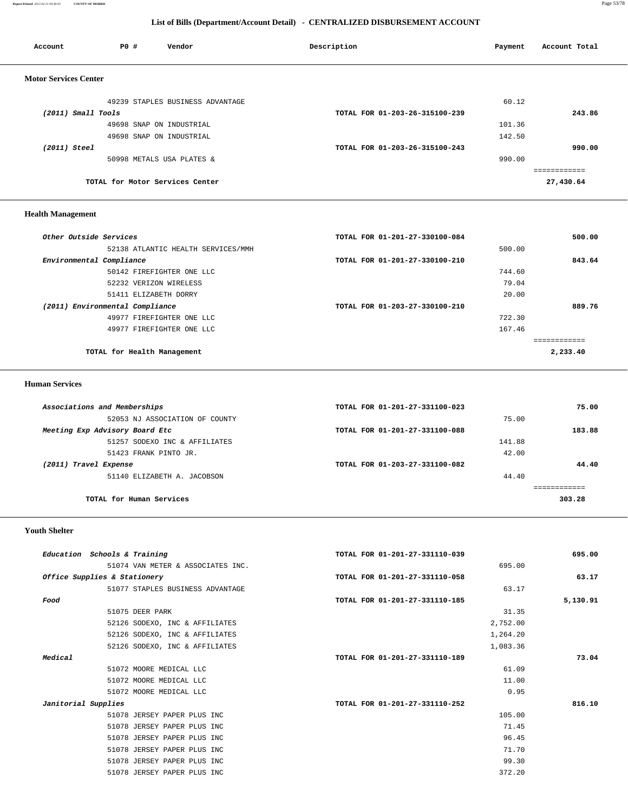#### **Report Printed** *2012-02-21 09:40:03* **COUNTY OF MORRIS** Page 53/78

 **List of Bills (Department/Account Detail) - CENTRALIZED DISBURSEMENT ACCOUNT**

| Account                      | <b>PO #</b>                     | Vendor                           | Description                    | Payment | Account Total |
|------------------------------|---------------------------------|----------------------------------|--------------------------------|---------|---------------|
| <b>Motor Services Center</b> |                                 |                                  |                                |         |               |
|                              |                                 | 49239 STAPLES BUSINESS ADVANTAGE |                                | 60.12   |               |
| $(2011)$ Small Tools         |                                 |                                  | TOTAL FOR 01-203-26-315100-239 |         | 243.86        |
|                              |                                 | 49698 SNAP ON INDUSTRIAL         |                                | 101.36  |               |
|                              |                                 | 49698 SNAP ON INDUSTRIAL         |                                | 142.50  |               |
| $(2011)$ Steel               |                                 |                                  | TOTAL FOR 01-203-26-315100-243 |         | 990.00        |
|                              |                                 | 50998 METALS USA PLATES &        |                                | 990.00  |               |
|                              |                                 |                                  |                                |         |               |
|                              | TOTAL for Motor Services Center |                                  |                                |         | 27,430.64     |
|                              |                                 |                                  |                                |         |               |
|                              |                                 |                                  |                                |         |               |

# **Health Management**

| Other Outside Services          |                                    | TOTAL FOR 01-201-27-330100-084 |          | 500.00 |
|---------------------------------|------------------------------------|--------------------------------|----------|--------|
|                                 | 52138 ATLANTIC HEALTH SERVICES/MMH |                                | 500.00   |        |
| Environmental Compliance        |                                    | TOTAL FOR 01-201-27-330100-210 |          | 843.64 |
|                                 | 50142 FIREFIGHTER ONE LLC          |                                | 744.60   |        |
|                                 | 52232 VERIZON WIRELESS             |                                | 79.04    |        |
|                                 | 51411 ELIZABETH DORRY              |                                | 20.00    |        |
| (2011) Environmental Compliance |                                    | TOTAL FOR 01-203-27-330100-210 |          | 889.76 |
|                                 | 49977 FIREFIGHTER ONE LLC          |                                | 722.30   |        |
|                                 | 49977 FIREFIGHTER ONE LLC          |                                | 167.46   |        |
|                                 |                                    |                                |          |        |
|                                 | TOTAL for Health Management        |                                | 2,233.40 |        |
|                                 |                                    |                                |          |        |

#### **Human Services**

| Associations and Memberships   | TOTAL FOR 01-201-27-331100-023 |        |  |  |  |
|--------------------------------|--------------------------------|--------|--|--|--|
| 52053 NJ ASSOCIATION OF COUNTY | 75.00                          |        |  |  |  |
| Meeting Exp Advisory Board Etc | TOTAL FOR 01-201-27-331100-088 | 183.88 |  |  |  |
| 51257 SODEXO INC & AFFILIATES  | 141.88                         |        |  |  |  |
| 51423 FRANK PINTO JR.          | 42.00                          |        |  |  |  |
| (2011) Travel Expense          | TOTAL FOR 01-203-27-331100-082 | 44.40  |  |  |  |
| 51140 ELIZABETH A. JACOBSON    | 44.40                          |        |  |  |  |
|                                |                                |        |  |  |  |
| TOTAL for Human Services       |                                | 303.28 |  |  |  |
|                                |                                |        |  |  |  |

#### **Youth Shelter**

| Education Schools & Training      | TOTAL FOR 01-201-27-331110-039 | 695.00   |
|-----------------------------------|--------------------------------|----------|
| 51074 VAN METER & ASSOCIATES INC. | 695.00                         |          |
| Office Supplies & Stationery      | TOTAL FOR 01-201-27-331110-058 | 63.17    |
| 51077 STAPLES BUSINESS ADVANTAGE  | 63.17                          |          |
| Food                              | TOTAL FOR 01-201-27-331110-185 | 5,130.91 |
| 51075 DEER PARK                   | 31.35                          |          |
| 52126 SODEXO, INC & AFFILIATES    | 2,752.00                       |          |
| 52126 SODEXO, INC & AFFILIATES    | 1,264.20                       |          |
| 52126 SODEXO, INC & AFFILIATES    | 1,083.36                       |          |
| Medical                           | TOTAL FOR 01-201-27-331110-189 | 73.04    |
| 51072 MOORE MEDICAL LLC           | 61.09                          |          |
| 51072 MOORE MEDICAL LLC           | 11.00                          |          |
| 51072 MOORE MEDICAL LLC           | 0.95                           |          |
| Janitorial Supplies               | TOTAL FOR 01-201-27-331110-252 | 816.10   |
| 51078 JERSEY PAPER PLUS INC       | 105.00                         |          |
| 51078 JERSEY PAPER PLUS INC       | 71.45                          |          |
| 51078 JERSEY PAPER PLUS INC       | 96.45                          |          |
| 51078 JERSEY PAPER PLUS INC       | 71.70                          |          |
| 51078 JERSEY PAPER PLUS INC       | 99.30                          |          |
| 51078 JERSEY PAPER PLUS INC       | 372.20                         |          |
|                                   |                                |          |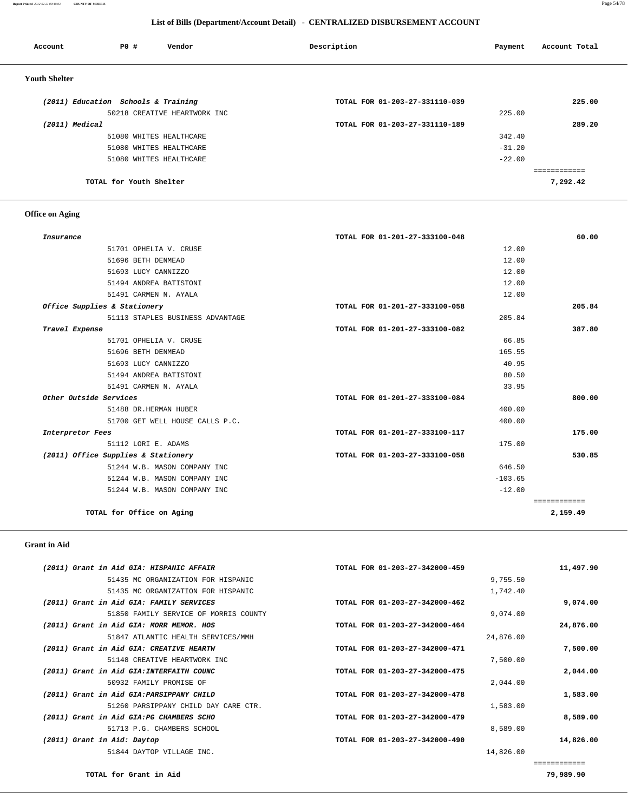**Report Printed** *2012-02-21 09:40:03* **COUNTY OF MORRIS** Page 54/78

#### **List of Bills (Department/Account Detail) - CENTRALIZED DISBURSEMENT ACCOUNT**

| PO#<br>Vendor<br>Account            | Description                    | Payment  | Account Total |
|-------------------------------------|--------------------------------|----------|---------------|
| <b>Youth Shelter</b>                |                                |          |               |
| (2011) Education Schools & Training | TOTAL FOR 01-203-27-331110-039 |          | 225.00        |
| 50218 CREATIVE HEARTWORK INC        |                                | 225.00   |               |
| (2011) Medical                      | TOTAL FOR 01-203-27-331110-189 |          | 289.20        |
| 51080 WHITES HEALTHCARE             |                                | 342.40   |               |
| 51080 WHITES HEALTHCARE             |                                | $-31.20$ |               |
| 51080 WHITES HEALTHCARE             |                                | $-22.00$ |               |
|                                     |                                |          | ============  |
| TOTAL for Youth Shelter             |                                |          | 7,292.42      |

# **Office on Aging**

| Insurance                           | TOTAL FOR 01-201-27-333100-048 | 60.00        |
|-------------------------------------|--------------------------------|--------------|
| 51701 OPHELIA V. CRUSE              | 12.00                          |              |
| 51696 BETH DENMEAD                  | 12.00                          |              |
| 51693 LUCY CANNIZZO                 | 12.00                          |              |
| 51494 ANDREA BATISTONI              | 12.00                          |              |
| 51491 CARMEN N. AYALA               | 12.00                          |              |
| Office Supplies & Stationery        | TOTAL FOR 01-201-27-333100-058 | 205.84       |
| 51113 STAPLES BUSINESS ADVANTAGE    | 205.84                         |              |
| Travel Expense                      | TOTAL FOR 01-201-27-333100-082 | 387.80       |
| 51701 OPHELIA V. CRUSE              | 66.85                          |              |
| 51696 BETH DENMEAD                  | 165.55                         |              |
| 51693 LUCY CANNIZZO                 | 40.95                          |              |
| 51494 ANDREA BATISTONI              | 80.50                          |              |
| 51491 CARMEN N. AYALA               | 33.95                          |              |
| Other Outside Services              | TOTAL FOR 01-201-27-333100-084 | 800.00       |
| 51488 DR.HERMAN HUBER               | 400.00                         |              |
| 51700 GET WELL HOUSE CALLS P.C.     | 400.00                         |              |
| Interpretor Fees                    | TOTAL FOR 01-201-27-333100-117 | 175.00       |
| 51112 LORI E. ADAMS                 | 175.00                         |              |
| (2011) Office Supplies & Stationery | TOTAL FOR 01-203-27-333100-058 | 530.85       |
| 51244 W.B. MASON COMPANY INC        | 646.50                         |              |
| 51244 W.B. MASON COMPANY INC        | $-103.65$                      |              |
| 51244 W.B. MASON COMPANY INC        | $-12.00$                       |              |
|                                     |                                | ============ |
| TOTAL for Office on Aging           |                                | 2,159.49     |

#### **Grant in Aid**

| 11,497.90 |           | TOTAL FOR 01-203-27-342000-459 | (2011) Grant in Aid GIA: HISPANIC AFFAIR  |                             |
|-----------|-----------|--------------------------------|-------------------------------------------|-----------------------------|
|           | 9,755.50  |                                | 51435 MC ORGANIZATION FOR HISPANIC        |                             |
|           | 1,742.40  |                                | 51435 MC ORGANIZATION FOR HISPANIC        |                             |
| 9,074.00  |           | TOTAL FOR 01-203-27-342000-462 | (2011) Grant in Aid GIA: FAMILY SERVICES  |                             |
|           | 9,074.00  |                                | 51850 FAMILY SERVICE OF MORRIS COUNTY     |                             |
| 24,876.00 |           | TOTAL FOR 01-203-27-342000-464 | (2011) Grant in Aid GIA: MORR MEMOR. HOS  |                             |
|           | 24,876.00 |                                | 51847 ATLANTIC HEALTH SERVICES/MMH        |                             |
| 7,500.00  |           | TOTAL FOR 01-203-27-342000-471 | (2011) Grant in Aid GIA: CREATIVE HEARTW  |                             |
|           | 7,500.00  |                                | 51148 CREATIVE HEARTWORK INC              |                             |
| 2,044.00  |           | TOTAL FOR 01-203-27-342000-475 | (2011) Grant in Aid GIA: INTERFAITH COUNC |                             |
|           | 2,044.00  |                                | 50932 FAMILY PROMISE OF                   |                             |
| 1,583.00  |           | TOTAL FOR 01-203-27-342000-478 | (2011) Grant in Aid GIA: PARSIPPANY CHILD |                             |
|           | 1,583.00  |                                | 51260 PARSIPPANY CHILD DAY CARE CTR.      |                             |
| 8,589.00  |           | TOTAL FOR 01-203-27-342000-479 | (2011) Grant in Aid GIA: PG CHAMBERS SCHO |                             |
|           | 8,589.00  |                                | 51713 P.G. CHAMBERS SCHOOL                |                             |
| 14,826.00 |           | TOTAL FOR 01-203-27-342000-490 |                                           | (2011) Grant in Aid: Daytop |
|           | 14,826.00 |                                | 51844 DAYTOP VILLAGE INC.                 |                             |
|           |           |                                |                                           |                             |
|           |           |                                |                                           |                             |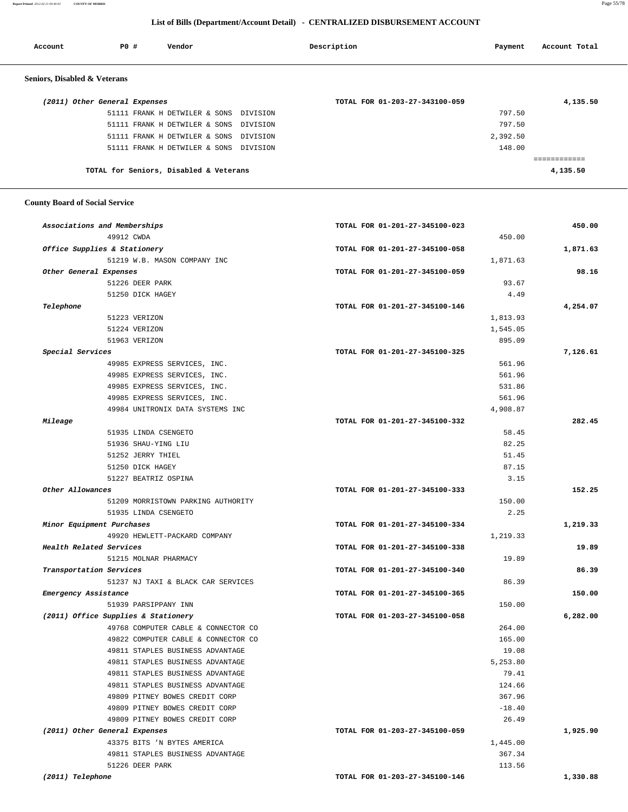**Report Printed** *2012-02-21 09:40:03* **COUNTY OF MORRIS** Page 55/78

#### **List of Bills (Department/Account Detail) - CENTRALIZED DISBURSEMENT ACCOUNT**

| Account                       | PO# |                                        | Vendor |          | Description |                                | Payment  | Account Total |
|-------------------------------|-----|----------------------------------------|--------|----------|-------------|--------------------------------|----------|---------------|
| Seniors, Disabled & Veterans  |     |                                        |        |          |             |                                |          |               |
| (2011) Other General Expenses |     |                                        |        |          |             | TOTAL FOR 01-203-27-343100-059 |          | 4,135.50      |
|                               |     | 51111 FRANK H DETWILER & SONS DIVISION |        |          |             |                                | 797.50   |               |
|                               |     | 51111 FRANK H DETWILER & SONS          |        | DIVISION |             |                                | 797.50   |               |
|                               |     | 51111 FRANK H DETWILER & SONS          |        | DIVISION |             |                                | 2,392.50 |               |
|                               |     | 51111 FRANK H DETWILER & SONS DIVISION |        |          |             |                                | 148.00   |               |
|                               |     |                                        |        |          |             |                                |          |               |
|                               |     | TOTAL for Seniors, Disabled & Veterans |        |          |             |                                |          | 4,135.50      |
|                               |     |                                        |        |          |             |                                |          |               |

#### **County Board of Social Service**

| Associations and Memberships        | TOTAL FOR 01-201-27-345100-023 | 450.00   |
|-------------------------------------|--------------------------------|----------|
| 49912 CWDA                          | 450.00                         |          |
| Office Supplies & Stationery        | TOTAL FOR 01-201-27-345100-058 | 1,871.63 |
| 51219 W.B. MASON COMPANY INC        | 1,871.63                       |          |
| Other General Expenses              | TOTAL FOR 01-201-27-345100-059 | 98.16    |
| 51226 DEER PARK                     | 93.67                          |          |
| 51250 DICK HAGEY                    | 4.49                           |          |
| Telephone                           | TOTAL FOR 01-201-27-345100-146 | 4,254.07 |
| 51223 VERIZON                       | 1,813.93                       |          |
| 51224 VERIZON                       | 1,545.05                       |          |
| 51963 VERIZON                       | 895.09                         |          |
| Special Services                    | TOTAL FOR 01-201-27-345100-325 | 7,126.61 |
| 49985 EXPRESS SERVICES, INC.        | 561.96                         |          |
| 49985 EXPRESS SERVICES, INC.        | 561.96                         |          |
| 49985 EXPRESS SERVICES, INC.        | 531.86                         |          |
| 49985 EXPRESS SERVICES, INC.        | 561.96                         |          |
| 49984 UNITRONIX DATA SYSTEMS INC    | 4,908.87                       |          |
| Mileage                             | TOTAL FOR 01-201-27-345100-332 | 282.45   |
| 51935 LINDA CSENGETO                | 58.45                          |          |
| 51936 SHAU-YING LIU                 | 82.25                          |          |
| 51252 JERRY THIEL                   | 51.45                          |          |
| 51250 DICK HAGEY                    | 87.15                          |          |
| 51227 BEATRIZ OSPINA                | 3.15                           |          |
| Other Allowances                    | TOTAL FOR 01-201-27-345100-333 | 152.25   |
| 51209 MORRISTOWN PARKING AUTHORITY  | 150.00                         |          |
| 51935 LINDA CSENGETO                | 2.25                           |          |
| Minor Equipment Purchases           | TOTAL FOR 01-201-27-345100-334 | 1,219.33 |
| 49920 HEWLETT-PACKARD COMPANY       | 1,219.33                       |          |
| Health Related Services             | TOTAL FOR 01-201-27-345100-338 | 19.89    |
| 51215 MOLNAR PHARMACY               | 19.89                          |          |
| Transportation Services             | TOTAL FOR 01-201-27-345100-340 | 86.39    |
| 51237 NJ TAXI & BLACK CAR SERVICES  | 86.39                          |          |
| Emergency Assistance                | TOTAL FOR 01-201-27-345100-365 | 150.00   |
| 51939 PARSIPPANY INN                | 150.00                         |          |
| (2011) Office Supplies & Stationery | TOTAL FOR 01-203-27-345100-058 | 6,282.00 |
| 49768 COMPUTER CABLE & CONNECTOR CO | 264.00                         |          |
| 49822 COMPUTER CABLE & CONNECTOR CO | 165.00                         |          |
| 49811 STAPLES BUSINESS ADVANTAGE    | 19.08                          |          |
| 49811 STAPLES BUSINESS ADVANTAGE    | 5,253.80                       |          |
| 49811 STAPLES BUSINESS ADVANTAGE    | 79.41                          |          |
| 49811 STAPLES BUSINESS ADVANTAGE    | 124.66                         |          |
| 49809 PITNEY BOWES CREDIT CORP      | 367.96                         |          |
| 49809 PITNEY BOWES CREDIT CORP      | $-18.40$                       |          |
| 49809 PITNEY BOWES CREDIT CORP      | 26.49                          |          |
| (2011) Other General Expenses       | TOTAL FOR 01-203-27-345100-059 | 1,925.90 |
| 43375 BITS 'N BYTES AMERICA         | 1,445.00                       |          |
| 49811 STAPLES BUSINESS ADVANTAGE    | 367.34                         |          |
| 51226 DEER PARK                     | 113.56                         |          |
| (2011) Telephone                    | TOTAL FOR 01-203-27-345100-146 | 1,330.88 |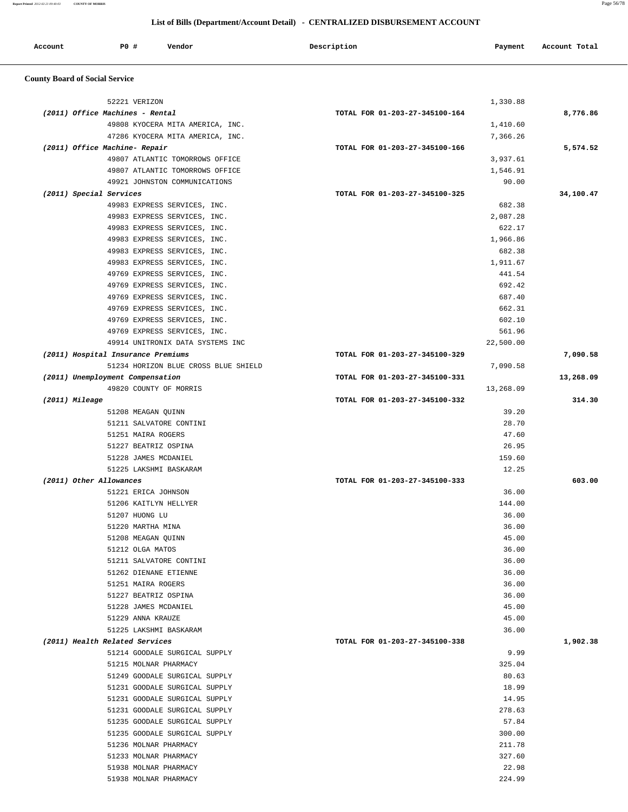**Report Printed** *2012-02-21 09:40:03* **COUNTY OF MORRIS** Page 56/78

# **List of Bills (Department/Account Detail) - CENTRALIZED DISBURSEMENT ACCOUNT**

| Account | P0 # | Vendor | Description | Payment | Account Total |
|---------|------|--------|-------------|---------|---------------|
|         |      |        |             |         |               |

# **County Board of Social Service**

| 52221 VERIZON                        | 1,330.88                       |           |
|--------------------------------------|--------------------------------|-----------|
| (2011) Office Machines - Rental      | TOTAL FOR 01-203-27-345100-164 | 8,776.86  |
| 49808 KYOCERA MITA AMERICA, INC.     | 1,410.60                       |           |
| 47286 KYOCERA MITA AMERICA, INC.     | 7,366.26                       |           |
| (2011) Office Machine- Repair        | TOTAL FOR 01-203-27-345100-166 | 5,574.52  |
| 49807 ATLANTIC TOMORROWS OFFICE      | 3,937.61                       |           |
| 49807 ATLANTIC TOMORROWS OFFICE      | 1,546.91                       |           |
| 49921 JOHNSTON COMMUNICATIONS        | 90.00                          |           |
| (2011) Special Services              | TOTAL FOR 01-203-27-345100-325 | 34,100.47 |
| 49983 EXPRESS SERVICES, INC.         | 682.38                         |           |
| 49983 EXPRESS SERVICES, INC.         | 2,087.28                       |           |
| 49983 EXPRESS SERVICES, INC.         | 622.17                         |           |
| 49983 EXPRESS SERVICES, INC.         | 1,966.86                       |           |
| 49983 EXPRESS SERVICES, INC.         | 682.38                         |           |
| 49983 EXPRESS SERVICES, INC.         | 1,911.67                       |           |
| 49769 EXPRESS SERVICES, INC.         | 441.54                         |           |
| 49769 EXPRESS SERVICES, INC.         | 692.42                         |           |
| 49769 EXPRESS SERVICES, INC.         | 687.40                         |           |
| 49769 EXPRESS SERVICES, INC.         | 662.31                         |           |
| 49769 EXPRESS SERVICES, INC.         | 602.10                         |           |
| 49769 EXPRESS SERVICES, INC.         | 561.96                         |           |
| 49914 UNITRONIX DATA SYSTEMS INC     | 22,500.00                      |           |
| (2011) Hospital Insurance Premiums   | TOTAL FOR 01-203-27-345100-329 | 7,090.58  |
| 51234 HORIZON BLUE CROSS BLUE SHIELD | 7,090.58                       |           |
| (2011) Unemployment Compensation     | TOTAL FOR 01-203-27-345100-331 | 13,268.09 |
| 49820 COUNTY OF MORRIS               | 13,268.09                      |           |
| (2011) Mileage                       | TOTAL FOR 01-203-27-345100-332 | 314.30    |
| 51208 MEAGAN QUINN                   | 39.20                          |           |
| 51211 SALVATORE CONTINI              | 28.70                          |           |
| 51251 MAIRA ROGERS                   | 47.60                          |           |
| 51227 BEATRIZ OSPINA                 | 26.95                          |           |
| 51228 JAMES MCDANIEL                 | 159.60                         |           |
| 51225 LAKSHMI BASKARAM               | 12.25                          |           |
| (2011) Other Allowances              | TOTAL FOR 01-203-27-345100-333 | 603.00    |
| 51221 ERICA JOHNSON                  | 36.00                          |           |
| 51206 KAITLYN HELLYER                | 144.00                         |           |
| 51207 HUONG LU                       | 36.00                          |           |
| 51220 MARTHA MINA                    | 36.00                          |           |
| 51208 MEAGAN QUINN                   | 45.00                          |           |
| 51212 OLGA MATOS                     | 36.00                          |           |
| 51211 SALVATORE CONTINI              | 36.00                          |           |
| 51262 DIENANE ETIENNE                | 36.00                          |           |
| 51251 MAIRA ROGERS                   | 36.00                          |           |
| 51227 BEATRIZ OSPINA                 | 36.00                          |           |
| 51228 JAMES MCDANIEL                 | 45.00                          |           |
| 51229 ANNA KRAUZE                    | 45.00                          |           |
| 51225 LAKSHMI BASKARAM               | 36.00                          |           |
| (2011) Health Related Services       | TOTAL FOR 01-203-27-345100-338 | 1,902.38  |
| 51214 GOODALE SURGICAL SUPPLY        | 9.99                           |           |
| 51215 MOLNAR PHARMACY                | 325.04                         |           |
| 51249 GOODALE SURGICAL SUPPLY        | 80.63                          |           |
| 51231 GOODALE SURGICAL SUPPLY        | 18.99                          |           |
| 51231 GOODALE SURGICAL SUPPLY        | 14.95                          |           |
| 51231 GOODALE SURGICAL SUPPLY        | 278.63                         |           |
| 51235 GOODALE SURGICAL SUPPLY        | 57.84                          |           |
| 51235 GOODALE SURGICAL SUPPLY        | 300.00                         |           |
| 51236 MOLNAR PHARMACY                | 211.78                         |           |
| 51233 MOLNAR PHARMACY                | 327.60                         |           |
| 51938 MOLNAR PHARMACY                | 22.98                          |           |
| 51938 MOLNAR PHARMACY                | 224.99                         |           |
|                                      |                                |           |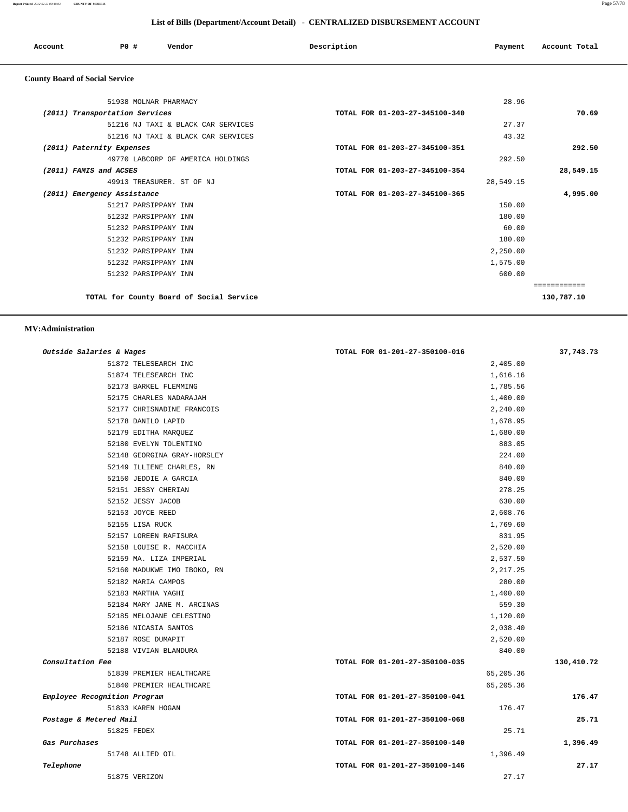**Report Printed** *2012-02-21 09:40:03* **COUNTY OF MORRIS** Page 57/78

# **List of Bills (Department/Account Detail) - CENTRALIZED DISBURSEMENT ACCOUNT**

|                                       | List of Dins (Department/Account Detail) • CENTRALIZED DISDORSENIENT ACCOUNT |                                    |                                |           |               |  |  |
|---------------------------------------|------------------------------------------------------------------------------|------------------------------------|--------------------------------|-----------|---------------|--|--|
| Account                               | PO#                                                                          | Vendor                             | Description                    | Payment   | Account Total |  |  |
| <b>County Board of Social Service</b> |                                                                              |                                    |                                |           |               |  |  |
|                                       | 51938 MOLNAR PHARMACY                                                        |                                    |                                | 28.96     |               |  |  |
|                                       | (2011) Transportation Services                                               |                                    | TOTAL FOR 01-203-27-345100-340 |           | 70.69         |  |  |
|                                       |                                                                              | 51216 NJ TAXI & BLACK CAR SERVICES |                                | 27.37     |               |  |  |
|                                       |                                                                              | 51216 NJ TAXI & BLACK CAR SERVICES |                                | 43.32     |               |  |  |
|                                       | (2011) Paternity Expenses                                                    |                                    | TOTAL FOR 01-203-27-345100-351 |           | 292.50        |  |  |
|                                       |                                                                              | 49770 LABCORP OF AMERICA HOLDINGS  |                                | 292.50    |               |  |  |
| (2011) FAMIS and ACSES                |                                                                              |                                    | TOTAL FOR 01-203-27-345100-354 |           | 28,549.15     |  |  |
|                                       | 49913 TREASURER. ST OF NJ                                                    |                                    |                                | 28,549.15 |               |  |  |
|                                       | (2011) Emergency Assistance                                                  |                                    | TOTAL FOR 01-203-27-345100-365 |           | 4,995.00      |  |  |
|                                       | 51217 PARSIPPANY INN                                                         |                                    |                                | 150.00    |               |  |  |
|                                       | 51232 PARSIPPANY INN                                                         |                                    |                                | 180.00    |               |  |  |
|                                       | 51232 PARSIPPANY INN                                                         |                                    |                                | 60.00     |               |  |  |

 51232 PARSIPPANY INN 180.00 51232 PARSIPPANY INN 2,250.00 51232 PARSIPPANY INN 1,575.00 51232 PARSIPPANY INN 600.00

============

**TOTAL for County Board of Social Service 130,787.10**

 **MV:Administration** 

| Outside Salaries & Wages     |                             | TOTAL FOR 01-201-27-350100-016 |           | 37,743.73  |
|------------------------------|-----------------------------|--------------------------------|-----------|------------|
|                              | 51872 TELESEARCH INC        |                                | 2,405.00  |            |
|                              | 51874 TELESEARCH INC        |                                | 1,616.16  |            |
|                              | 52173 BARKEL FLEMMING       |                                | 1,785.56  |            |
|                              | 52175 CHARLES NADARAJAH     |                                | 1,400.00  |            |
|                              | 52177 CHRISNADINE FRANCOIS  |                                | 2,240.00  |            |
|                              | 52178 DANILO LAPID          |                                | 1,678.95  |            |
|                              | 52179 EDITHA MARQUEZ        |                                | 1,680.00  |            |
|                              | 52180 EVELYN TOLENTINO      |                                | 883.05    |            |
|                              | 52148 GEORGINA GRAY-HORSLEY |                                | 224.00    |            |
|                              | 52149 ILLIENE CHARLES, RN   |                                | 840.00    |            |
|                              | 52150 JEDDIE A GARCIA       |                                | 840.00    |            |
|                              | 52151 JESSY CHERIAN         |                                | 278.25    |            |
|                              | 52152 JESSY JACOB           |                                | 630.00    |            |
|                              | 52153 JOYCE REED            |                                | 2,608.76  |            |
|                              | 52155 LISA RUCK             |                                | 1,769.60  |            |
|                              | 52157 LOREEN RAFISURA       |                                | 831.95    |            |
|                              | 52158 LOUISE R. MACCHIA     |                                | 2,520.00  |            |
|                              | 52159 MA. LIZA IMPERIAL     |                                | 2,537.50  |            |
|                              | 52160 MADUKWE IMO IBOKO, RN |                                | 2, 217.25 |            |
|                              | 52182 MARIA CAMPOS          |                                | 280.00    |            |
|                              | 52183 MARTHA YAGHI          |                                | 1,400.00  |            |
|                              | 52184 MARY JANE M. ARCINAS  |                                | 559.30    |            |
|                              | 52185 MELOJANE CELESTINO    |                                | 1,120.00  |            |
|                              | 52186 NICASIA SANTOS        |                                | 2,038.40  |            |
|                              | 52187 ROSE DUMAPIT          |                                | 2,520.00  |            |
|                              | 52188 VIVIAN BLANDURA       |                                | 840.00    |            |
| Consultation Fee             |                             | TOTAL FOR 01-201-27-350100-035 |           | 130,410.72 |
|                              | 51839 PREMIER HEALTHCARE    |                                | 65,205.36 |            |
|                              | 51840 PREMIER HEALTHCARE    |                                | 65,205.36 |            |
| Employee Recognition Program |                             | TOTAL FOR 01-201-27-350100-041 |           | 176.47     |
|                              | 51833 KAREN HOGAN           |                                | 176.47    |            |
| Postage & Metered Mail       |                             | TOTAL FOR 01-201-27-350100-068 |           | 25.71      |
|                              | 51825 FEDEX                 |                                | 25.71     |            |
| Gas Purchases                |                             | TOTAL FOR 01-201-27-350100-140 |           | 1,396.49   |
|                              | 51748 ALLIED OIL            |                                | 1,396.49  |            |
| Telephone                    |                             | TOTAL FOR 01-201-27-350100-146 |           | 27.17      |
|                              | 51875 VERIZON               |                                | 27.17     |            |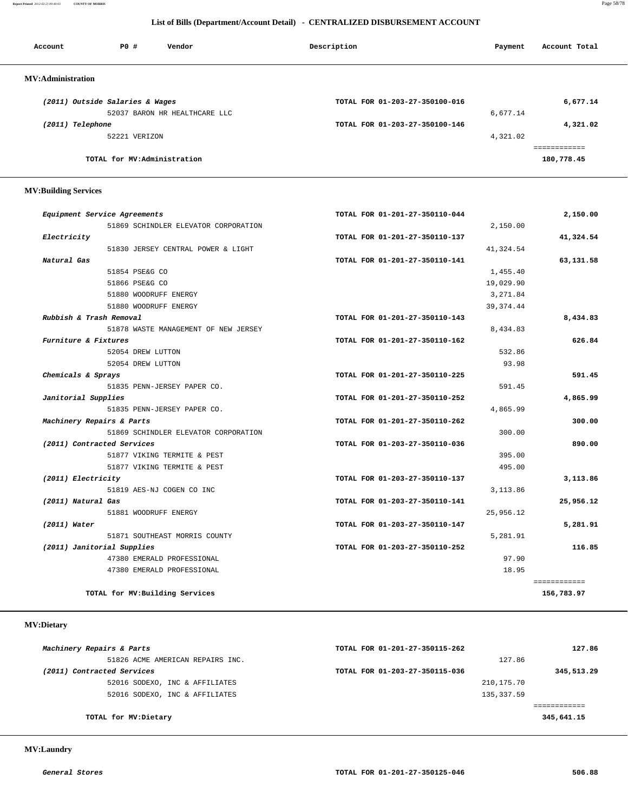**Report Printed** *2012-02-21 09:40:03* **COUNTY OF MORRIS** Page 58/78

#### **List of Bills (Department/Account Detail) - CENTRALIZED DISBURSEMENT ACCOUNT**

| Account                  | PO#                             | Vendor                        | Description                    | Payment  | Account Total |
|--------------------------|---------------------------------|-------------------------------|--------------------------------|----------|---------------|
| <b>MV:Administration</b> |                                 |                               |                                |          |               |
|                          | (2011) Outside Salaries & Wages |                               | TOTAL FOR 01-203-27-350100-016 |          | 6,677.14      |
|                          |                                 | 52037 BARON HR HEALTHCARE LLC |                                | 6,677.14 |               |
| (2011) Telephone         |                                 |                               | TOTAL FOR 01-203-27-350100-146 |          | 4,321.02      |
|                          | 52221 VERIZON                   |                               |                                | 4,321.02 |               |
|                          |                                 |                               |                                |          | ============  |
|                          | TOTAL for MV:Administration     |                               |                                |          | 180,778.45    |

#### **MV:Building Services**

| Equipment Service Agreements         | TOTAL FOR 01-201-27-350110-044 | 2,150.00     |
|--------------------------------------|--------------------------------|--------------|
| 51869 SCHINDLER ELEVATOR CORPORATION |                                | 2,150.00     |
| Electricity                          | TOTAL FOR 01-201-27-350110-137 | 41,324.54    |
| 51830 JERSEY CENTRAL POWER & LIGHT   |                                | 41,324.54    |
| Natural Gas                          | TOTAL FOR 01-201-27-350110-141 | 63,131.58    |
| 51854 PSE&G CO                       |                                | 1,455.40     |
| 51866 PSE&G CO                       |                                | 19,029.90    |
| 51880 WOODRUFF ENERGY                |                                | 3,271.84     |
| 51880 WOODRUFF ENERGY                |                                | 39, 374.44   |
| Rubbish & Trash Removal              | TOTAL FOR 01-201-27-350110-143 | 8,434.83     |
| 51878 WASTE MANAGEMENT OF NEW JERSEY |                                | 8,434.83     |
| Furniture & Fixtures                 | TOTAL FOR 01-201-27-350110-162 | 626.84       |
| 52054 DREW LUTTON                    |                                | 532.86       |
| 52054 DREW LUTTON                    |                                | 93.98        |
| Chemicals & Sprays                   | TOTAL FOR 01-201-27-350110-225 | 591.45       |
| 51835 PENN-JERSEY PAPER CO.          |                                | 591.45       |
| Janitorial Supplies                  | TOTAL FOR 01-201-27-350110-252 | 4,865.99     |
| 51835 PENN-JERSEY PAPER CO.          |                                | 4,865.99     |
| Machinery Repairs & Parts            | TOTAL FOR 01-201-27-350110-262 | 300.00       |
| 51869 SCHINDLER ELEVATOR CORPORATION |                                | 300.00       |
| (2011) Contracted Services           | TOTAL FOR 01-203-27-350110-036 | 890.00       |
| 51877 VIKING TERMITE & PEST          |                                | 395.00       |
| 51877 VIKING TERMITE & PEST          |                                | 495.00       |
| (2011) Electricity                   | TOTAL FOR 01-203-27-350110-137 | 3,113.86     |
| 51819 AES-NJ COGEN CO INC            |                                | 3, 113, 86   |
| (2011) Natural Gas                   | TOTAL FOR 01-203-27-350110-141 | 25,956.12    |
| 51881 WOODRUFF ENERGY                |                                | 25,956.12    |
| $(2011)$ Water                       | TOTAL FOR 01-203-27-350110-147 | 5,281.91     |
| 51871 SOUTHEAST MORRIS COUNTY        |                                | 5,281.91     |
| (2011) Janitorial Supplies           | TOTAL FOR 01-203-27-350110-252 | 116.85       |
| 47380 EMERALD PROFESSIONAL           |                                | 97.90        |
| 47380 EMERALD PROFESSIONAL           |                                | 18.95        |
|                                      |                                | ============ |
| TOTAL for MV: Building Services      |                                | 156,783.97   |

# **MV:Dietary**

| Machinery Repairs & Parts        | TOTAL FOR 01-201-27-350115-262 | 127.86     |
|----------------------------------|--------------------------------|------------|
| 51826 ACME AMERICAN REPAIRS INC. |                                | 127.86     |
| (2011) Contracted Services       | TOTAL FOR 01-203-27-350115-036 | 345,513.29 |
| 52016 SODEXO, INC & AFFILIATES   | 210,175.70                     |            |
| 52016 SODEXO, INC & AFFILIATES   | 135, 337.59                    |            |
|                                  |                                |            |
| TOTAL for MV:Dietary             |                                | 345,641.15 |

#### **MV:Laundry**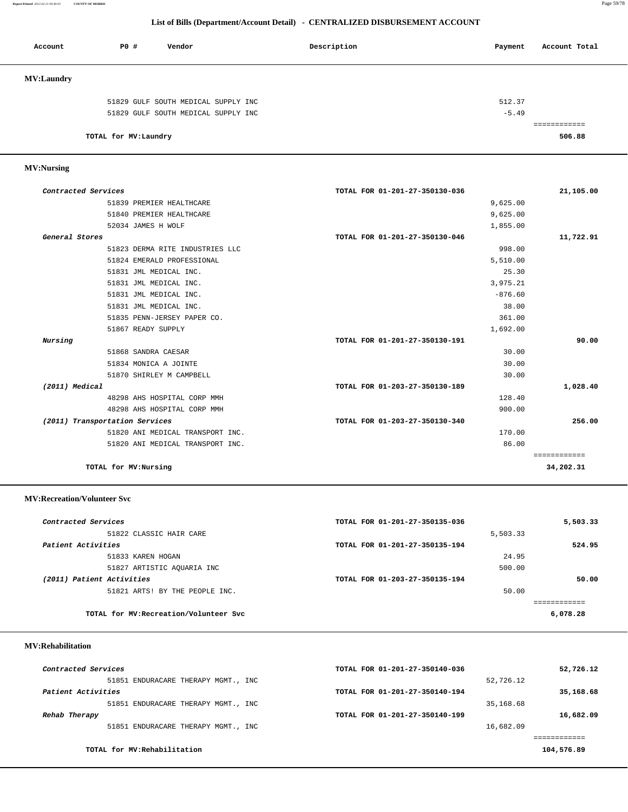**Report Printed** *2012-02-21 09:40:03* **COUNTY OF MORRIS** Page 59/78

#### **List of Bills (Department/Account Detail) - CENTRALIZED DISBURSEMENT ACCOUNT**

| Account           | PO#                   | Vendor                              | Description | Payment | Account Total |
|-------------------|-----------------------|-------------------------------------|-------------|---------|---------------|
| <b>MV:Laundry</b> |                       |                                     |             |         |               |
|                   |                       | 51829 GULF SOUTH MEDICAL SUPPLY INC |             | 512.37  |               |
|                   |                       | 51829 GULF SOUTH MEDICAL SUPPLY INC |             | $-5.49$ |               |
|                   |                       |                                     |             |         |               |
|                   | TOTAL for MV: Laundry |                                     |             |         | 506.88        |

#### **MV:Nursing**

| Contracted Services |                                  | TOTAL FOR 01-201-27-350130-036 | 21,105.00    |
|---------------------|----------------------------------|--------------------------------|--------------|
|                     | 51839 PREMIER HEALTHCARE         | 9,625.00                       |              |
|                     | 51840 PREMIER HEALTHCARE         | 9,625.00                       |              |
|                     | 52034 JAMES H WOLF               | 1,855.00                       |              |
| General Stores      |                                  | TOTAL FOR 01-201-27-350130-046 | 11,722.91    |
|                     | 51823 DERMA RITE INDUSTRIES LLC  | 998.00                         |              |
|                     | 51824 EMERALD PROFESSIONAL       | 5,510.00                       |              |
|                     | 51831 JML MEDICAL INC.           | 25.30                          |              |
|                     | 51831 JML MEDICAL INC.           | 3,975.21                       |              |
|                     | 51831 JML MEDICAL INC.           | $-876.60$                      |              |
|                     | 51831 JML MEDICAL INC.           | 38.00                          |              |
|                     | 51835 PENN-JERSEY PAPER CO.      | 361.00                         |              |
|                     | 51867 READY SUPPLY               | 1,692.00                       |              |
| Nursing             |                                  | TOTAL FOR 01-201-27-350130-191 | 90.00        |
|                     | 51868 SANDRA CAESAR              | 30.00                          |              |
|                     | 51834 MONICA A JOINTE            | 30.00                          |              |
|                     | 51870 SHIRLEY M CAMPBELL         | 30.00                          |              |
| (2011) Medical      |                                  | TOTAL FOR 01-203-27-350130-189 | 1,028.40     |
|                     | 48298 AHS HOSPITAL CORP MMH      | 128.40                         |              |
|                     | 48298 AHS HOSPITAL CORP MMH      | 900.00                         |              |
|                     | (2011) Transportation Services   | TOTAL FOR 01-203-27-350130-340 | 256.00       |
|                     | 51820 ANI MEDICAL TRANSPORT INC. | 170.00                         |              |
|                     | 51820 ANI MEDICAL TRANSPORT INC. | 86.00                          |              |
|                     |                                  |                                | ============ |
|                     | TOTAL for MV: Nursing            |                                | 34,202.31    |

#### **MV:Recreation/Volunteer Svc**

| Contracted Services       |                                        | TOTAL FOR 01-201-27-350135-036 |          | 5,503.33 |
|---------------------------|----------------------------------------|--------------------------------|----------|----------|
|                           | 51822 CLASSIC HAIR CARE                |                                | 5,503.33 |          |
| Patient Activities        |                                        | TOTAL FOR 01-201-27-350135-194 |          | 524.95   |
|                           | 51833 KAREN HOGAN                      |                                | 24.95    |          |
|                           | 51827 ARTISTIC AQUARIA INC             |                                | 500.00   |          |
| (2011) Patient Activities |                                        | TOTAL FOR 01-203-27-350135-194 |          | 50.00    |
|                           | 51821 ARTS! BY THE PEOPLE INC.         |                                | 50.00    |          |
|                           |                                        |                                |          |          |
|                           | TOTAL for MV: Recreation/Volunteer Svc |                                |          | 6,078.28 |

#### **MV:Rehabilitation**

| Contracted Services                 | TOTAL FOR 01-201-27-350140-036 | 52,726.12  |
|-------------------------------------|--------------------------------|------------|
| 51851 ENDURACARE THERAPY MGMT., INC | 52,726.12                      |            |
| Patient Activities                  | TOTAL FOR 01-201-27-350140-194 | 35,168.68  |
| 51851 ENDURACARE THERAPY MGMT., INC | 35,168.68                      |            |
| Rehab Therapy                       | TOTAL FOR 01-201-27-350140-199 | 16,682.09  |
| 51851 ENDURACARE THERAPY MGMT., INC | 16,682.09                      |            |
|                                     |                                |            |
| TOTAL for MV:Rehabilitation         |                                | 104,576.89 |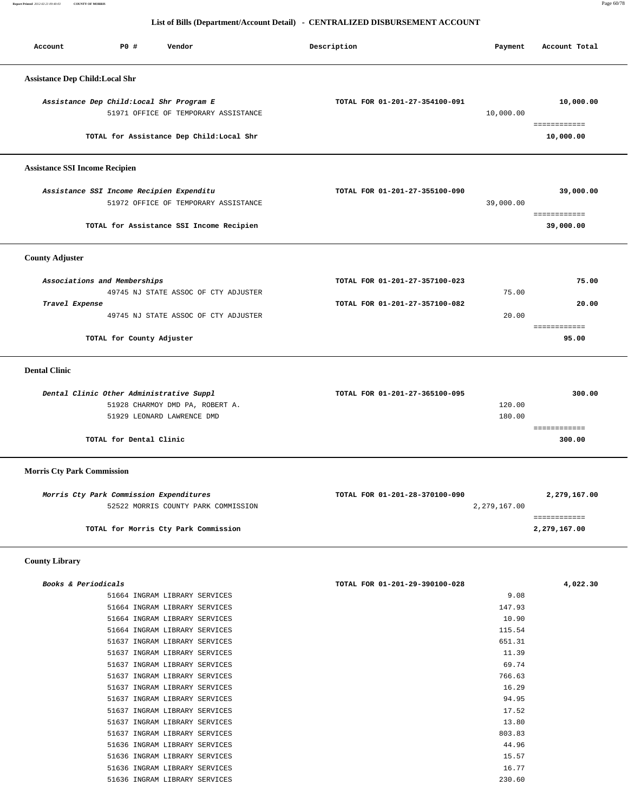**Report Printed** *2012-02-21 09:40:03* **COUNTY OF MORRIS** Page 60/78

#### **List of Bills (Department/Account Detail) - CENTRALIZED DISBURSEMENT ACCOUNT**

| Account                               | P0 #                                           | Vendor                                                         | Description                                                      | Payment          | Account Total                |
|---------------------------------------|------------------------------------------------|----------------------------------------------------------------|------------------------------------------------------------------|------------------|------------------------------|
| <b>Assistance Dep Child:Local Shr</b> |                                                |                                                                |                                                                  |                  |                              |
|                                       | Assistance Dep Child: Local Shr Program E      | 51971 OFFICE OF TEMPORARY ASSISTANCE                           | TOTAL FOR 01-201-27-354100-091                                   | 10,000.00        | 10,000.00                    |
|                                       |                                                | TOTAL for Assistance Dep Child:Local Shr                       |                                                                  |                  | ============<br>10,000.00    |
| <b>Assistance SSI Income Recipien</b> |                                                |                                                                |                                                                  |                  |                              |
|                                       | Assistance SSI Income Recipien Expenditu       | 51972 OFFICE OF TEMPORARY ASSISTANCE                           | TOTAL FOR 01-201-27-355100-090                                   | 39,000.00        | 39,000.00<br>============    |
|                                       |                                                | TOTAL for Assistance SSI Income Recipien                       |                                                                  |                  | 39,000.00                    |
| <b>County Adjuster</b>                |                                                |                                                                |                                                                  |                  |                              |
| Travel Expense                        | Associations and Memberships                   | 49745 NJ STATE ASSOC OF CTY ADJUSTER                           | TOTAL FOR 01-201-27-357100-023<br>TOTAL FOR 01-201-27-357100-082 | 75.00            | 75.00<br>20.00               |
|                                       | 49745 NJ STATE ASSOC OF CTY ADJUSTER           | 20.00                                                          | ============                                                     |                  |                              |
|                                       | TOTAL for County Adjuster                      |                                                                |                                                                  |                  | 95.00                        |
| <b>Dental Clinic</b>                  |                                                |                                                                |                                                                  |                  |                              |
|                                       | Dental Clinic Other Administrative Suppl       | 51928 CHARMOY DMD PA, ROBERT A.<br>51929 LEONARD LAWRENCE DMD  | TOTAL FOR 01-201-27-365100-095                                   | 120.00<br>180.00 | 300.00<br>============       |
|                                       | TOTAL for Dental Clinic                        |                                                                |                                                                  |                  | 300.00                       |
| <b>Morris Cty Park Commission</b>     |                                                |                                                                |                                                                  |                  |                              |
|                                       | <i>Morris Cty Park Commission Expenditures</i> | 52522 MORRIS COUNTY PARK COMMISSION                            | TOTAL FOR 01-201-28-370100-090                                   | 2,279,167.00     | 2,279,167.00<br>============ |
|                                       |                                                | TOTAL for Morris Cty Park Commission                           |                                                                  |                  | 2,279,167.00                 |
| <b>County Library</b>                 |                                                |                                                                |                                                                  |                  |                              |
| Books & Periodicals                   |                                                | 51664 INGRAM LIBRARY SERVICES<br>51664 INGRAM LIBRARY SERVICES | TOTAL FOR 01-201-29-390100-028                                   | 9.08<br>147.93   | 4,022.30                     |

| 9.08   | 51664 INGRAM LIBRARY SERVICES |  |
|--------|-------------------------------|--|
| 147.93 | 51664 INGRAM LIBRARY SERVICES |  |
| 10.90  | 51664 INGRAM LIBRARY SERVICES |  |
| 115.54 | 51664 INGRAM LIBRARY SERVICES |  |
| 651.31 | 51637 INGRAM LIBRARY SERVICES |  |
| 11.39  | 51637 INGRAM LIBRARY SERVICES |  |
| 69.74  | 51637 INGRAM LIBRARY SERVICES |  |
| 766.63 | 51637 INGRAM LIBRARY SERVICES |  |
| 16.29  | 51637 INGRAM LIBRARY SERVICES |  |
| 94.95  | 51637 INGRAM LIBRARY SERVICES |  |
| 17.52  | 51637 INGRAM LIBRARY SERVICES |  |
| 13.80  | 51637 INGRAM LIBRARY SERVICES |  |
| 803.83 | 51637 INGRAM LIBRARY SERVICES |  |
| 44.96  | 51636 INGRAM LIBRARY SERVICES |  |
| 15.57  | 51636 INGRAM LIBRARY SERVICES |  |
| 16.77  | 51636 INGRAM LIBRARY SERVICES |  |
| 230.60 | 51636 INGRAM LIBRARY SERVICES |  |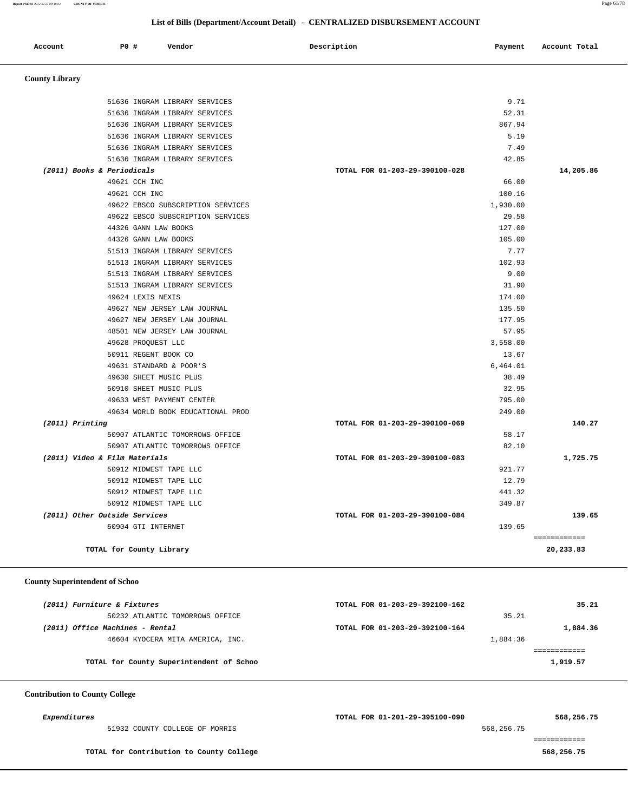**Report Printed** *2012-02-21 09:40:03* **COUNTY OF MORRIS** Page 61/78

#### **List of Bills (Department/Account Detail) - CENTRALIZED DISBURSEMENT ACCOUNT**

| Account                       | PO# | Vendor                            | Description | Payment                        | Account Total |
|-------------------------------|-----|-----------------------------------|-------------|--------------------------------|---------------|
| <b>County Library</b>         |     |                                   |             |                                |               |
|                               |     | 51636 INGRAM LIBRARY SERVICES     |             | 9.71                           |               |
|                               |     | 51636 INGRAM LIBRARY SERVICES     |             | 52.31                          |               |
|                               |     | 51636 INGRAM LIBRARY SERVICES     |             | 867.94                         |               |
|                               |     | 51636 INGRAM LIBRARY SERVICES     |             | 5.19                           |               |
|                               |     | 51636 INGRAM LIBRARY SERVICES     |             | 7.49                           |               |
|                               |     | 51636 INGRAM LIBRARY SERVICES     |             | 42.85                          |               |
| (2011) Books & Periodicals    |     |                                   |             | TOTAL FOR 01-203-29-390100-028 | 14,205.86     |
|                               |     | 49621 CCH INC                     |             | 66.00                          |               |
|                               |     | 49621 CCH INC                     |             | 100.16                         |               |
|                               |     | 49622 EBSCO SUBSCRIPTION SERVICES |             | 1,930.00                       |               |
|                               |     | 49622 EBSCO SUBSCRIPTION SERVICES |             | 29.58                          |               |
|                               |     | 44326 GANN LAW BOOKS              |             | 127.00                         |               |
|                               |     | 44326 GANN LAW BOOKS              |             | 105.00                         |               |
|                               |     | 51513 INGRAM LIBRARY SERVICES     |             | 7.77                           |               |
|                               |     | 51513 INGRAM LIBRARY SERVICES     |             | 102.93                         |               |
|                               |     | 51513 INGRAM LIBRARY SERVICES     |             | 9.00                           |               |
|                               |     | 51513 INGRAM LIBRARY SERVICES     |             | 31.90                          |               |
|                               |     | 49624 LEXIS NEXIS                 |             | 174.00                         |               |
|                               |     | 49627 NEW JERSEY LAW JOURNAL      |             | 135.50                         |               |
|                               |     | 49627 NEW JERSEY LAW JOURNAL      |             | 177.95                         |               |
|                               |     | 48501 NEW JERSEY LAW JOURNAL      |             | 57.95                          |               |
|                               |     | 49628 PROQUEST LLC                |             | 3,558.00                       |               |
|                               |     | 50911 REGENT BOOK CO              |             | 13.67                          |               |
|                               |     | 49631 STANDARD & POOR'S           |             | 6,464.01                       |               |
|                               |     | 49630 SHEET MUSIC PLUS            |             | 38.49                          |               |
|                               |     | 50910 SHEET MUSIC PLUS            |             | 32.95                          |               |
|                               |     | 49633 WEST PAYMENT CENTER         |             | 795.00                         |               |
|                               |     | 49634 WORLD BOOK EDUCATIONAL PROD |             | 249.00                         |               |
| (2011) Printing               |     |                                   |             | TOTAL FOR 01-203-29-390100-069 | 140.27        |
|                               |     | 50907 ATLANTIC TOMORROWS OFFICE   |             | 58.17                          |               |
|                               |     | 50907 ATLANTIC TOMORROWS OFFICE   |             | 82.10                          |               |
| (2011) Video & Film Materials |     |                                   |             | TOTAL FOR 01-203-29-390100-083 | 1,725.75      |
|                               |     | 50912 MIDWEST TAPE LLC            |             | 921.77                         |               |
|                               |     | 50912 MIDWEST TAPE LLC            |             | 12.79                          |               |
|                               |     | 50912 MIDWEST TAPE LLC            |             | 441.32                         |               |
|                               |     | 50912 MIDWEST TAPE LLC            |             | 349.87                         |               |
| (2011) Other Outside Services |     |                                   |             | TOTAL FOR 01-203-29-390100-084 | 139.65        |
|                               |     | 50904 GTI INTERNET                |             | 139.65                         |               |
|                               |     |                                   |             |                                | ============  |
|                               |     | TOTAL for County Library          |             |                                | 20,233.83     |
|                               |     |                                   |             |                                |               |

#### **County Superintendent of Schoo**

| (2011) Furniture & Fixtures              | TOTAL FOR 01-203-29-392100-162 | 35.21    |
|------------------------------------------|--------------------------------|----------|
| 50232 ATLANTIC TOMORROWS OFFICE          | 35.21                          |          |
| (2011) Office Machines - Rental          | TOTAL FOR 01-203-29-392100-164 | 1,884.36 |
| 46604 KYOCERA MITA AMERICA, INC.         | 1,884.36                       |          |
|                                          |                                |          |
| TOTAL for County Superintendent of Schoo |                                | 1,919.57 |

#### **Contribution to County College**

| <i>Expenditures</i>                      | TOTAL FOR 01-201-29-395100-090 | 568,256.75 |
|------------------------------------------|--------------------------------|------------|
| 51932 COUNTY COLLEGE OF MORRIS           | 568,256.75                     |            |
|                                          |                                |            |
| TOTAL for Contribution to County College |                                | 568,256.75 |
|                                          |                                |            |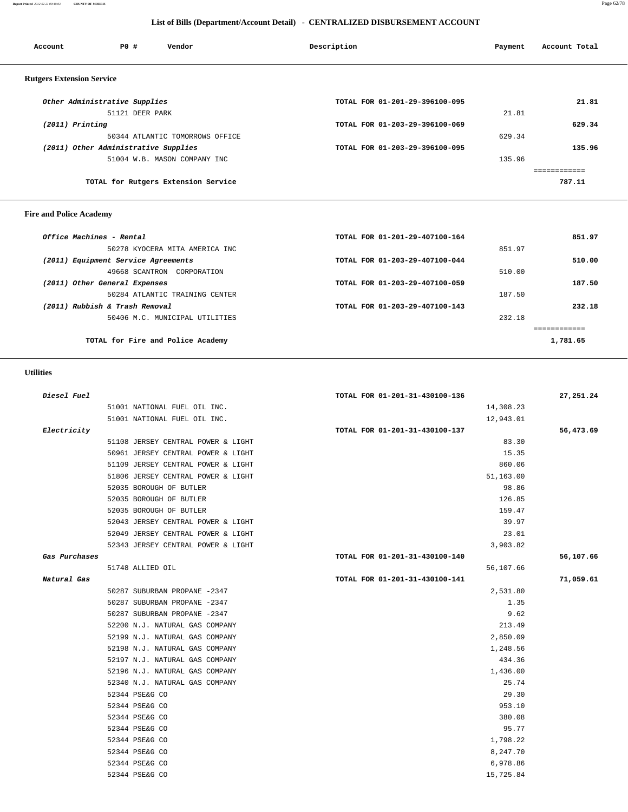#### **Report Printed** *2012-02-21 09:40:03* **COUNTY OF MORRIS** Page 62/78

#### **List of Bills (Department/Account Detail) - CENTRALIZED DISBURSEMENT ACCOUNT**

| Account                          | PO#                                  | Vendor                              | Description                    | Payment | Account Total |
|----------------------------------|--------------------------------------|-------------------------------------|--------------------------------|---------|---------------|
|                                  |                                      |                                     |                                |         |               |
| <b>Rutgers Extension Service</b> |                                      |                                     |                                |         |               |
|                                  | Other Administrative Supplies        |                                     | TOTAL FOR 01-201-29-396100-095 |         | 21.81         |
|                                  | 51121 DEER PARK                      |                                     |                                | 21.81   |               |
| $(2011)$ Printing                |                                      |                                     | TOTAL FOR 01-203-29-396100-069 |         | 629.34        |
|                                  |                                      | 50344 ATLANTIC TOMORROWS OFFICE     |                                | 629.34  |               |
|                                  | (2011) Other Administrative Supplies |                                     | TOTAL FOR 01-203-29-396100-095 |         | 135.96        |
|                                  |                                      | 51004 W.B. MASON COMPANY INC        |                                | 135.96  |               |
|                                  |                                      |                                     |                                |         |               |
|                                  |                                      | TOTAL for Rutgers Extension Service |                                |         | 787.11        |
|                                  |                                      |                                     |                                |         |               |
|                                  |                                      |                                     |                                |         |               |

# **Fire and Police Academy**

| Office Machines - Rental            | TOTAL FOR 01-201-29-407100-164 | 851.97   |
|-------------------------------------|--------------------------------|----------|
| 50278 KYOCERA MITA AMERICA INC      | 851.97                         |          |
| (2011) Equipment Service Agreements | TOTAL FOR 01-203-29-407100-044 | 510.00   |
| 49668 SCANTRON<br>CORPORATION       | 510.00                         |          |
| (2011) Other General Expenses       | TOTAL FOR 01-203-29-407100-059 | 187.50   |
| 50284 ATLANTIC TRAINING CENTER      | 187.50                         |          |
| (2011) Rubbish & Trash Removal      | TOTAL FOR 01-203-29-407100-143 | 232.18   |
| 50406 M.C. MUNICIPAL UTILITIES      | 232.18                         |          |
|                                     |                                |          |
| TOTAL for Fire and Police Academy   |                                | 1,781.65 |

# **Utilities**

| Diesel Fuel   |                                    | TOTAL FOR 01-201-31-430100-136 | 27,251.24 |
|---------------|------------------------------------|--------------------------------|-----------|
|               | 51001 NATIONAL FUEL OIL INC.       | 14,308.23                      |           |
|               | 51001 NATIONAL FUEL OIL INC.       | 12,943.01                      |           |
| Electricity   |                                    | TOTAL FOR 01-201-31-430100-137 | 56,473.69 |
|               | 51108 JERSEY CENTRAL POWER & LIGHT | 83.30                          |           |
|               | 50961 JERSEY CENTRAL POWER & LIGHT | 15.35                          |           |
|               | 51109 JERSEY CENTRAL POWER & LIGHT | 860.06                         |           |
|               | 51806 JERSEY CENTRAL POWER & LIGHT | 51,163.00                      |           |
|               | 52035 BOROUGH OF BUTLER            | 98.86                          |           |
|               | 52035 BOROUGH OF BUTLER            | 126.85                         |           |
|               | 52035 BOROUGH OF BUTLER            | 159.47                         |           |
|               | 52043 JERSEY CENTRAL POWER & LIGHT | 39.97                          |           |
|               | 52049 JERSEY CENTRAL POWER & LIGHT | 23.01                          |           |
|               | 52343 JERSEY CENTRAL POWER & LIGHT | 3,903.82                       |           |
| Gas Purchases |                                    | TOTAL FOR 01-201-31-430100-140 | 56,107.66 |
|               | 51748 ALLIED OIL                   | 56,107.66                      |           |
| Natural Gas   |                                    | TOTAL FOR 01-201-31-430100-141 | 71,059.61 |
|               | 50287 SUBURBAN PROPANE -2347       | 2,531.80                       |           |
|               | 50287 SUBURBAN PROPANE -2347       | 1.35                           |           |
|               | 50287 SUBURBAN PROPANE -2347       | 9.62                           |           |
|               | 52200 N.J. NATURAL GAS COMPANY     | 213.49                         |           |
|               | 52199 N.J. NATURAL GAS COMPANY     | 2,850.09                       |           |
|               | 52198 N.J. NATURAL GAS COMPANY     | 1,248.56                       |           |
|               | 52197 N.J. NATURAL GAS COMPANY     | 434.36                         |           |
|               | 52196 N.J. NATURAL GAS COMPANY     | 1,436.00                       |           |
|               | 52340 N.J. NATURAL GAS COMPANY     | 25.74                          |           |
|               | 52344 PSE&G CO                     | 29.30                          |           |
|               | 52344 PSE&G CO                     | 953.10                         |           |
|               | 52344 PSE&G CO                     | 380.08                         |           |
|               | 52344 PSE&G CO                     | 95.77                          |           |
|               | 52344 PSE&G CO                     | 1,798.22                       |           |
|               | 52344 PSE&G CO                     | 8,247.70                       |           |
|               | 52344 PSE&G CO                     | 6,978.86                       |           |
|               | 52344 PSE&G CO                     | 15,725.84                      |           |
|               |                                    |                                |           |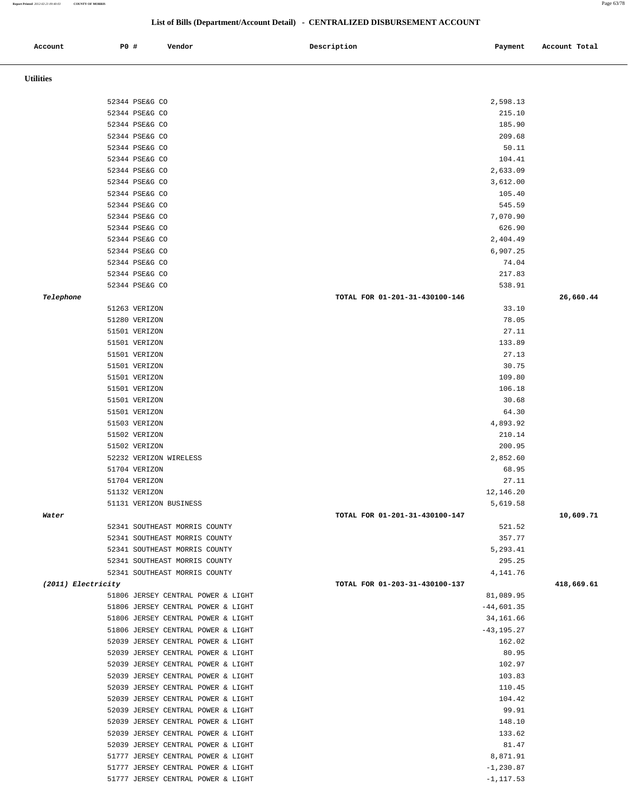#### **Report Printed** *2012-02-21 09:40:03* **COUNTY OF MORRIS** Page 63/78

# **List of Bills (Department/Account Detail) - CENTRALIZED DISBURSEMENT ACCOUNT**

| Account            | PO # |                                  | Vendor                                                                   | Description                    | Payment                 | Account Total |
|--------------------|------|----------------------------------|--------------------------------------------------------------------------|--------------------------------|-------------------------|---------------|
|                    |      |                                  |                                                                          |                                |                         |               |
| <b>Utilities</b>   |      |                                  |                                                                          |                                |                         |               |
|                    |      |                                  |                                                                          |                                |                         |               |
|                    |      | 52344 PSE&G CO                   |                                                                          |                                | 2,598.13                |               |
|                    |      | 52344 PSE&G CO                   |                                                                          |                                | 215.10                  |               |
|                    |      | 52344 PSE&G CO                   |                                                                          |                                | 185.90                  |               |
|                    |      | 52344 PSE&G CO                   |                                                                          |                                | 209.68                  |               |
|                    |      | 52344 PSE&G CO                   |                                                                          |                                | 50.11                   |               |
|                    |      | 52344 PSE&G CO<br>52344 PSE&G CO |                                                                          |                                | 104.41<br>2,633.09      |               |
|                    |      | 52344 PSE&G CO                   |                                                                          |                                | 3,612.00                |               |
|                    |      | 52344 PSE&G CO                   |                                                                          |                                | 105.40                  |               |
|                    |      | 52344 PSE&G CO                   |                                                                          |                                | 545.59                  |               |
|                    |      | 52344 PSE&G CO                   |                                                                          |                                | 7,070.90                |               |
|                    |      | 52344 PSE&G CO                   |                                                                          |                                | 626.90                  |               |
|                    |      | 52344 PSE&G CO                   |                                                                          |                                | 2,404.49                |               |
|                    |      | 52344 PSE&G CO                   |                                                                          |                                | 6,907.25                |               |
|                    |      | 52344 PSE&G CO                   |                                                                          |                                | 74.04                   |               |
|                    |      | 52344 PSE&G CO                   |                                                                          |                                | 217.83                  |               |
|                    |      | 52344 PSE&G CO                   |                                                                          |                                | 538.91                  |               |
| Telephone          |      |                                  |                                                                          | TOTAL FOR 01-201-31-430100-146 |                         | 26,660.44     |
|                    |      | 51263 VERIZON<br>51280 VERIZON   |                                                                          |                                | 33.10<br>78.05          |               |
|                    |      | 51501 VERIZON                    |                                                                          |                                | 27.11                   |               |
|                    |      | 51501 VERIZON                    |                                                                          |                                | 133.89                  |               |
|                    |      | 51501 VERIZON                    |                                                                          |                                | 27.13                   |               |
|                    |      | 51501 VERIZON                    |                                                                          |                                | 30.75                   |               |
|                    |      | 51501 VERIZON                    |                                                                          |                                | 109.80                  |               |
|                    |      | 51501 VERIZON                    |                                                                          |                                | 106.18                  |               |
|                    |      | 51501 VERIZON                    |                                                                          |                                | 30.68                   |               |
|                    |      | 51501 VERIZON                    |                                                                          |                                | 64.30                   |               |
|                    |      | 51503 VERIZON                    |                                                                          |                                | 4,893.92                |               |
|                    |      | 51502 VERIZON                    |                                                                          |                                | 210.14                  |               |
|                    |      | 51502 VERIZON                    |                                                                          |                                | 200.95                  |               |
|                    |      |                                  | 52232 VERIZON WIRELESS                                                   |                                | 2,852.60                |               |
|                    |      | 51704 VERIZON<br>51704 VERIZON   |                                                                          |                                | 68.95<br>27.11          |               |
|                    |      | 51132 VERIZON                    |                                                                          |                                | 12,146.20               |               |
|                    |      |                                  | 51131 VERIZON BUSINESS                                                   |                                | 5,619.58                |               |
| Water              |      |                                  |                                                                          | TOTAL FOR 01-201-31-430100-147 |                         | 10,609.71     |
|                    |      |                                  | 52341 SOUTHEAST MORRIS COUNTY                                            |                                | 521.52                  |               |
|                    |      |                                  | 52341 SOUTHEAST MORRIS COUNTY                                            |                                | 357.77                  |               |
|                    |      |                                  | 52341 SOUTHEAST MORRIS COUNTY                                            |                                | 5,293.41                |               |
|                    |      |                                  | 52341 SOUTHEAST MORRIS COUNTY                                            |                                | 295.25                  |               |
|                    |      |                                  | 52341 SOUTHEAST MORRIS COUNTY                                            |                                | 4,141.76                |               |
| (2011) Electricity |      |                                  |                                                                          | TOTAL FOR 01-203-31-430100-137 |                         | 418,669.61    |
|                    |      |                                  | 51806 JERSEY CENTRAL POWER & LIGHT                                       |                                | 81,089.95               |               |
|                    |      |                                  | 51806 JERSEY CENTRAL POWER & LIGHT                                       |                                | $-44,601.35$            |               |
|                    |      |                                  | 51806 JERSEY CENTRAL POWER & LIGHT                                       |                                | 34,161.66               |               |
|                    |      |                                  | 51806 JERSEY CENTRAL POWER & LIGHT<br>52039 JERSEY CENTRAL POWER & LIGHT |                                | $-43, 195.27$<br>162.02 |               |
|                    |      |                                  | 52039 JERSEY CENTRAL POWER & LIGHT                                       |                                | 80.95                   |               |
|                    |      |                                  | 52039 JERSEY CENTRAL POWER & LIGHT                                       |                                | 102.97                  |               |
|                    |      |                                  | 52039 JERSEY CENTRAL POWER & LIGHT                                       |                                | 103.83                  |               |
|                    |      |                                  | 52039 JERSEY CENTRAL POWER & LIGHT                                       |                                | 110.45                  |               |
|                    |      |                                  | 52039 JERSEY CENTRAL POWER & LIGHT                                       |                                | 104.42                  |               |
|                    |      |                                  | 52039 JERSEY CENTRAL POWER & LIGHT                                       |                                | 99.91                   |               |
|                    |      |                                  | 52039 JERSEY CENTRAL POWER & LIGHT                                       |                                | 148.10                  |               |
|                    |      |                                  | 52039 JERSEY CENTRAL POWER & LIGHT                                       |                                | 133.62                  |               |
|                    |      |                                  | 52039 JERSEY CENTRAL POWER & LIGHT                                       |                                | 81.47                   |               |
|                    |      |                                  | 51777 JERSEY CENTRAL POWER & LIGHT                                       |                                | 8,871.91                |               |
|                    |      |                                  | 51777 JERSEY CENTRAL POWER & LIGHT                                       |                                | $-1, 230.87$            |               |
|                    |      |                                  | 51777 JERSEY CENTRAL POWER & LIGHT                                       |                                | $-1, 117.53$            |               |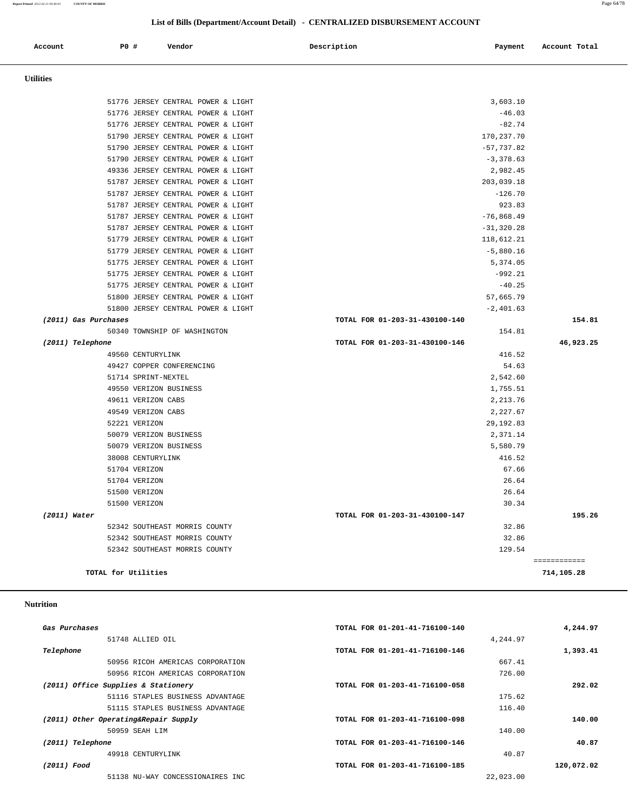**List of Bills (Department/Account Detail) - CENTRALIZED DISBURSEMENT ACCOUNT**

| Account          | P0 #                 | Vendor                             | Description                    | Payment       | Account Total              |
|------------------|----------------------|------------------------------------|--------------------------------|---------------|----------------------------|
| <b>Utilities</b> |                      |                                    |                                |               |                            |
|                  |                      | 51776 JERSEY CENTRAL POWER & LIGHT |                                | 3,603.10      |                            |
|                  |                      | 51776 JERSEY CENTRAL POWER & LIGHT |                                | $-46.03$      |                            |
|                  |                      | 51776 JERSEY CENTRAL POWER & LIGHT |                                | $-82.74$      |                            |
|                  |                      | 51790 JERSEY CENTRAL POWER & LIGHT |                                | 170,237.70    |                            |
|                  |                      | 51790 JERSEY CENTRAL POWER & LIGHT |                                | $-57,737.82$  |                            |
|                  |                      | 51790 JERSEY CENTRAL POWER & LIGHT |                                | $-3,378.63$   |                            |
|                  |                      | 49336 JERSEY CENTRAL POWER & LIGHT |                                | 2,982.45      |                            |
|                  |                      | 51787 JERSEY CENTRAL POWER & LIGHT |                                | 203,039.18    |                            |
|                  |                      | 51787 JERSEY CENTRAL POWER & LIGHT |                                | $-126.70$     |                            |
|                  |                      | 51787 JERSEY CENTRAL POWER & LIGHT |                                | 923.83        |                            |
|                  |                      | 51787 JERSEY CENTRAL POWER & LIGHT |                                | $-76,868.49$  |                            |
|                  |                      | 51787 JERSEY CENTRAL POWER & LIGHT |                                | $-31, 320.28$ |                            |
|                  |                      | 51779 JERSEY CENTRAL POWER & LIGHT |                                | 118,612.21    |                            |
|                  |                      | 51779 JERSEY CENTRAL POWER & LIGHT |                                | $-5,880.16$   |                            |
|                  |                      | 51775 JERSEY CENTRAL POWER & LIGHT |                                | 5,374.05      |                            |
|                  |                      | 51775 JERSEY CENTRAL POWER & LIGHT |                                | $-992.21$     |                            |
|                  |                      | 51775 JERSEY CENTRAL POWER & LIGHT |                                | $-40.25$      |                            |
|                  |                      | 51800 JERSEY CENTRAL POWER & LIGHT |                                | 57,665.79     |                            |
|                  |                      | 51800 JERSEY CENTRAL POWER & LIGHT |                                | $-2,401.63$   |                            |
|                  | (2011) Gas Purchases |                                    | TOTAL FOR 01-203-31-430100-140 |               | 154.81                     |
|                  |                      | 50340 TOWNSHIP OF WASHINGTON       |                                | 154.81        |                            |
| (2011) Telephone |                      | 49560 CENTURYLINK                  | TOTAL FOR 01-203-31-430100-146 | 416.52        | 46,923.25                  |
|                  |                      | 49427 COPPER CONFERENCING          |                                | 54.63         |                            |
|                  |                      | 51714 SPRINT-NEXTEL                |                                | 2,542.60      |                            |
|                  |                      | 49550 VERIZON BUSINESS             |                                | 1,755.51      |                            |
|                  |                      | 49611 VERIZON CABS                 |                                | 2, 213.76     |                            |
|                  |                      | 49549 VERIZON CABS                 |                                | 2,227.67      |                            |
|                  |                      | 52221 VERIZON                      |                                | 29,192.83     |                            |
|                  |                      | 50079 VERIZON BUSINESS             |                                | 2,371.14      |                            |
|                  |                      | 50079 VERIZON BUSINESS             |                                | 5,580.79      |                            |
|                  |                      | 38008 CENTURYLINK                  |                                | 416.52        |                            |
|                  |                      | 51704 VERIZON                      |                                | 67.66         |                            |
|                  |                      | 51704 VERIZON                      |                                | 26.64         |                            |
|                  |                      | 51500 VERIZON                      |                                | 26.64         |                            |
|                  |                      | 51500 VERIZON                      |                                | 30.34         |                            |
| $(2011)$ Water   |                      |                                    | TOTAL FOR 01-203-31-430100-147 |               | 195.26                     |
|                  |                      | 52342 SOUTHEAST MORRIS COUNTY      |                                | 32.86         |                            |
|                  |                      | 52342 SOUTHEAST MORRIS COUNTY      |                                | 32.86         |                            |
|                  |                      | 52342 SOUTHEAST MORRIS COUNTY      |                                | 129.54        |                            |
|                  | TOTAL for Utilities  |                                    |                                |               | ============<br>714,105.28 |
|                  |                      |                                    |                                |               |                            |

#### **Nutrition**

| 4,244.97   | TOTAL FOR 01-201-41-716100-140 | Gas Purchases                        |
|------------|--------------------------------|--------------------------------------|
|            | 4,244.97                       | 51748 ALLIED OIL                     |
| 1,393.41   | TOTAL FOR 01-201-41-716100-146 | Telephone                            |
|            | 667.41                         | 50956 RICOH AMERICAS CORPORATION     |
|            | 726.00                         | 50956 RICOH AMERICAS CORPORATION     |
| 292.02     | TOTAL FOR 01-203-41-716100-058 | (2011) Office Supplies & Stationery  |
|            | 175.62                         | 51116 STAPLES BUSINESS ADVANTAGE     |
|            | 116.40                         | 51115 STAPLES BUSINESS ADVANTAGE     |
| 140.00     | TOTAL FOR 01-203-41-716100-098 | (2011) Other Operating&Repair Supply |
|            | 140.00                         | 50959 SEAH LIM                       |
| 40.87      | TOTAL FOR 01-203-41-716100-146 | (2011) Telephone                     |
|            | 40.87                          | 49918 CENTURYLINK                    |
| 120,072.02 | TOTAL FOR 01-203-41-716100-185 | (2011) Food                          |
|            | 22,023.00                      | 51138 NU-WAY CONCESSIONAIRES INC     |
|            |                                |                                      |